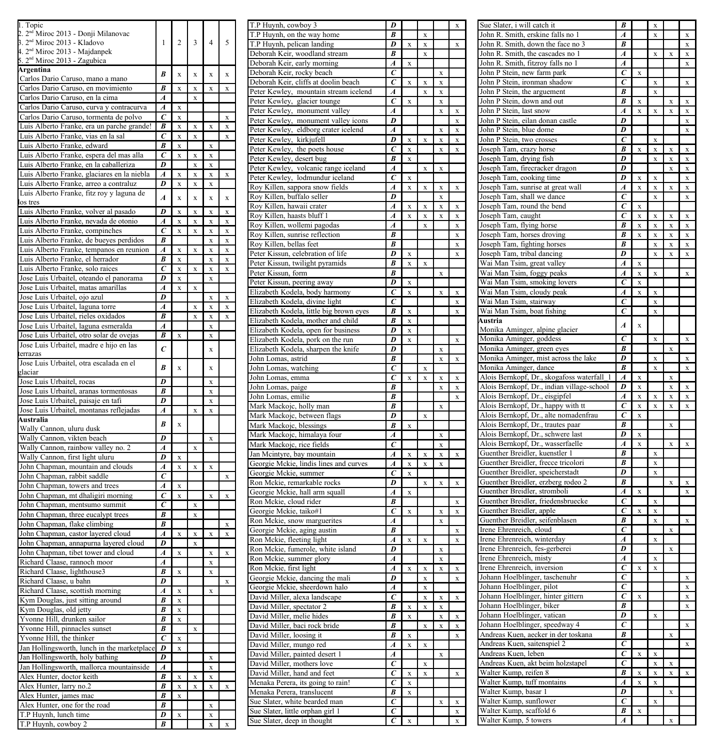| 1. Topic                                                                            |                                  |                         |                         |                         |             | T.P Huynh, cowboy 3                                                           | D                   |             |                         |                            |                      |
|-------------------------------------------------------------------------------------|----------------------------------|-------------------------|-------------------------|-------------------------|-------------|-------------------------------------------------------------------------------|---------------------|-------------|-------------------------|----------------------------|----------------------|
| 2. 2 <sup>nd</sup> Miroc 2013 - Donji Milanovac                                     |                                  |                         |                         |                         |             | T.P Huynh, on the way home                                                    | $\boldsymbol{B}$    |             | $\bar{x}$               |                            |                      |
| 3. 2 <sup>nd</sup> Miroc 2013 - Kladovo                                             | $\mathbf{1}$                     | $\overline{c}$          | 3                       | $\overline{4}$          | 5           | T.P Huynh, pelican landing                                                    | D                   | $\bar{x}$   | X                       |                            |                      |
| 4. 2 <sup>nd</sup> Miroc 2013 - Majdanpek<br>2 <sup>nd</sup> Miroc 2013 - Zagubica  |                                  |                         |                         |                         |             | Deborah Keir, woodland stream                                                 | B                   |             | $\mathbf{x}$            |                            |                      |
| Argentina                                                                           |                                  |                         |                         |                         |             | Deborah Keir, early morning                                                   | A                   | $\bf x$     |                         |                            |                      |
| Carlos Dario Caruso, mano a mano                                                    | B                                | x                       | x                       | x                       | x           | Deborah Keir, rocky beach                                                     | С<br>C              | $\bf{x}$    |                         | $\bf x$                    |                      |
| Carlos Dario Caruso, en movimiento                                                  | $\overline{B}$                   | $\mathbf x$             | $\bf x$                 | $\bf x$                 | $\bf x$     | Deborah Keir, cliffs at doolin beach<br>Peter Kewley, mountain stream icelend | A                   |             | X<br>$\bar{x}$          | $\mathbf x$<br>$\mathbf x$ |                      |
| Carlos Dario Caruso, en la cima                                                     | $\boldsymbol{A}$                 |                         | $\bf{x}$                |                         |             | Peter Kewley, glacier tounge                                                  | С                   | $\bf x$     |                         | X                          |                      |
| Carlos Dario Caruso, curva y contracurva                                            | A                                | $\mathbf x$             |                         |                         |             | Peter Kewley, monument valley                                                 | A                   |             |                         | $\mathbf{x}$               | X                    |
| Carlos Dario Caruso, tormenta de polvo                                              | $\overline{c}$                   | X                       |                         |                         | $\mathbf x$ | Peter Kewley, monument valley icons                                           | $\overline{D}$      |             |                         |                            | $\bf{x}$             |
| Luis Alberto Franke, era un parche grande!                                          | $\overline{B}$                   | $\mathbf x$             | $\bar{\mathbf{x}}$      | $\bf x$                 | $\bf x$     | Peter Kewley, eldborg crater icelend                                          | A                   |             |                         | X                          | $\bf{X}$             |
| Luis Alberto Franke, vias en la sal                                                 | $\overline{c}$                   | $\overline{\mathbf{x}}$ | $\overline{\mathbf{x}}$ |                         | $\mathbf x$ | Peter Kewley, kirkjufell                                                      | D                   | $\bf x$     | $\mathbf x$             | X                          | $\bf{X}$             |
| Luis Alberto Franke, edward                                                         | $\overline{B}$                   | x                       |                         | $\mathbf x$             |             | Peter Kewley, the poets house                                                 | $\mathcal C$        | $\mathbf x$ |                         | $\bar{x}$                  | $\bf{x}$             |
| Luis Alberto Franke, espera del mas alla                                            | $\overline{c}$                   | $\mathbf x$             | $\bf x$                 | $\mathbf x$             |             | Peter Kewley, desert bug                                                      | B                   | $\mathbf x$ |                         |                            |                      |
| Luis Alberto Franke, en la caballeriza                                              | $\overline{D}$                   |                         | $\bf x$                 | $\mathbf x$             |             | Peter Kewley, volcanic range iceland                                          | A                   |             | X                       | $\bf x$                    |                      |
| Luis Alberto Franke, glaciares en la niebla                                         | $\overline{A}$<br>$\overline{D}$ | $\overline{\mathbf{x}}$ | x                       | $\mathbf{x}$            | $\bf{x}$    | Peter Kewley, lodmundur iceland                                               | С                   | $\bf x$     |                         |                            |                      |
| Luis Alberto Franke, arreo a contraluz<br>Luis Alberto Franke, fitz roy y laguna de |                                  | $\mathbf x$             | $\mathbf x$             | $\mathbf x$             |             | Roy Killen, sappora snow fields                                               | A                   | $\bar{x}$   | X                       | $\bar{x}$                  | $\bf x$              |
| los tres                                                                            | $\overline{A}$                   | $\bf x$                 | $\mathbf x$             | $\mathbf x$             | $\mathbf x$ | Roy Killen, buffalo seller                                                    | D                   |             |                         | $\mathbf x$                |                      |
| Luis Alberto Franke, volver al pasado                                               | D                                | $\overline{\mathbf{x}}$ | $\bar{x}$               | $\mathbf{x}$            | $\bar{x}$   | Roy Killen, hawaii crater                                                     | A                   | $\bf x$     | X                       | X                          | $\bf{X}$             |
| Luis Alberto Franke, nevada de otonio                                               | $\boldsymbol{A}$                 | X                       | $\bf{x}$                | $\mathbf x$             | $\bf{x}$    | Roy Killen, haasts bluff 1                                                    | $\boldsymbol{A}$    | $\bar{x}$   | X                       | $\mathbf x$                | $\bf{x}$             |
| Luis Alberto Franke, compinches                                                     | $\overline{c}$                   | $\bf x$                 | X                       | $\mathbf x$             | $\bf{x}$    | Roy Killen, wollemi pagodas                                                   | A                   |             | $\mathbf{x}$            |                            | $\bf{x}$             |
| Luis Alberto Franke, de bueyes perdidos                                             | $\overline{B}$                   |                         |                         | $\mathbf x$             | $\bf{x}$    | Roy Killen, sunrise reflection                                                | B<br>R              |             |                         |                            | $\bf{x}$             |
| Luis Alberto Franke, tempanos en reunion                                            | $\boldsymbol{A}$                 | $\mathbf{x}$            | $\bar{x}$               | $\mathbf{x}$            | $\bar{x}$   | Roy Killen, bellas feet<br>Peter Kissun, celebration of life                  | D                   | $\bf{x}$    |                         |                            | $\bf{X}$             |
| Luis Alberto Franke, el herrador                                                    | B                                | $\overline{\mathbf{x}}$ |                         | $\bf x$                 | $\bf{x}$    | Peter Kissun, twilight pyramids                                               | B                   | $\mathbf x$ | $\mathbf{x}$            |                            | $\bf{x}$             |
| Luis Alberto Franke, solo raices                                                    | $\overline{c}$                   | X                       | X                       | $\mathbf x$             | $\bf{x}$    | Peter Kissun, form                                                            | $\boldsymbol{B}$    |             |                         | $\mathbf x$                |                      |
| Jose Luis Urbaitel, oteando el panorama                                             | D                                | X                       |                         | $\mathbf x$             |             | Peter Kissun, peering away                                                    | D                   | $\bf x$     |                         |                            |                      |
| Jose Luis Urbaitel, matas amarillas                                                 | A                                | $\mathbf{x}$            | $\mathbf{x}$            |                         |             | Elizabeth Kodela, body harmony                                                | C                   | $\mathbf x$ |                         | $\bar{x}$                  | $\bf x$              |
| Jose Luis Urbaitel, ojo azul                                                        | D                                |                         |                         | $\mathbf x$             | $\bf{x}$    | Elizabeth Kodela, divine light                                                | $\mathcal C$        |             |                         |                            | $\bf x$              |
| Jose Luis Urbaitel, laguna torre                                                    | A                                |                         | $\bf{x}$                | $\mathbf x$             | $\bf{x}$    | Elizabeth Kodela, little big brown eyes                                       | B                   | $\bf x$     |                         |                            | $\bf{X}$             |
| Jose Luis Urbaitel, rieles oxidados                                                 | $\overline{B}$                   |                         | $\bar{x}$               | $\mathbf x$             | $\bf x$     | Elizabeth Kodela, mother and child                                            | R                   | $\bf x$     |                         |                            |                      |
| Jose Luis Urbaitel, laguna esmeralda                                                | A                                |                         |                         | $\mathbf{x}$            |             | Elizabeth Kodela, open for business                                           | D                   | $\mathbf x$ |                         |                            |                      |
| Jose Luis Urbaitel, otro solar de ovejas<br>Jose Luis Urbaitel, madre e hijo en las | B                                | $\mathbf x$             |                         | $\mathbf x$             |             | Elizabeth Kodela, pork on the run                                             | D                   | $\bf{x}$    |                         |                            | $\bf{x}$             |
| terrazas                                                                            | $\overline{c}$                   |                         |                         | $\mathbf x$             |             | Elizabeth Kodela, sharpen the knife                                           | D                   |             |                         | X                          |                      |
| Jose Luis Urbaitel, otra escalada en el                                             |                                  |                         |                         |                         |             | John Lomas, astrid                                                            | B                   |             |                         | $\bar{x}$                  | $\bf{x}$             |
| glaciar                                                                             | B                                | $\mathbf x$             |                         | $\mathbf x$             |             | John Lomas, watching                                                          | $\mathcal C$        |             | X                       |                            |                      |
| Jose Luis Urbaitel, rocas                                                           | $\overline{D}$                   |                         |                         | $\mathbf x$             |             | John Lomas, emma                                                              | $\epsilon$          | $\bf{x}$    | $\mathbf{x}$            | $\mathbf x$                | $\bf{x}$             |
| Jose Luis Urbaitel, aranas tormentosas                                              | B                                |                         |                         | $\mathbf x$             |             | John Lomas, paige                                                             | B                   |             |                         | $\bar{\mathbf{x}}$         | $\bf{x}$             |
| Jose Luis Urbaitel, paisaje en tafi                                                 | D                                |                         |                         | $\mathbf x$             |             | John Lomas, emilie                                                            | B                   |             |                         |                            | $\bf{x}$             |
| Jose Luis Urbaitel, montanas reflejadas                                             | $\boldsymbol{A}$                 |                         | $\mathbf x$             | $\mathbf x$             |             | Mark Mackojc, holly man                                                       | B<br>D              |             |                         | $\bar{x}$                  |                      |
| Australia                                                                           | B                                | $\bf x$                 |                         |                         |             | Mark Mackojc, between flags                                                   | B                   | $\bf{x}$    | $\mathbf x$             |                            |                      |
| Wally Cannon, uluru dusk                                                            |                                  |                         |                         |                         |             | Mark Mackojc, blessings<br>Mark Mackojc, himalaya four                        | $\boldsymbol{A}$    |             |                         | $\bar{x}$                  |                      |
| Wally Cannon, vikten beach                                                          | D                                |                         |                         | $\mathbf x$             |             | Mark Mackojc, rice fields                                                     | C                   |             |                         | $\mathbf x$                |                      |
| Wally Cannon, rainbow valley no. 2                                                  | $\overline{A}$                   |                         | X                       |                         |             | Jan Mcintyre, bay mountain                                                    | Ā                   | $\bf{x}$    | X                       | X                          | $\bf{X}$             |
| Wally Cannon, first light uluru                                                     | $\overline{D}$<br>Ā              | X                       |                         |                         |             | Georgie Mckie, lindis lines and curves                                        | $\overline{A}$      | $\mathbf x$ | $\mathbf x$             | $\bar{\mathbf{x}}$         |                      |
| John Chapman, mountain and clouds<br>John Chapman, rabbit saddle                    | $\epsilon$                       | $\bf{x}$                | $\mathbf X$             | X                       |             | Georgie Mckie, summer                                                         | C                   | $\bf{x}$    |                         |                            |                      |
| John Chapman, towers and trees                                                      | Ā                                | $\mathbf x$             |                         |                         | X           | Ron Mckie, remarkable rocks                                                   | D                   |             | $\mathbf x$             | $\bar{x}$                  | $\bf{x}$             |
| John Chapman, mt dhaligiri morning                                                  | $\overline{c}$                   | $\mathbf x$             |                         | $\mathbf x$             | X           | Georgie Mckie, hall arm squall                                                | A                   | $\bf x$     |                         |                            |                      |
| John Chapman, mentsumo summit                                                       | $\epsilon$                       |                         | X                       |                         |             | Ron Mckie, cloud rider                                                        | B                   |             |                         |                            | $\bf{x}$             |
| John Chapman, three eucalypt trees                                                  | B                                |                         | $\mathbf x$             |                         |             | Georgie Mckie, taiko#1                                                        | C                   | $\bf{x}$    |                         | $\bar{x}$                  | $\bf{x}$             |
| John Chapman, flake climbing                                                        | $\overline{B}$                   |                         |                         |                         | X           | Ron Mckie, snow marguerites                                                   | A                   |             |                         | $\bar{x}$                  |                      |
| John Chapman, castor layered cloud                                                  | $\overline{A}$                   | X                       | $\mathbf X$             | $\mathbf x$             | X           | Georgie Mckie, aging austin                                                   | B                   |             |                         |                            | $\bf{x}$             |
| John Chapman, annapurna layered cloud                                               | D                                |                         | $\mathbf x$             |                         |             | Ron Mckie, fleeting light                                                     | $\boldsymbol{A}$    | $\bf{x}$    | X                       |                            | $\bf{x}$             |
| John Chapman, tibet tower and cloud                                                 | $\overline{A}$                   | $\mathbf x$             |                         | $\mathbf x$             | x           | Ron Mckie, fumerole, white island                                             | D                   |             |                         | X                          |                      |
| Richard Claase, rannoch moor                                                        | $\overline{A}$                   |                         |                         | $\overline{\mathbf{x}}$ |             | Ron Mckie, summer glory<br>Ron Mckie, first light                             | Ā<br>$\overline{A}$ | $\bar{x}$   |                         | X<br>$\bar{x}$             |                      |
| Richard Claase, lighthouse3                                                         | $\overline{B}$                   | $\mathbf x$             |                         | $\mathbf x$             |             | Georgie Mckie, dancing the mali                                               | D                   |             | x<br>X                  |                            | $\bf{x}$<br>$\bf{x}$ |
| Richard Claase, u bahn                                                              | D                                |                         |                         |                         | $\bf{x}$    | Georgie Mckie, sheerdown halo                                                 | Ā                   |             | $\mathbf x$             |                            |                      |
| Richard Claase, scottish morning                                                    | $\overline{A}$                   | $\bf{X}$                |                         | $\mathbf x$             |             | David Miller, alexa landscape                                                 | $\overline{c}$      |             | $\mathbf x$             | $\bar{x}$                  | $\bf{x}$             |
| Kym Douglas, just sitting around                                                    | $\overline{B}$                   | X                       |                         |                         |             | David Miller, spectator 2                                                     | B                   | $\bf{x}$    | $\mathbf x$             | x                          |                      |
| Kym Douglas, old jetty                                                              | $\overline{B}$<br>B              | $\mathbf X$             |                         |                         |             | David Miller, melie hides                                                     | B                   | $\mathbf x$ |                         | $\mathbf x$                | $\bf x$              |
| Yvonne Hill, drunken sailor                                                         | $\overline{B}$                   | $\mathbf x$             |                         |                         |             | David Miller, baci rock bride                                                 | B                   |             | $\overline{\mathbf{x}}$ | $\bar{x}$                  | $\bf{x}$             |
| Yvonne Hill, pinnacles sunset<br>Yvonne Hill, the thinker                           | $\overline{c}$                   | $\bf x$                 | $\bf{x}$                |                         |             | David Miller, loosing it                                                      | B                   | $\bf{x}$    |                         |                            | $\bf{x}$             |
| Jan Hollingsworth, lunch in the marketplace                                         | $\boldsymbol{D}$                 | $\mathbf x$             |                         |                         |             | David Miller, mungo red                                                       | $\overline{A}$      | $\mathbf x$ | X                       |                            |                      |
| Jan Hollingsworth, holy bathing                                                     | $\overline{D}$                   |                         |                         | X                       |             | David Miller, painted desert 1                                                | A                   |             |                         | $\mathbf x$                |                      |
| Jan Hollingsworth, mallorca mountainside                                            | A                                |                         |                         | $\bf{x}$                |             | David Miller, mothers love                                                    | $\epsilon$          |             | $\mathbf x$             |                            |                      |
| Alex Hunter, doctor keith                                                           | $\overline{B}$                   | X                       | $\mathbf x$             | $\mathbf x$             |             | David Miller, hand and feet                                                   | $\epsilon$          | $\bf{x}$    | $\mathbf x$             |                            | $\bf{x}$             |
| Alex Hunter, larry no.2                                                             | B                                | $\mathbf x$             | $\mathbf X$             | $\mathbf x$             | $\bf{x}$    | Menaka Perera, its going to rain!                                             | $\epsilon$          | $\bf{x}$    |                         |                            |                      |
| Alex Hunter, james mac                                                              | $\overline{B}$                   | X                       |                         |                         |             | Menaka Perera, translucent                                                    | B                   | $\mathbf x$ |                         |                            |                      |
| Alex Hunter, one for the road                                                       | $\overline{B}$                   |                         |                         | $\bf x$                 |             | Sue Slater, white bearded man                                                 | $\overline{c}$      |             |                         | X                          | $\bf{X}$             |
| T.P Huynh, lunch time                                                               | D                                | X                       |                         | $\mathbf x$             |             | Sue Slater, little orphan girl 1                                              | $\epsilon$          |             |                         |                            | $\bf{x}$             |
| T.P Huynh, cowboy 2                                                                 | B                                |                         |                         | $\mathbf x$             | X           | Sue Slater, deep in thought                                                   | $\epsilon$          |             |                         |                            | $\bf{x}$             |

| T.P Huynh, cowboy 3                      | D                        |                         |                         |   | X                       |
|------------------------------------------|--------------------------|-------------------------|-------------------------|---|-------------------------|
| T.P Huynh, on the way home               | B                        |                         | x                       |   |                         |
|                                          |                          |                         |                         |   |                         |
| T.P Huynh, pelican landing               | D                        | x                       | x                       |   | $\overline{\mathbf{x}}$ |
| Deborah Keir, woodland stream            | B                        |                         | x                       |   |                         |
| Deborah Keir, early morning              | A                        | x                       |                         |   |                         |
| Deborah Keir, rocky beach                | $\overline{c}$           |                         |                         | x |                         |
| Deborah Keir, cliffs at doolin beach     | $\overline{c}$           | $\overline{\mathbf{x}}$ | $\overline{\mathbf{x}}$ | x |                         |
|                                          | Á                        |                         |                         |   |                         |
| Peter Kewley,<br>mountain stream icelend |                          |                         | x                       | x |                         |
| Peter Kewley,<br>glacier tounge          | Ċ                        | x                       |                         | x |                         |
| Peter Kewley,<br>monument valley         | $\overline{A}$           |                         |                         | x | x                       |
| Peter Kewley, monument valley icons      | D                        |                         |                         |   | x                       |
| Peter Kewley, eldborg crater icelend     | A                        |                         |                         | x | X                       |
| Peter Kewley, kirkjufell                 | D                        | x                       |                         | X | X                       |
|                                          |                          |                         | X                       |   |                         |
| Peter Kewley,<br>the poets house         | $\overline{c}$           | x                       |                         | x | x                       |
| Peter Kewley, desert bug                 | B                        | x                       |                         |   |                         |
| Peter Kewley,<br>volcanic range iceland  | A                        |                         | x                       | X |                         |
| Peter Kewley, lodmundur iceland          | $\epsilon$               | x                       |                         |   |                         |
|                                          | Á                        | x                       | x                       | x | x                       |
| Roy Killen, sappora snow fields          | D                        |                         |                         |   |                         |
| Roy Killen, buffalo seller               |                          |                         |                         | x |                         |
| Roy Killen, hawaii crater                | Á                        | x                       | x                       | x | x                       |
| Roy Killen, haasts bluff 1               | Á                        | x                       | x                       | x | x                       |
| Roy Killen, wollemi pagodas              | A                        |                         | X                       |   | X                       |
| Roy Killen, sunrise reflection           | B                        |                         |                         |   | X                       |
|                                          | B                        |                         |                         |   |                         |
| Roy Killen, bellas feet                  |                          |                         |                         |   | X                       |
| Peter Kissun, celebration of life        | D                        | X                       |                         |   | X                       |
| Peter Kissun, twilight pyramids          | B                        | X                       | X                       |   |                         |
| Peter Kissun, form                       | R                        |                         |                         | X |                         |
| Peter Kissun, peering away               | $\overline{D}$           | X                       |                         |   |                         |
|                                          | $\epsilon$               |                         |                         | x | x                       |
| Elizabeth Kodela, body harmony           |                          | X                       |                         |   |                         |
| Elizabeth Kodela, divine light           | C                        |                         |                         |   | X                       |
| Elizabeth Kodela, little big brown eyes  | B                        | $\bar{x}$               |                         |   | x                       |
| Elizabeth Kodela, mother and child       | B                        | X                       |                         |   |                         |
| Elizabeth Kodela, open for business      | D                        | x                       |                         |   |                         |
| Elizabeth Kodela, pork on the run        | D                        | x                       |                         |   | x                       |
|                                          |                          |                         |                         |   |                         |
| Elizabeth Kodela, sharpen the knife      | D                        |                         |                         | x |                         |
| John Lomas, astrid                       | B                        |                         |                         | x | x                       |
| John Lomas, watching                     | Ċ                        |                         | X                       |   |                         |
| John Lomas, emma                         | Ċ                        | x                       | x                       | x | x                       |
| John Lomas, paige                        | B                        |                         |                         |   |                         |
|                                          |                          |                         |                         |   |                         |
|                                          |                          |                         |                         |   |                         |
| John Lomas, emilie                       | B                        |                         |                         |   |                         |
| Mark Mackojc, holly man                  | B                        |                         |                         | x |                         |
| Mark Mackojc, between flags              | D                        |                         | X                       |   |                         |
|                                          | B                        | x                       |                         |   |                         |
| Mark Mackojc, blessings                  | A                        |                         |                         | x |                         |
| Mark Mackojc, himalaya four              |                          |                         |                         |   |                         |
| Mark Mackojc, rice fields                | $\epsilon$               |                         |                         | X |                         |
| Jan Mcintyre, bay mountain               | 4                        | x                       | x                       | X | x                       |
| Georgie Mckie, lindis lines and curves   | A                        | x                       | x                       | x |                         |
| Georgie Mckie, summer                    | c                        | x                       |                         |   |                         |
|                                          | D                        |                         | X                       | X | x                       |
| Ron Mckie, remarkable rocks              | A                        | X                       |                         |   |                         |
| Georgie Mckie, hall arm squall           |                          |                         |                         |   |                         |
| Ron Mckie, cloud rider                   | B                        |                         |                         |   | X                       |
| Georgie Mckie, taiko#1                   | Ċ                        | X                       |                         | X | X                       |
| Ron Mckie, snow marguerites              | A                        |                         |                         | X |                         |
| Georgie Mckie, aging austin              | B                        |                         |                         |   | X                       |
|                                          | A                        | X                       | X                       |   | X                       |
| Ron Mckie, fleeting light                | D                        |                         |                         |   |                         |
| Ron Mckie, fumerole, white island        |                          |                         |                         | X |                         |
| Ron Mckie, summer glory                  | A                        |                         |                         | X |                         |
| Ron Mckie, first light                   | A                        | $\bar{x}$               | X                       | X | x                       |
| Georgie Mckie, dancing the mali          | D                        |                         | X                       |   | X                       |
| Georgie Mckie, sheerdown halo            | $\overline{A}$           |                         | X                       |   |                         |
| David Miller, alexa landscape            | Ċ                        |                         | x                       | x | x                       |
|                                          | B                        | x                       | x                       | x |                         |
| David Miller, spectator 2                |                          |                         |                         |   |                         |
| David Miller, melie hides                | B                        | x                       |                         | x | x                       |
| David Miller, baci rock bride            | B                        |                         | x                       | x | x                       |
| David Miller, loosing it                 | B                        | x                       |                         |   | X                       |
| David Miller, mungo red                  | 4                        | X                       | x                       |   |                         |
| David Miller, painted desert 1           | $\overline{A}$           |                         |                         | x |                         |
|                                          | $\overline{c}$           |                         | x                       |   |                         |
| David Miller, mothers love               |                          |                         |                         |   |                         |
| David Miller, hand and feet              | $\bar{c}$                | X                       |                         |   |                         |
| Menaka Perera, its going to rain!        | $\epsilon$               |                         |                         |   |                         |
| Menaka Perera, translucent               | B                        | X                       |                         |   |                         |
| Sue Slater, white bearded man            | $\overline{\mathcal{C}}$ |                         |                         | X | X                       |
| Sue Slater, little orphan girl 1         | $\overline{\epsilon}$    |                         |                         |   | X                       |

| Sue Slater, i will catch it                                                                                               | B                |           |           |           |           |
|---------------------------------------------------------------------------------------------------------------------------|------------------|-----------|-----------|-----------|-----------|
| John R. Smith, erskine falls no 1                                                                                         | A                |           |           |           | X         |
| Smith, down the face no 3<br>John R.                                                                                      | B                |           |           |           | X         |
| John R. Smith, the cascades no 1                                                                                          | A                |           | $\bar{x}$ | X         | X         |
| Smith, fitzroy falls no 1                                                                                                 | A                |           |           |           | X         |
| John R. Smith, fitzroy falls i<br>John P Stein, new farm park                                                             | C                | X         |           |           |           |
| John P Stein, ironman shadow                                                                                              | $\epsilon$       |           | x         |           | x         |
| John P Stein, the arguement                                                                                               | B                |           | X         |           |           |
| John P Stein, down and out                                                                                                | R                | X         |           | X         | X         |
| John P Stein, last snow                                                                                                   | $\overline{A}$   | X         | $\bar{x}$ | x         | X         |
|                                                                                                                           | D                |           |           |           |           |
| John P Stein, eilan donan castle                                                                                          | Ď                |           |           |           | X         |
| John P Stein, blue dome                                                                                                   |                  |           |           |           | X         |
| John P Stein, two crosses                                                                                                 | Ć                |           | X         |           |           |
| Joseph Tam, crazy horse                                                                                                   | B                | X         | X         | X         | X         |
| Joseph Tam, drying fish                                                                                                   | D                |           | X         | X         | X         |
| Joseph Tam, firecracker dragon                                                                                            | D                |           |           | X         | X         |
| Joseph Tam, cooking time                                                                                                  | D                | X         | X         |           | X         |
| Joseph Tam, sunrise at great wall                                                                                         | A                | X         | X         | $\bf{x}$  | X         |
| Joseph Tam, shall we dance                                                                                                | C                |           | X         |           | X         |
| Joseph Tam, round the bend                                                                                                | c                | X         |           |           |           |
| Joseph Tam, caught                                                                                                        | C                | x         | $\bar{x}$ | x         | $\bar{x}$ |
| Joseph Tam, flying horse                                                                                                  | B                | $\bar{x}$ | x         | x         | x         |
| Joseph Tam, horses droving                                                                                                | B                | $\bar{x}$ | x         | x         | $\bar{x}$ |
| Joseph Tam, fighting horses                                                                                               | B                |           | x         | x         | x         |
|                                                                                                                           | D                |           |           |           |           |
| Joseph Tam, tribal dancing                                                                                                |                  |           | x         | x         | x         |
| Wai Man Tsim, great valley                                                                                                | A                | x         |           |           |           |
| Wai Man Tsim, foggy peaks                                                                                                 | $\overline{A}$   | x         | $\bf{x}$  |           | $\bar{x}$ |
| Wai Man Tsim, smoking lovers                                                                                              | $\overline{c}$   | x         |           |           |           |
| Wai Man Tsim, cloudy peak                                                                                                 | A                | X         | x         |           |           |
| Wai Man Tsim, stairway                                                                                                    | Ċ                |           | X         |           |           |
| Wai Man Tsim, boat fishing                                                                                                | ċ                |           | X         |           |           |
| Austria                                                                                                                   | $\overline{A}$   |           |           |           |           |
| Monika Aminger, alpine glacier                                                                                            |                  | x         |           |           |           |
| Monika Aminger, goddess                                                                                                   | $\overline{c}$   |           | X         |           | X         |
| Monika Aminger, green eyes                                                                                                | B                |           |           | X         |           |
| Monika Aminger, mist across the lake                                                                                      | D                |           | X         |           | X         |
| Monika Aminger, dance                                                                                                     | B                |           | x         |           | X         |
|                                                                                                                           | A                | x         |           | x         |           |
| Alois Bernkopf, Dr., skogafoss waterfall<br>Alois Bernkopf, Dr., indian village-school<br>Alois Bernkopf, Dr., siteliafel | D                |           |           |           |           |
|                                                                                                                           |                  | X         |           | X         | X         |
| Alois Bernkopf, Dr., eisgipfel                                                                                            | A                | X         | x         | X         | X         |
| Alois Bernkopf, Dr., happy with tt                                                                                        | C                | x         | x         | x         | x         |
| Alois Bernkopf, Dr., alte nomadenfrau                                                                                     | C                | x         |           |           |           |
| Alois Bernkopf, Dr., trautes paar                                                                                         | B                |           |           | X         |           |
| Alois Bernkopf, Dr., schwere last                                                                                         | D                | x         |           |           |           |
| Alois Bernkopf, Dr., wasserfaelle                                                                                         | Ą                | X         |           | X         | X         |
| Guenther Breidler, kuenstler 1                                                                                            | B                |           | X         |           |           |
| Guenther Breidler, frecce tricolori                                                                                       | B                |           | X         |           |           |
| Guenther Breidler, speicherstadt                                                                                          | D                |           | X         |           |           |
| Guenther Breidler, erzberg rodeo 2                                                                                        | B                |           |           | X         | X         |
| Guenther Breidler, stromboli                                                                                              | A                | X         |           |           | X         |
|                                                                                                                           | $\epsilon$       |           |           |           |           |
| Guenther Breidler, friedensbruecke                                                                                        |                  |           | X         |           |           |
| Guenther Breidler, apple                                                                                                  | C                | $\bar{x}$ | X         |           |           |
| Guenther Breidler, seifenblasen                                                                                           | B                |           | X         |           | X         |
| Irene Ehrenreich, cloud                                                                                                   | C                |           |           | X         |           |
| Irene Ehrenreich, winterday                                                                                               | A                |           | $\bar{x}$ |           |           |
| Irene Ehrenreich, fes-gerberei                                                                                            | D                |           |           | x         |           |
| Irene Ehrenreich, misty                                                                                                   | A                |           | x         |           |           |
| Irene Ehrenreich, inversion                                                                                               | C                | $\bar{x}$ | x         |           |           |
| Johann Hoelblinger, taschenuhr                                                                                            | Ċ                |           |           |           | x         |
| Johann Hoelblinger, pilot                                                                                                 | Ċ                |           |           |           | X         |
| Johann Hoelblinger, hinter gittern                                                                                        | Ċ                | $\bar{x}$ |           |           | $\bar{x}$ |
| Johann Hoelblinger, biker                                                                                                 | B                |           |           |           | $\bar{x}$ |
|                                                                                                                           | D                |           |           |           |           |
| Johann Hoelblinger, vatican                                                                                               |                  |           | x         |           |           |
| Johann Hoelblinger, speedway 4                                                                                            | $\vec{c}$        |           |           |           | X         |
| Andreas Kuen, aecker in der toskana                                                                                       | $\boldsymbol{B}$ |           |           | $\bar{x}$ |           |
| Andreas Kuen, saitenspiel 2                                                                                               | $\overline{c}$   |           |           |           | x         |
| Andreas Kuen,<br>leben                                                                                                    | C                | X         | x         |           |           |
| Andreas Kuen, akt beim holzstapel                                                                                         | $\epsilon$       |           | x         | x         |           |
|                                                                                                                           |                  |           | x         | x         | X         |
|                                                                                                                           | B                | X         |           |           |           |
| Walter Kump, reifen 8                                                                                                     |                  | x         | x         |           |           |
| Walter Kump, tuff montains                                                                                                | A                |           |           |           |           |
| Walter Kump, basar 1                                                                                                      | D                |           |           | x         |           |
| Walter Kump, sunflower                                                                                                    | c                |           | X         |           |           |
| Walter Kump, scaffold 6<br>Walter Kump, 5 towers                                                                          | B<br>4           | X         |           | X         |           |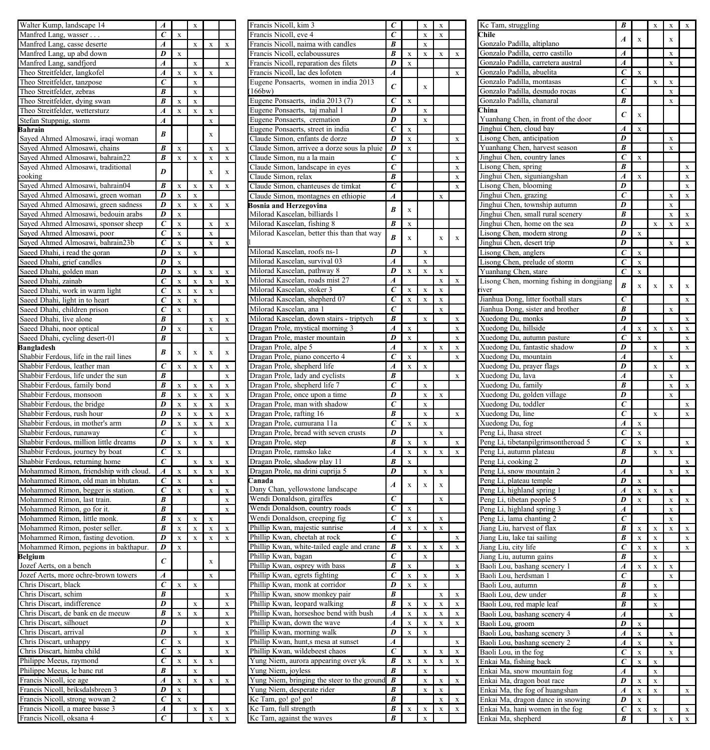| Walter Kump, landscape 14                                                                           | 4                |                         | x         |             |             |
|-----------------------------------------------------------------------------------------------------|------------------|-------------------------|-----------|-------------|-------------|
| Manfred Lang, wasser.                                                                               | $\epsilon$       | x                       |           |             |             |
|                                                                                                     | $\boldsymbol{A}$ |                         |           |             | x           |
| Manfred Lang, casse deserte                                                                         |                  |                         | X         | X           |             |
| Manfred Lang, up abd down                                                                           | D                | x                       |           |             |             |
| Manfred Lang, sandfjord                                                                             | $\boldsymbol{A}$ |                         | X         |             | $\bf{x}$    |
| Theo Streitfelder, langkofel                                                                        | Ā                | x                       | X         | x           |             |
| Theo Streitfelder, tanzpose                                                                         | $\epsilon$       |                         | x         |             |             |
| Theo Streitfelder, zebras                                                                           | B                |                         | x         |             |             |
| Theo Streitfelder, dying swan                                                                       | B                | x                       | x         |             |             |
| Theo Streitfelder, wettersturz                                                                      | $\overline{A}$   | $\overline{\mathbf{x}}$ | x         | x           |             |
|                                                                                                     |                  |                         |           |             |             |
| Stefan Stuppnig, storm                                                                              | $\boldsymbol{A}$ |                         |           | x           |             |
| Bahrain                                                                                             | B                |                         |           | x           |             |
| Sayed Ahmed Almosawi, iraqi woman                                                                   |                  |                         |           |             |             |
| Sayed Ahmed Almosawi, chains                                                                        | B                | X                       |           | X           | X           |
| Sayed Ahmed Almosawi, bahrain22                                                                     | B                | x                       | x         | x           | x           |
| Sayed Ahmed Almosawi, traditional                                                                   |                  |                         |           |             |             |
| cooking                                                                                             | D                |                         |           | x           | x           |
|                                                                                                     | $\overline{B}$   |                         |           |             |             |
| Sayed Ahmed Almosawi, bahrain04                                                                     |                  | x                       | x         | $\mathbf x$ | $\mathbf x$ |
| Sayed Ahmed Almosawi, green woman                                                                   | D                | X                       | X         |             |             |
| Sayed Ahmed Almosawi, green sadness                                                                 | D                | X                       | X         | X           | x           |
| Sayed Ahmed Almosawi, bedouin arabs                                                                 | D                | X                       |           |             |             |
|                                                                                                     | C                |                         |           |             |             |
| Sayed Ahmed Almosawi, sponsor sheep                                                                 |                  | X                       |           | X           | X           |
| Sayed Ahmed Almosawi, poor                                                                          | C                | X                       |           | X           |             |
| Sayed Ahmed Almosawi, bahrain23b                                                                    | $\epsilon$       | $\bar{x}$               |           | x           | x           |
| Saeed Dhahi, i read the qoran                                                                       | D                | $\bar{x}$               | x         |             |             |
| Saeed Dhahi, grief candles                                                                          | D                | $\bar{x}$               |           |             |             |
|                                                                                                     | D                | x                       | x         | $\bar{x}$   | $\bar{x}$   |
| Saeed Dhahi, golden man                                                                             |                  |                         |           |             |             |
| Saeed Dhahi, zainab                                                                                 | $\overline{c}$   | X                       | x         | x           | x           |
| Saeed Dhahi, work in warm light                                                                     | Ĉ                | $\bar{x}$               | x         | x           |             |
| Saeed Dhahi, light in to heart                                                                      | $\overline{c}$   | $\bar{x}$               | x         |             |             |
| Saeed Dhahi, children prison                                                                        | $\epsilon$       | $\bar{x}$               |           |             |             |
| Saeed Dhahi, live alone                                                                             | B                |                         |           | x           | x           |
|                                                                                                     |                  |                         |           |             |             |
| Saeed Dhahi, noor optical                                                                           | D                | x                       |           | x           |             |
| Saeed Dhahi, cycling desert-01                                                                      | $\overline{B}$   |                         |           |             | x           |
| <b>Bangladesh</b>                                                                                   |                  |                         |           |             |             |
| Shabbir Ferdous, life in the rail lines                                                             | B                | $\overline{\mathbf{x}}$ | $\bar{x}$ | $\bar{x}$   | $\bf x$     |
| Shabbir Ferdous, leather man                                                                        | $\overline{c}$   | $\overline{\mathbf{x}}$ | x         | $\bar{x}$   | $\bar{x}$   |
|                                                                                                     | $\overline{B}$   |                         |           |             |             |
| Shabbir Ferdous, life under the sun                                                                 |                  |                         |           |             | x           |
| Shabbir Ferdous, family bond                                                                        | B                | x                       | x         | x           | x           |
| Shabbir Ferdous, monsoon                                                                            | B                | x                       | x         | x           | x           |
| Shabbir Ferdous, the bridge                                                                         | D                | $\bar{x}$               | X         | X           | x           |
| Shabbir Ferdous, rush hour                                                                          | D                | $\overline{\mathbf{x}}$ | x         | x           | x           |
| Shabbir Ferdous, in mother's arm                                                                    | $\overline{D}$   | $\overline{\mathbf{x}}$ |           | x           | x           |
|                                                                                                     |                  |                         | x         |             |             |
| Shabbir Ferdous, runaway                                                                            | $\overline{c}$   |                         | x         |             |             |
| Shabbir Ferdous, million little dreams                                                              | $\overline{D}$   | x                       | X         | $\bar{x}$   | $\bar{x}$   |
| Shabbir Ferdous, journey by boat                                                                    | $\overline{c}$   | X                       |           |             |             |
| Shabbir Ferdous, returning home                                                                     | $\overline{c}$   |                         | X         | X           | x           |
|                                                                                                     | $\boldsymbol{A}$ |                         | x         |             |             |
| Mohammed Rimon, friendship with cloud.                                                              |                  | X                       |           | X           | X           |
| Mohammed Rimon, old man in bhutan                                                                   | $\epsilon$       | X                       |           | X           |             |
| Mohammed Rimon, begger is station.                                                                  | $\bar{c}$        | X                       |           | x           | $\bf{x}$    |
| Mohammed Rimon, last train.                                                                         | B                |                         |           |             | x           |
|                                                                                                     | $\overline{B}$   |                         |           |             | x           |
| Mohammed Rimon, go for it.<br>Mohammed Rimon, little monk.                                          | $\overline{B}$   | X                       | X         | x           |             |
|                                                                                                     |                  |                         |           |             |             |
| Mohammed Rimon, poster seller                                                                       | $\overline{B}$   | X                       | X         | x           | x           |
| Mohammed Rimon, fasting devotion                                                                    | D                | X                       | X         | X           | X           |
| Mohammed Rimon, pegions in bakthapur.                                                               | D                | x                       |           |             |             |
| Belgium                                                                                             |                  |                         |           |             |             |
| Jozef Aerts, on a bench                                                                             |                  |                         |           | x           |             |
|                                                                                                     | $\epsilon$       |                         |           |             |             |
|                                                                                                     |                  |                         |           |             |             |
|                                                                                                     | $\boldsymbol{A}$ |                         |           |             |             |
| hris Discart, black                                                                                 | $\overline{c}$   | $\bar{x}$               | x         |             |             |
|                                                                                                     | $\overline{R}$   |                         |           |             | x           |
|                                                                                                     | $\overline{D}$   |                         | X         |             | X           |
| Chris Discart, schim<br>Chris Discart, indifference                                                 |                  |                         |           |             |             |
|                                                                                                     | B                | $\bar{x}$               | X         |             | x           |
| Thris Discart, de bank en de meeuw<br>Thris Discart, silhouet                                       | D                |                         |           |             | X           |
| hris Discart, arrival                                                                               | D                |                         | X         |             | x           |
|                                                                                                     | $\epsilon$       | x                       |           |             | X           |
| hris Discart, unhappy                                                                               | $\epsilon$       | $\bar{x}$               |           |             | x           |
| hris Discart, himba child                                                                           |                  |                         |           |             |             |
| Philippe Meeus, raymond                                                                             | $\epsilon$       | $\bar{x}$               | x         | x           |             |
|                                                                                                     | B                |                         | X         |             |             |
| Philippe Meeus, le banc rut<br>Francis Nicoll, ice age                                              | $\overline{A}$   | X                       | X         | $\bar{x}$   | X           |
|                                                                                                     | D                | X                       |           |             |             |
|                                                                                                     | C                |                         |           |             |             |
| Francis Nicoll, briksdalsbreen 3<br>Francis Nicoll, strong wowan                                    |                  | X                       |           |             |             |
| Jozef Aerts, more ochre-brown towers<br>Francis Nicoll, a maree basse 3<br>Francis Nicoll, oksana 4 | A<br>$\epsilon$  |                         | X         | X<br>X      | X<br>X      |

| Francis Nicoll, kim 3                              | $\epsilon$               |                         | X           |                         |           |
|----------------------------------------------------|--------------------------|-------------------------|-------------|-------------------------|-----------|
|                                                    | $\epsilon$               |                         | X           | X                       |           |
| Francis Nicoll, eve 4                              |                          |                         |             |                         |           |
| Francis Nicoll, naima with candles                 | B                        |                         | x           |                         |           |
| Francis Nicoll, eclaboussures                      | B                        | x                       | x           | x                       | x         |
|                                                    |                          |                         |             |                         |           |
| Francis Nicoll, reparation des filets              | D                        | X                       |             |                         |           |
| Francis Nicoll, lac des lofoten                    | A                        |                         |             |                         | x         |
|                                                    |                          |                         |             |                         |           |
| women in india 2013<br>Eugene Ponsaerts,           | $\epsilon$               |                         | $\mathbf x$ |                         |           |
| 166bw)                                             |                          |                         |             |                         |           |
|                                                    |                          |                         |             |                         |           |
| Eugene Ponsaerts, india 2013 (7)                   | $\epsilon$               | $\mathbf x$             |             |                         |           |
| Eugene Ponsaerts, taj mahal                        | D                        |                         | X           |                         |           |
|                                                    | D                        |                         |             |                         |           |
| Eugene Ponsaerts, cremation                        |                          |                         | x           |                         |           |
| Eugene Ponsaerts, street in india                  | $\epsilon$               | x                       |             |                         |           |
|                                                    |                          |                         |             |                         |           |
| Claude Simon, enfants de dorze                     | D                        | X                       |             |                         | X         |
| Claude Simon, arrivee a dorze sous la pluie        | D                        | X                       |             |                         |           |
|                                                    |                          |                         |             |                         |           |
| Claude Simon, nu a la main                         | Ć                        |                         |             |                         | X         |
| Claude Simon, landscape in eyes                    | Ċ                        |                         |             |                         | X         |
|                                                    | B                        |                         |             |                         |           |
| Claude Simon, relax                                |                          |                         |             |                         | X         |
| Claude Simon, chanteuses de timkat                 | Ċ                        |                         |             |                         | X         |
|                                                    |                          |                         |             |                         |           |
| Claude Simon, montagnes en ethiopie                | A                        |                         |             | x                       |           |
| Bosnia and Herzegovina                             |                          |                         |             |                         |           |
|                                                    | B                        | $\bar{x}$               |             |                         |           |
| Milorad Kascelan, billiards 1                      |                          |                         |             |                         |           |
| Milorad Kascelan, fishing 8                        | B                        | X                       |             |                         |           |
|                                                    |                          |                         |             |                         |           |
| Milorad Kascelan, better this than that way        | B                        | $\bar{x}$               |             | $\bar{x}$               | $\bar{x}$ |
|                                                    |                          |                         |             |                         |           |
|                                                    | D                        |                         |             |                         |           |
| Milorad Kascelan, roofs ns-1                       |                          |                         | X           |                         |           |
| Milorad Kascelan, survival 03                      | Á                        |                         | X           |                         |           |
|                                                    |                          |                         |             |                         |           |
| Milorad Kascelan, pathway 8                        | D                        | X                       | x           | X                       |           |
| Milorad Kascelan, roads mist 27                    | A                        |                         |             | X                       | X         |
|                                                    |                          |                         |             |                         |           |
| Milorad Kascelan, stoker 3                         | $\epsilon$               | X                       | X           | X                       |           |
| Milorad Kascelan, shepherd 07                      | $\overline{\epsilon}$    | X                       | X           | X                       |           |
|                                                    |                          |                         |             |                         |           |
| Milorad Kascelan, ana 1                            | Ć                        |                         |             | X                       |           |
| Milorad Kascelan, down stairs - triptych           | $\overline{B}$           |                         | x           |                         | X         |
|                                                    |                          |                         |             |                         |           |
| Dragan Prole, mystical morning 3                   | $\overline{A}$           | X                       |             |                         | X         |
|                                                    | D                        |                         |             |                         |           |
| Dragan Prole, master mountain                      |                          | X                       |             |                         | X         |
| Dragan Prole, alpe 5                               | $\boldsymbol{A}$         |                         | X           | X                       | X         |
|                                                    |                          |                         |             |                         |           |
| Dragan Prole, piano concerto 4                     | C                        | $\overline{\mathbf{x}}$ |             |                         | X         |
| Dragan Prole, shepherd life                        | A                        | X                       | X           |                         |           |
|                                                    | B                        |                         |             |                         |           |
| Dragan Prole, lady and cyclists                    |                          |                         |             |                         | x         |
| Dragan Prole, shepherd life 7                      | $\epsilon$               |                         | x           |                         |           |
|                                                    |                          |                         |             |                         |           |
| Dragan Prole, once upon a time                     | D                        |                         | X           | X                       |           |
| Dragan Prole, man with shadow                      | Ċ                        |                         | X           |                         |           |
|                                                    |                          |                         |             |                         |           |
| Dragan Prole, rafting 16                           | B                        |                         | X           |                         | X         |
| Dragan Prole, cumurana 11a                         | Ċ                        | $\bar{x}$               | x           |                         |           |
|                                                    |                          |                         |             |                         |           |
| Dragan Prole, bread with seven crusts              | D                        |                         |             | x                       |           |
| Dragan Prole, step                                 | B                        | $\bar{x}$               | x           |                         | x         |
|                                                    |                          |                         |             |                         |           |
| Dragan Prole, ramsko lake                          | A                        | x                       | x           | x                       | x         |
| Dragan Prole, shadow play 11                       | B                        | x                       |             |                         |           |
|                                                    |                          |                         |             |                         |           |
| Dragan Prole, na drini cuprija 5                   | D                        |                         | x           | x                       |           |
| Canada                                             |                          |                         |             |                         |           |
|                                                    | $\overline{A}$           | $\bar{x}$               | $\bar{x}$   | $\bar{x}$               |           |
| Dany Chan, yellowstone landscape                   |                          |                         |             |                         |           |
| Wendi Donaldson, giraffes                          | $\overline{c}$           |                         |             | $\overline{\mathbf{x}}$ |           |
| Wendi Donaldson, country roads                     | $\epsilon$               | x                       |             |                         |           |
|                                                    |                          |                         |             |                         |           |
| Wendi Donaldson, creeping fig                      | ē                        | $\bar{x}$               |             | Ÿ                       |           |
| Phillip Kwan, majestic sunrise                     | $\overline{A}$           | $\overline{\mathbf{x}}$ | x           | x                       |           |
|                                                    |                          |                         |             |                         |           |
| Phillip Kwan, cheetah at rock                      | $\overline{c}$           |                         |             |                         | X         |
| Phillip Kwan, white-tailed eagle and crane         | $\overline{\mathcal{B}}$ | x                       | x           | x                       | X         |
|                                                    |                          |                         |             |                         |           |
| Phillip Kwan, bagan                                | $\overline{c}$           |                         | x           |                         |           |
| Phillip Kwan, osprey with bass                     | $\overline{B}$           | $\bar{x}$               |             |                         | x         |
|                                                    |                          |                         |             |                         |           |
| Phillip Kwan, egrets fighting                      | ĉ                        | X                       | x           |                         | X         |
| Phillip Kwan, monk at corridor                     | D                        | X                       | X           |                         |           |
|                                                    |                          |                         |             |                         |           |
| Phillip Kwan, snow monkey pair                     | $\overline{B}$           |                         |             | X                       | X         |
| Phillip Kwan, leopard walking                      | $\overline{B}$           | X                       | X           | X                       | X         |
|                                                    |                          |                         |             |                         |           |
| Phillip Kwan, horseshoe bend with bush             | A                        | x                       | x           | x                       | x         |
|                                                    | A                        | x                       | x           | x                       | x         |
| Phillip Kwan, down the wave                        |                          |                         |             |                         |           |
| Phillip Kwan, morning walk                         | D                        | X                       | X           |                         |           |
|                                                    |                          |                         |             |                         |           |
| Phillip Kwan, hunt,s mesa at sunset                | A                        |                         |             |                         | X         |
| Phillip Kwan, wildebeest chaos                     | Ć                        |                         | X           | X                       | X         |
|                                                    | B                        |                         |             |                         |           |
| Yung Niem, aurora appearing over yk                |                          | X                       | X           | X                       | X         |
| Yung Niem, joyless                                 |                          |                         |             |                         |           |
|                                                    | B                        |                         | X           |                         |           |
|                                                    |                          |                         |             |                         |           |
| Yung Niem, bringing the steer to the ground        | B                        |                         | x           | x                       | x         |
|                                                    | B                        |                         | x           | X                       |           |
| Yung Niem, desperate rider                         |                          |                         |             |                         |           |
| Kc Tam, go! go! go!                                | B                        |                         |             | X                       | X         |
|                                                    | B                        | X                       | X           | X                       | X         |
| Kc Tam, full strength<br>Kc Tam, against the waves | B                        |                         | X           |                         |           |

| Kc Tam, struggling                                    | B                       |                         | X           | X |             |
|-------------------------------------------------------|-------------------------|-------------------------|-------------|---|-------------|
| Chile                                                 | $\boldsymbol{A}$        | x                       |             | x |             |
| Gonzalo Padilla, altiplano                            |                         |                         |             |   |             |
| Gonzalo Padilla, cerro castillo                       | $\overline{A}$          |                         |             | X |             |
| Gonzalo Padilla, carretera austral                    | $\boldsymbol{A}$        |                         |             | X |             |
| Gonzalo Padilla, abuelita                             | $\overline{c}$          | x                       |             |   |             |
| Gonzalo Padilla, montasas                             | ċ                       |                         | x           | x |             |
| Gonzalo Padilla, desnudo rocas                        | $\epsilon$              |                         |             | X |             |
| Gonzalo Padilla, chanaral                             | B                       |                         |             | x |             |
| China                                                 | Ċ                       | $\bar{x}$               |             |   |             |
| Yuanhang Chen, in front of the door                   |                         |                         |             |   |             |
| Jinghui Chen, cloud bay                               | $\overline{A}$          | x                       |             |   |             |
| Lisong Chen, anticipation                             | D                       |                         |             | x |             |
| Yuanhang Chen, harvest season                         | B                       |                         |             | x |             |
| Jinghui Chen, country lanes                           | C                       | $\bar{x}$               |             |   |             |
| Lisong Chen, spring                                   | B                       |                         |             |   | x           |
| Jinghui Chen, siguniangshan                           | Ä                       | X                       |             |   | X           |
| Lisong Chen, blooming                                 | D                       |                         |             |   | X           |
| Jinghui Chen, grazing                                 | $\epsilon$              |                         |             | X | X           |
| Jinghui Chen, township autumn                         | D                       |                         |             | X |             |
| Jinghui Chen, small rural scenery                     | B                       |                         |             | X | X           |
| Jinghui Chen, home on the sea                         | D                       |                         | X           | X | X           |
| Lisong Chen, modern strong                            | D                       | X                       |             |   |             |
| Jinghui Chen, desert trip                             | D                       |                         |             | X | $\bar{x}$   |
|                                                       |                         |                         |             |   |             |
| Lisong Chen, anglers                                  | C                       | X                       |             |   |             |
| Lisong Chen, prelude of storm                         | C                       | X                       |             |   |             |
| Yuanhang Chen, stare                                  | $\overline{c}$          | $\bar{x}$               |             |   |             |
| Lisong Chen, morning fishing in dongjiang             | B                       | $\bar{x}$               | $\bar{x}$   | x | $\bar{x}$   |
| river                                                 |                         |                         |             |   |             |
| Jianhua Dong, litter football stars                   | $\epsilon$              |                         |             |   | $\mathbf x$ |
| Jianhua Dong, sister and brother                      | B                       |                         |             | x |             |
| Xuedong Du, monks                                     | $\overline{D}$          |                         |             |   | x           |
| Xuedong Du, hillside                                  | A                       | $\overline{\mathbf{x}}$ | $\bf{x}$    | x | x           |
| Xuedong Du, autumn pasture                            | C                       | X                       |             |   | x           |
| Xuedong Du, fantastic shadow                          | D                       |                         | $\bar{x}$   |   | x           |
| Xuedong Du, mountain                                  | Á                       |                         |             | x |             |
| Xuedong Du, prayer flags                              | D                       |                         | $\mathbf x$ |   | x           |
| Xuedong Du, lava                                      | A                       |                         |             | x |             |
| Xuedong Du, family                                    | B                       |                         |             | x | x           |
| Xuedong Du, golden village                            | D                       |                         |             | x |             |
|                                                       | $\epsilon$              |                         |             |   | x           |
| Xuedong Du, toddler                                   | $\epsilon$              |                         |             |   | x           |
| Xuedong Du, line                                      |                         |                         | X           |   |             |
| Xuedong Du, fog                                       | A                       | X                       |             |   |             |
| Peng Li, lhasa street                                 | $\epsilon$              | X                       |             |   |             |
| Peng Li, tibetanpilgrimsontheroad 5                   | C                       | X                       |             |   | X           |
| Peng Li, autumn plateau                               | B                       |                         | X           | X |             |
| Peng Li, cooking 2                                    | D                       |                         |             |   | X           |
| Peng Li, snow mountain 2                              | A                       |                         |             | X | X           |
| Peng Li, plateau temple                               | D                       | X                       |             |   |             |
| Peng Li, highland spring 1                            | Ā                       | X                       | X           | X |             |
| Peng Li, tibetan people 5                             | D                       | X                       |             | X | X           |
| Peng Li, highland spring 3                            | A                       |                         |             | X |             |
| Peng Li, lama chanting 2                              | $\epsilon$              |                         |             | X |             |
| Jiang Liu, harvest of flax                            | B                       | X                       | X           | X | X           |
| Jiang Liu, lake tai sailing                           | B                       | X                       | X           |   | X           |
|                                                       | c                       |                         |             |   | $\bar{x}$   |
| Jiang Liu, city life                                  | B                       | X                       | X           |   |             |
| Jiang Liu, autumn gains                               |                         |                         | X           |   |             |
| Baoli Lou, bashang scenery 1                          | A                       | x                       | $\bar{x}$   | x |             |
| Baoli Lou, herdsman 1                                 | $\overline{c}$          |                         |             | x |             |
| Baoli Lou, autumn                                     | $\overline{B}$          |                         | $\bar{x}$   |   |             |
| Baoli Lou, dew under                                  | B                       |                         | X           |   |             |
| Baoli Lou, red maple leaf                             | R                       |                         | X           |   |             |
| Baoli Lou, bashang scenery 4                          | $\overline{A}$          |                         |             | x |             |
| Baoli Lou, groom                                      | $\overline{\mathbf{D}}$ | X                       |             |   |             |
| Baoli Lou, bashang scenery                            | A                       | X                       |             | X |             |
| Baoli Lou, bashang scenery 2                          | A                       | X                       |             | x |             |
| Baoli Lou, in the fog                                 | ē                       | X                       |             | x |             |
| Enkai Ma, fishing back                                | $\overline{c}$          | X                       | $\bar{x}$   |   |             |
| nkai Ma, snow mountain fog                            | A                       |                         | x           |   |             |
| Enkai Ma, dragon boat race                            | D                       | $\bar{x}$               | x           |   |             |
| Enkai Ma, the fog of huangshan                        | A                       | X                       | x           |   | x           |
|                                                       | D                       |                         |             |   |             |
| Enkai Ma, dragon dance in snowing                     |                         | X                       |             |   |             |
| Enkai Ma, hani women in the fog<br>Enkai Ma, shepherd | Ċ                       | X                       | X           |   | X           |
|                                                       | B                       |                         |             | X | X           |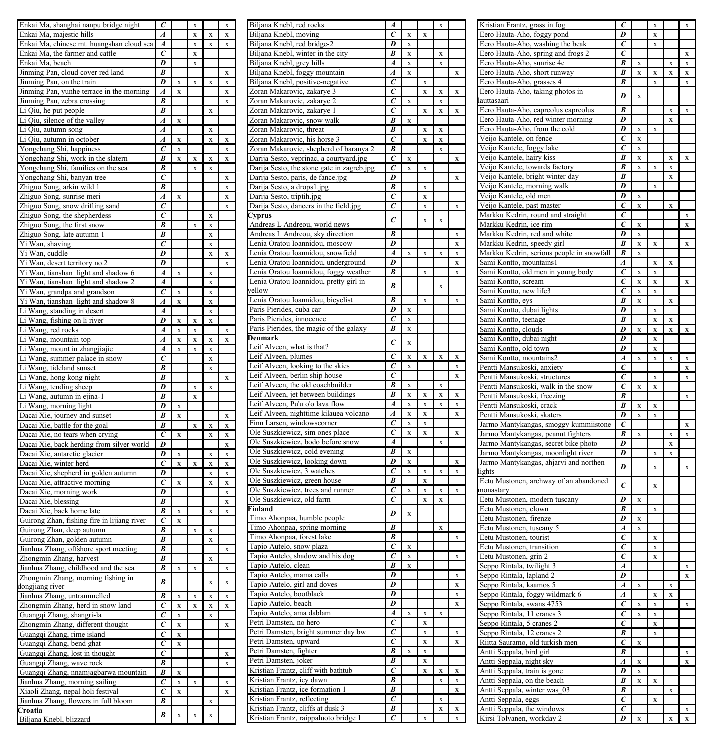| Enkai Ma, shanghai nanpu bridge night        | $\epsilon$            |              |   |           |   |
|----------------------------------------------|-----------------------|--------------|---|-----------|---|
| Enkai Ma, majestic hills                     | Á                     |              | X | X         | X |
|                                              |                       |              |   |           |   |
| Enkai Ma, chinese mt. huangshan cloud sea    | A                     |              | X | X         | X |
| Enkai Ma, the farmer and cattle              | $\epsilon$            |              | X |           |   |
| Enkai Ma, beach                              | $\overline{D}$        |              | X |           |   |
| Jinming Pan, cloud cover red land            | $\overline{B}$        |              |   |           | X |
| Jinming Pan, on the train                    | D                     | X            | X | X         | X |
| Jinming Pan, yunhe terrace in the morning    | $\overline{A}$        | X            |   |           | X |
|                                              | B                     |              |   |           |   |
| Jinming Pan, zebra crossing                  |                       |              |   |           | X |
| Li Qiu, he put people                        | $\overline{B}$        |              |   | X         |   |
| Li Qiu, silence of the valley                | $\boldsymbol{A}$      | X            |   |           |   |
| Li Qiu, autumn song                          | A                     |              |   | X         |   |
|                                              |                       |              |   |           |   |
| Li Qiu, autumn in october                    | A                     | X            |   | X         | X |
| Yongchang Shi, happiness                     | $\epsilon$            | x            |   |           | X |
| Yongchang Shi, work in the slatern           | B                     | X            | X | X         | X |
| Yongchang Shi, families on the sea           | B                     |              | x | X         |   |
| Yongchang Shi, banyan tree                   | $\epsilon$            |              |   |           | X |
|                                              |                       |              |   |           |   |
| Zhiguo Song, arkin wild 1                    | B                     |              |   |           | x |
| Zhiguo Song, sunrise meri                    | A                     | x            |   |           | x |
| Zhiguo Song, snow drifting sand              | $\epsilon$            |              |   |           | x |
| Zhiguo Song, the shepherdess                 | $\overline{c}$        |              |   | x         |   |
|                                              |                       |              |   |           |   |
| Zhiguo Song, the first snow                  | B                     |              | x | x         |   |
| Zhiguo Song, late autumn 1                   | B                     |              |   | x         |   |
| Yi Wan, shaving                              | $\overline{c}$        |              |   | x         |   |
| Yi Wan, cuddle                               | D                     |              |   | x         | x |
|                                              |                       |              |   |           | Ÿ |
| Yi Wan, desert territory no.2                | D                     |              |   |           |   |
| Yi Wan, tianshan light and shadow 6          | $\overline{A}$        | x            |   | $\bar{x}$ |   |
| Yi Wan, tianshan light and shadow 2          | $\overline{A}$        |              |   | $\bar{x}$ |   |
| Yi Wan, grandpa and grandson                 | $\overline{c}$        | X            |   | X         |   |
| Yi Wan, tianshan light and shadow 8          | A                     | X            |   | x         |   |
|                                              |                       |              |   |           |   |
| Li Wang, standing in desert                  | Á                     |              |   | x         |   |
| Li Wang, fishing on li river                 | D                     | x            | x | x         |   |
| Li Wang, red rocks                           | A                     | $\mathbf{x}$ | X |           | x |
| Li Wang, mountain top                        | $\overline{A}$        | X            | X | x         | Ÿ |
|                                              |                       |              |   |           |   |
| Li Wang, mount in zhangjiajie                | $\overline{A}$        | X            | X | X         |   |
| Li Wang, summer palace in snow               | $\overline{c}$        |              |   | X         |   |
| Li Wang, tideland sunset                     | B                     |              |   | X         |   |
|                                              |                       |              |   |           |   |
|                                              |                       |              |   |           |   |
| Li Wang, hong kong night                     | B                     |              |   |           | X |
| Li Wang, tending sheep                       | D                     |              | x | x         |   |
|                                              | B                     |              | x |           |   |
| Wang, autumn in ejina-1                      |                       |              |   |           |   |
| Wang, morning light                          | D                     | x            |   |           |   |
| Dacai Xie, journey and sunset                | $\overline{B}$        | x            |   |           | x |
| Dacai Xie, battle for the goal               | B                     |              | X | X         | X |
| Dacai                                        | C                     | x            |   | X         | X |
| Xie, no tears when crying                    |                       |              |   |           |   |
| Xie, back herding from silver world<br>Dacai | D                     |              |   |           | X |
| Dacai Xie, antarctic glacier                 | D                     | x            |   | X         | X |
| Dacai Xie, winter herd                       | C                     | x            | x | x         | x |
| Dacai Xie, shepherd in golden autumn         | D                     |              |   | X         | x |
|                                              |                       |              |   |           | x |
| Xie, attractive morning<br>Dacai             | C                     | X            |   | X         |   |
| Xie, morning work<br>Dacai                   | D                     |              |   |           | X |
| Dacai Xie, blessing                          | B                     |              |   |           | X |
| Dacai Xie, back home late                    | B                     | X            |   | X         | X |
| Guirong Zhan, fishing fire in lijiang river  | c                     | X            |   |           |   |
|                                              | B                     |              | X | X         |   |
| Guirong Zhan, deep autumn                    |                       |              |   |           |   |
| Guirong Zhan, golden autumn                  | B                     |              |   | X         |   |
| Jianhua Zhang, offshore sport meeting        | B                     |              |   |           | X |
| Zhongmin Zhang, harvest                      | B                     |              |   | X         |   |
| Jianhua Zhang, childhood and the sea         | B                     | X            | x |           | X |
|                                              |                       |              |   |           |   |
| Zhongmin Zhang, morning fishing in           | B                     |              |   | X         | x |
| dongjiang river                              |                       |              |   |           |   |
| Jianhua Zhang, untrammelled                  | $\overline{B}$        | X            | X | x         | x |
| Zhongmin Zhang, herd in snow land            | C                     | X            | X | X         | X |
| Guangqi Zhang, shangri-la                    | $\epsilon$            | X            |   | X         |   |
|                                              | Ć                     | X            |   |           | X |
| Zhongmin Zhang, different thought            | Ć                     |              |   |           |   |
| Guangqi Zhang, rime island                   |                       | X            |   |           |   |
| Guangqi Zhang, bend ghat                     | $\epsilon$            | X            |   |           |   |
| Guangqi Zhang, lost in thought               | $\epsilon$            |              |   |           | X |
| Guangqi Zhang, wave rock                     | $\overline{B}$        |              |   |           | X |
|                                              | B                     |              |   |           |   |
| Guangqi Zhang, nnamjagbarwa mountain         |                       | X            |   |           |   |
| Jianhua Zhang, morning sailing               | $\overline{\epsilon}$ | X            | X |           | X |
| Xiaoli Zhang, nepal holi festival            | C                     | X            |   |           | X |
| Jianhua Zhang, flowers in full bloom         | B                     |              |   | X         |   |
| Croatia<br>Biljana Knebl, blizzard           | B                     | X            | X | X         |   |

| Biljana Knebl, red rocks                                                   |                          |           |           |          |                         |
|----------------------------------------------------------------------------|--------------------------|-----------|-----------|----------|-------------------------|
| Biljana Knebl, moving                                                      | $\epsilon$               | x         | x         |          |                         |
| Biljana Knebl, red bridge-2                                                | D                        | x         |           |          |                         |
|                                                                            | B                        |           |           |          |                         |
| Biljana Knebl, winter in the city                                          |                          | x         |           | x        |                         |
| Biljana Knebl, grey hills                                                  | A                        | x         |           | x        |                         |
| Biljana Knebl, foggy mountain                                              | A                        | x         |           |          | $\overline{\mathbf{x}}$ |
|                                                                            |                          |           |           |          |                         |
| Biljana Knebl, positive-negative                                           | C                        |           | X         |          |                         |
| Zoran Makarovic, zakarye 3                                                 | C                        |           | x         |          | X                       |
| Zoran Makarovic, zakarye 2                                                 | C                        | x         |           | X        |                         |
|                                                                            | C                        |           |           |          |                         |
| Zoran Makarovic, zakarye 1                                                 |                          |           | x         | X        | x                       |
| Zoran Makarovic, snow walk                                                 | B                        | X         |           |          |                         |
| Zoran Makarovic, threat                                                    | B                        |           | X         | X        |                         |
|                                                                            |                          |           |           |          |                         |
| Zoran Makarovic, his horse 3                                               | $\epsilon$               |           | X         | X        |                         |
| Zoran Makarovic, shepherd of baranya 2                                     | B                        |           |           | X        |                         |
|                                                                            | $\epsilon$               | X         |           |          | X                       |
| Darija Sesto, veprinac, a courtyard.jpg                                    |                          |           |           |          |                         |
| Darija Sesto, the stone gate in zagreb.jpg                                 | $\epsilon$               | X         | x         |          |                         |
| Darija Sesto, paris, de fance.jpg                                          | D                        |           |           |          | X                       |
|                                                                            |                          |           |           |          |                         |
| Darija Sesto, a drops1.jpg                                                 | B                        |           | X         |          |                         |
| Darija Sesto, triptih.jpg                                                  | C                        |           | x         |          |                         |
| Darija Sesto, dancers in the field.jpg                                     | с                        |           | X         |          | X                       |
|                                                                            |                          |           |           |          |                         |
| Cyprus<br>Andreas L Andreou, world news                                    | $\epsilon$               |           | $\bar{x}$ | $\bf{x}$ |                         |
|                                                                            |                          |           |           |          |                         |
|                                                                            | B                        |           |           |          | x                       |
| Andreas L Andreou, sky direction                                           |                          |           |           |          |                         |
| Lenia Oratou Ioannidou, moscow                                             | D                        |           |           |          | x                       |
| Lenia Oratou Ioannidou, snowfield                                          | Á                        | X         | x         | X        | x                       |
|                                                                            |                          |           |           |          |                         |
| Lenia Oratou Ioannidou, underground                                        | D                        |           |           |          | X                       |
| Lenia Oratou Ioannidou, foggy weather                                      | B                        |           | X         |          | X                       |
| Lenia Oratou Ioannidou, pretty girl in                                     |                          |           |           |          |                         |
|                                                                            | B                        |           |           | $\bf{x}$ |                         |
| yellow                                                                     |                          |           |           |          |                         |
| Lenia Oratou Ioannidou, bicyclist                                          | B                        |           | x         |          | X                       |
|                                                                            | D                        | X         |           |          |                         |
| Paris Pierides, cuba car                                                   |                          |           |           |          |                         |
| Paris Pierides, innocence                                                  | Ċ                        | X         |           |          |                         |
| Paris Pierides, the magic of the galaxy                                    | B                        | X         |           |          |                         |
|                                                                            |                          |           |           |          |                         |
| Denmark                                                                    | $\epsilon$               | $\bar{x}$ |           |          |                         |
| Leif Alveen, what is that?                                                 |                          |           |           |          |                         |
| Leif Alveen, plumes                                                        | $\overline{\epsilon}$    | x         | x         | X        | X                       |
|                                                                            |                          |           |           |          |                         |
| Leif Alveen, looking to the skies                                          | Ć                        | X         |           |          | X                       |
| Leif Alveen, berlin ship house                                             | Ć                        |           |           |          | X                       |
| Leif Alveen, the old coachbuilder                                          | B                        |           |           |          |                         |
|                                                                            |                          | x         |           | X        |                         |
|                                                                            |                          |           |           |          | X                       |
|                                                                            | $\overline{\mathcal{B}}$ | X         | X         | X        |                         |
| Leif Alveen, jet between buildings                                         |                          |           |           |          |                         |
| Leif Alveen, Pu'u o'o lava flow                                            | A                        | X         | X         | X        | X                       |
| Leif Alveen, nighttime kilauea volcano                                     | $\boldsymbol{A}$         | X         | X         |          | X                       |
|                                                                            |                          |           |           |          |                         |
| Finn Larsen, windowscorner                                                 | $\epsilon$               | X         | X         |          |                         |
| Ole Suszkiewicz, sim ones place                                            | $\epsilon$               | X         | x         |          | x                       |
| Ole Suszkiewicz, bodo before snow                                          | A                        |           |           | X        |                         |
|                                                                            |                          |           |           |          |                         |
| Ole Suszkiewicz, cold evening                                              | B                        | X         |           |          |                         |
| Ole Suszkiewicz, looking down                                              | D                        | x         |           |          | x                       |
|                                                                            | $\epsilon$               | x         | x         | x        | X                       |
| Ole Suszkiewicz, 3 watches                                                 |                          |           |           |          |                         |
| Ole Suszkiewicz, green house                                               | B                        |           | X         |          |                         |
| Ole Suszkiewicz, trees and runner                                          | $\overline{c}$           | x         | X         | X        | x                       |
|                                                                            | $\overline{c}$           |           | x         | x        |                         |
| Ole Suszkiewicz, old farm                                                  |                          |           |           |          |                         |
| Finland                                                                    | D                        | $\bar{x}$ |           |          |                         |
| Timo Ahonpaa, humble people                                                |                          |           |           |          |                         |
|                                                                            | $\overline{B}$           |           |           |          |                         |
| Timo Ahonpaa, spring morning                                               |                          |           |           | x        |                         |
| Timo Ahonpaa, forest lake                                                  | B                        |           |           |          | x                       |
| Tapio Autelo, snow plaza                                                   | $\epsilon$               | x         |           |          |                         |
|                                                                            |                          |           |           |          |                         |
| Tapio Autelo, shadow and his dog                                           | $\overline{c}$           | x         |           |          | x                       |
| Tapio Autelo, clean                                                        | $\overline{B}$           | x         |           |          |                         |
|                                                                            | $\overline{D}$           |           |           |          | X                       |
| Tapio Autelo, mama calls                                                   |                          |           |           |          |                         |
| Tapio Autelo, girl and doves                                               | $\overline{\mathit{D}}$  |           |           |          | X                       |
| Tapio Autelo, bootblack                                                    | $\overline{D}$           |           |           |          | X                       |
|                                                                            | $\overline{\mathit{D}}$  |           |           |          |                         |
| Tapio Autelo, beach                                                        |                          |           |           |          | X                       |
| Tapio Autelo, ama dablam                                                   | A                        |           | x         | x        |                         |
| Petri Damsten, no hero                                                     | $\epsilon$               |           | X         |          |                         |
|                                                                            |                          |           |           |          |                         |
| Petri Damsten, bright summer day bw                                        | C                        |           | X         |          | X                       |
|                                                                            | $\epsilon$               |           | x         |          | x                       |
| Petri Damsten, upward                                                      |                          | X         |           |          |                         |
| Petri Damsten, fighter                                                     | B                        |           | X         |          |                         |
| Petri Damsten, joker                                                       | B                        |           | X         |          |                         |
|                                                                            | C                        |           | X         | X        | X                       |
| Kristian Frantz, cliff with bathtub                                        |                          |           |           |          |                         |
| Kristian Frantz, icy dawn                                                  | B                        |           |           | x        | X                       |
| Kristian Frantz, ice formation 1                                           | B                        |           |           |          | X                       |
|                                                                            | c                        |           |           |          |                         |
| Kristian Frantz, reflecting                                                |                          |           |           | X        |                         |
| Kristian Frantz, cliffs at dusk 3<br>Kristian Frantz, raippaluoto bridge 1 | B<br>í                   |           | X         | X        | X<br>X                  |

| Kristian Frantz, grass in fog                           | с                     |                         | X           |          | X           |
|---------------------------------------------------------|-----------------------|-------------------------|-------------|----------|-------------|
| Eero Hauta-Aho, foggy pond                              | D                     |                         | X           |          |             |
| Eero Hauta-Aho, washing the beak                        | $\overline{\epsilon}$ |                         | X           |          |             |
| Eero Hauta-Aho, spring and frogs 2                      | C                     |                         |             |          | x           |
| Eero Hauta-Aho, sunrise 4c                              | B                     | X                       |             | X        | X           |
| Eero Hauta-Aho, short runway                            | B                     | X                       | X           | X        | X           |
| Eero Hauta-Aho, grasses 4                               | B                     |                         | $\bar{x}$   |          | x           |
| Eero Hauta-Aho, taking photos in                        |                       |                         |             |          |             |
| auttasaari                                              | D                     | $\overline{\mathbf{x}}$ |             |          |             |
| Eero Hauta-Aho, capreolus capreolus                     | B                     |                         |             | x        | $\mathbf x$ |
|                                                         | D                     |                         |             |          |             |
| Eero Hauta-Aho, red winter morning                      |                       |                         |             | x        |             |
| Eero Hauta-Aho, from the cold                           | D                     | X                       | X           |          |             |
| Veijo Kantele, on fence                                 | Ć                     | X                       |             |          |             |
| Veijo Kantele, foggy lake                               | Ċ                     | X                       |             |          |             |
| Veijo Kantele, hairy kiss                               | B                     | X                       |             | $\bf{x}$ | X           |
| Veijo Kantele, towards factory                          | B                     | X                       | X           | $\bf{x}$ |             |
| Veijo Kantele, bright winter day                        | B                     |                         |             | X        |             |
| Veijo Kantele, morning walk                             | D                     |                         | $\mathbf X$ |          |             |
| Veijo Kantele, old men                                  | D                     | $\bar{x}$               |             |          |             |
| Veijo Kantele, past master                              | C                     | X                       |             | x        |             |
| Markku Kedrin, round and straight                       | C                     |                         |             |          | X           |
| Markku Kedrin, ice rim                                  | C                     | X                       |             |          | x           |
| Markku Kedrin, red and white                            | D                     | $\bar{x}$               |             |          |             |
| Markku Kedrin, speedy girl                              | B                     | $\bar{x}$               | $\bar{x}$   |          | $\bar{x}$   |
|                                                         | R                     | X                       |             |          |             |
| Markku Kedrin, serious people in snowfall               |                       |                         |             |          |             |
| Sami Kontto, mountains1                                 | $\overline{A}$<br>C   |                         | x           | x        |             |
| Sami Kontto, old men in young body                      |                       | X                       | X           |          |             |
| Sami Kontto, scream                                     | Ċ                     | X                       | x           |          | $\mathbf x$ |
| Sami Kontto, new life3                                  | $\overline{c}$        | X                       | X           |          |             |
| Sami Kontto, eys                                        | B                     | X                       |             | X        |             |
| Sami Kontto, dubai lights                               | D                     |                         | X           |          |             |
| Sami Kontto, teenage                                    | $\boldsymbol{B}$      |                         | X           | X        |             |
| Sami Kontto, clouds                                     | D                     | X                       | X           | x        | X           |
| Sami Kontto, dubai night                                | D                     |                         | X           |          |             |
| Sami Kontto, old town                                   | D                     |                         | X           |          |             |
| Sami Kontto, mountains2                                 | Ā                     | X                       | X           | x        | X           |
| Pentti Mansukoski, anxiety                              | Ċ                     |                         |             |          | x           |
| Pentti Mansukoski, structures                           | Ċ                     |                         | X           |          | X           |
| Pentti Mansukoski, walk in the snow                     | Ć                     | X                       | X           |          |             |
|                                                         | $\overline{R}$        |                         |             |          |             |
| Pentti Mansukoski, freezing                             | R                     |                         |             |          | X           |
| Pentti Mansukoski, crack                                |                       | X                       | X           |          |             |
| Pentti Mansukoski, skaters                              | D                     | X                       | X           |          |             |
| Jarmo Mantykangas, smoggy kummiistone                   | $\epsilon$            |                         |             |          | X           |
| Jarmo Mantykangas, peanut fighters                      | $\overline{B}$        | X                       |             | X        | X           |
| Jarmo Mantykangas, secret bike photo                    | D                     |                         |             | X        |             |
| Jarmo Mantykangas, moonlight river                      | D                     |                         | X           | $\bf{x}$ |             |
| Jarmo Mantykangas, ahjarvi and northen                  |                       |                         |             |          |             |
| lights                                                  | D                     |                         | $\bf x$     |          | $\bar{x}$   |
| Eetu Mustonen, archway of an abandoned                  |                       |                         |             |          |             |
| nonastary                                               | $\epsilon$            |                         | X           |          |             |
| Eetu Mustonen, modern tuscany                           | D                     | X                       |             |          |             |
| Eetu Mustonen, clown                                    | B                     |                         | X           |          |             |
| Eetu Mustonen, firenze                                  | D                     | X                       |             |          |             |
| Eetu Mustonen, tuscany 5                                | A                     | X                       |             |          |             |
| Eetu Mustonen, tourist                                  | C                     |                         |             |          |             |
|                                                         |                       |                         | X           |          |             |
| Eetu Mustonen, transition                               | C                     |                         | X           |          |             |
| Eetu Mustonen, grin 2                                   | $\epsilon$            |                         | X           |          |             |
| Seppo Rintala, twilight 3                               | A                     |                         |             |          | x           |
| Seppo Rintala, lapland 2                                | D                     |                         |             |          | x           |
| Seppo Rintala, kaamos 5                                 | $\overline{A}$        | $\bar{x}$               |             | x        |             |
| Seppo Rintala, foggy wildmark 6                         | $\overline{A}$        |                         | X           | X        |             |
| Seppo Rintala, swans 4753                               | $\overline{c}$        | X                       | X           |          | x           |
| Seppo Rintala, 11 cranes 3                              | $\overline{c}$        | X                       | X           |          |             |
| Seppo Rintala, 5 cranes 2                               | $\bar{c}$             |                         | X           |          |             |
| Seppo Rintala, 12 cranes 2                              | B                     |                         | X           |          |             |
| Riitta Sauramo, old turkish men                         | $\overline{c}$        | x                       |             |          |             |
|                                                         | B                     |                         |             |          | x           |
| Antti Seppala, bird girl                                |                       | $\bar{x}$               |             |          |             |
| Antti Seppala, night sky                                | A                     |                         |             |          | x           |
| Antti Seppala, train is gone                            | D                     | X                       |             |          |             |
| Antti Seppala, on the beach                             | B                     | X                       | x           |          |             |
| Antti Seppala, winter was<br>03                         | R                     |                         |             | X        |             |
| Antti Seppala, eggs                                     | $\epsilon$            |                         | X           |          |             |
|                                                         |                       |                         |             |          |             |
| Antti Seppala, the windows<br>Kirsi Tolvanen, workday 2 | Ċ<br>D                | $\bf{x}$                |             |          | X           |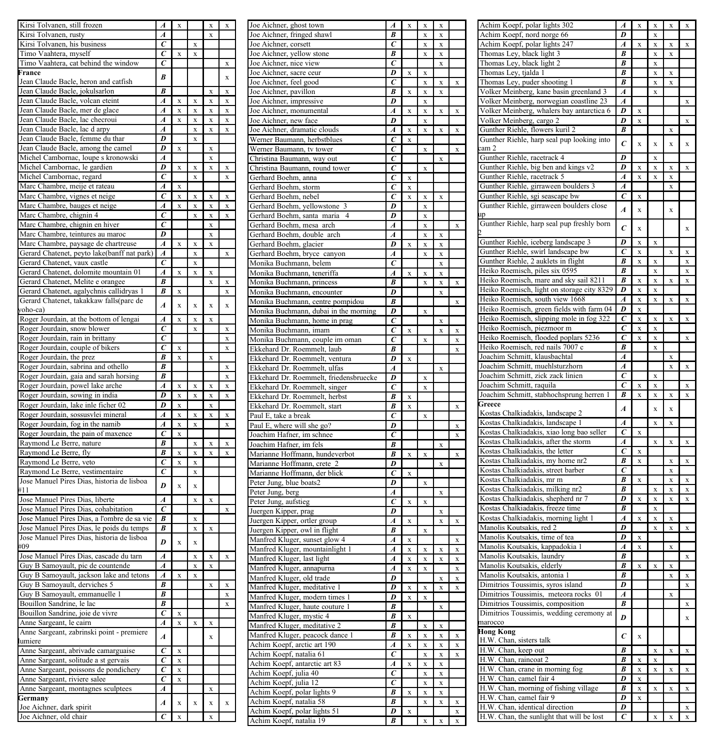| Kirsi Tolvanen, still frozen                                  | Á                     | x                       |           | x         | x         |
|---------------------------------------------------------------|-----------------------|-------------------------|-----------|-----------|-----------|
| Kirsi Tolvanen, rusty                                         | A                     |                         |           | X         |           |
| Kirsi Tolvanen, his business                                  | C                     |                         | X         |           |           |
| Timo Vaahtera, myself                                         | C                     | $\bar{x}$               | $\bf{x}$  |           |           |
|                                                               |                       |                         |           |           |           |
| Timo Vaahtera, cat behind the window                          | C                     |                         |           |           | X         |
| France                                                        | B                     |                         |           |           | x         |
| Jean Claude Bacle, heron and catfish                          |                       |                         |           |           |           |
| Jean Claude Bacle, jokulsarlon                                | $\overline{B}$        |                         |           | x         | $\bf x$   |
| Jean Claude Bacle, volcan eteint                              | A                     | X                       | $\bf x$   | x         | $\bf x$   |
| Jean Claude Bacle, mer de glace                               | A                     | X                       | X         | X         | X         |
|                                                               | Á                     | x                       |           |           |           |
| Jean Claude Bacle, lac checroui                               |                       |                         | X         | X         | X         |
| Jean Claude Bacle, lac d arpy                                 | $\boldsymbol{A}$      |                         | X         | X         | X         |
| Jean Claude Bacle, femme du thar                              | D                     |                         | X         |           |           |
| Jean Claude Bacle, among the camel                            | D                     | $\bar{x}$               |           | X         |           |
| Michel Cambornac, loupe s kronowski                           | $\overline{A}$        |                         |           | x         |           |
| Michel Cambornac, le gardien                                  | D                     | x                       | x         | $\bar{x}$ | $\bar{x}$ |
|                                                               | $\epsilon$            |                         |           |           |           |
| Michel Cambornac, regard                                      |                       |                         | x         |           | x         |
| Marc Chambre, meije et rateau                                 | Ā                     | X                       |           |           |           |
| Marc Chambre, vignes et neige                                 | Ċ                     | x                       | x         | x         | x         |
| Marc Chambre, bauges et neige                                 | A                     | x                       | x         | x         | x         |
| Marc Chambre, chignin 4                                       | Ċ                     |                         | x         | x         | x         |
|                                                               |                       |                         |           |           |           |
| Marc Chambre, chignin en hiver                                | $\overline{c}$        |                         |           | x         |           |
| Marc Chambre, teintures au maroc                              | D                     |                         |           | x         |           |
| Marc Chambre, paysage de chartreuse                           | $\overline{A}$        | x                       | x         | Ÿ         |           |
| Gerard Chatenet, peyto lake(banff nat park)                   | $\overline{A}$        |                         | x         |           | x         |
| Gerard Chatenet, vaux castle                                  | $\overline{c}$        |                         | x         |           |           |
|                                                               |                       |                         |           |           |           |
| Gerard Chatenet, dolomite mountain 01                         | $\overline{A}$        | x                       | x         | X         |           |
| Gerard Chatenet, Melite e orangee                             | B                     |                         |           | x         | x         |
| Gerard Chatenet, agalychnis callidryas 1                      | B                     | $\overline{\mathbf{x}}$ |           |           | x         |
| Gerard Chatenet, takakkaw falls(parc de                       |                       |                         |           |           |           |
| yoho-ca)                                                      | $\overline{A}$        | $\overline{\mathbf{x}}$ | $\bar{x}$ | $\bar{x}$ | $\bar{x}$ |
| Roger Jourdain, at the bottom of lengai                       | A                     | x                       | x         | $\bar{x}$ |           |
|                                                               |                       |                         |           |           |           |
| Roger Jourdain, snow blower                                   | C                     |                         | x         |           | $\bar{x}$ |
| Roger Jourdain, rain in brittany                              | $\overline{c}$        |                         |           |           | x         |
| Roger Jourdain, couple of bikers                              | Ċ                     | X                       |           |           | x         |
| Roger Jourdain, the prez                                      | B                     | x                       |           | x         |           |
| Roger Jourdain, sabrina and othello                           | B                     |                         |           |           | x         |
|                                                               |                       |                         |           |           |           |
| Roger Jourdain, gaia and sarah horsing                        | B                     |                         |           |           | x         |
| Roger Jourdain, powel lake arche                              | $\overline{A}$        | x                       | x         | x         | x         |
| Roger Jourdain, sowing in india                               | $\overline{D}$        | X                       | x         | X         | x         |
| Roger Jourdain, lake inle ficher 02                           | $\overline{D}$        | x                       |           | X         |           |
| Roger Jourdain, sossusvlei mineral                            | A                     | x                       | x         | x         | x         |
|                                                               |                       |                         |           |           |           |
| Roger Jourdain, fog in the namib                              | A                     | X                       | X         |           | X         |
| Roger Jourdain, the pain of maxence                           | $\epsilon$            | X                       |           |           |           |
| Raymond Le Berre, nature                                      | R                     |                         | x         | x         | x         |
| Raymond Le Berre, fly                                         | B                     | x                       | x         |           | x         |
| Raymond Le Berre, veto                                        | $\overline{\epsilon}$ | X                       | X         |           |           |
|                                                               |                       |                         |           |           |           |
| Raymond Le Berre, vestimentaire                               | $\overline{\epsilon}$ |                         | X         |           |           |
| Jose Manuel Pires Dias, historia de lisboa                    | D                     | $\bar{x}$               | X         |           |           |
| #11                                                           |                       |                         |           |           |           |
| Jose Manuel Pires Dias, liberte                               | A                     |                         | x         | x         |           |
| Jose Manuel Pires Dias, cohabitation                          | $\epsilon$            |                         |           |           | x         |
|                                                               | R                     |                         |           |           |           |
| Jose Manuel Pires Dias, a l'ombre de sa vie                   |                       |                         | X         |           |           |
| Jose Manuel Pires Dias, le poids du temps                     | B                     |                         | X         | x         |           |
| Jose Manuel Pires Dias, historia de lisboa                    | D                     | $\overline{\mathbf{x}}$ | $\bar{x}$ |           |           |
| #09                                                           |                       |                         |           |           |           |
| Jose Manuel Pires Dias, cascade du tarn                       | $\overline{A}$        |                         | x         | $\bar{x}$ | x         |
| Guy B Samoyault, pic de countende                             | $\overline{A}$        |                         | X         | x         |           |
|                                                               |                       |                         |           |           |           |
| Guy B Samoyault, jackson lake and tetons                      | A                     | x                       |           |           |           |
| Guy B Samoyault, derviches 5                                  | B                     |                         |           | x         | x         |
| Guy B Samoyault, emmanuelle 1                                 | B                     |                         |           |           | x         |
| Bouillon Sandrine, le lac                                     | $\overline{R}$        |                         |           |           | x         |
| Bouillon Sandrine, joie de vivre                              | $\overline{c}$        | x                       |           |           |           |
| Anne Sargeant, le cairn                                       | $\boldsymbol{A}$      |                         |           |           |           |
|                                                               |                       | X                       | X         | X         |           |
| Anne Sargeant, zabrinski point - premiere                     | A                     |                         |           | x         |           |
| lumiere                                                       |                       |                         |           |           |           |
| Anne Sargeant, abrivade camarguaise                           | $\overline{c}$        | x                       |           |           |           |
| Anne Sargeant, solitude a st gervais                          | $\tilde{c}$           | X                       |           |           |           |
| Anne Sargeant, poissons de pondichery                         | ĉ                     | X                       |           |           |           |
| Anne Sargeant, riviere salee                                  |                       | X                       |           |           |           |
|                                                               |                       |                         |           |           |           |
|                                                               | $\bar{c}$             |                         |           |           |           |
| Anne Sargeant, montagnes sculptees                            | $\boldsymbol{A}$      |                         |           | x         |           |
|                                                               |                       |                         |           |           |           |
|                                                               | $\overline{A}$        | $\bar{x}$               | x         | $\bf x$   | $\bf{x}$  |
| Germany<br>Joe Aichner, dark spirit<br>Joe Aichner, old chair | $\overline{c}$        | $\bf{x}$                |           | x         |           |

| $\overline{A}$                                                                                                | $\bf{x}$                |           | x         | x         | Joe Aichner, ghost town                                 | A                       | X                       | x                       | x           |               |
|---------------------------------------------------------------------------------------------------------------|-------------------------|-----------|-----------|-----------|---------------------------------------------------------|-------------------------|-------------------------|-------------------------|-------------|---------------|
| $\overline{A}$                                                                                                |                         |           | x         |           | Joe Aichner, fringed shawl                              | B                       |                         | x                       | $\bf x$     |               |
| $\overline{c}$                                                                                                |                         | X         |           |           | Joe Aichner, corsett                                    | $\epsilon$              |                         | X                       | X           |               |
| $\epsilon$                                                                                                    | X                       | $\bf{x}$  |           |           | Joe Aichner, yellow stone                               | B                       |                         | X                       | X           |               |
|                                                                                                               |                         |           |           |           |                                                         |                         |                         |                         |             |               |
| $\epsilon$                                                                                                    |                         |           |           | X         | Joe Aichner, nice view                                  | $\epsilon$              |                         |                         | $\bf{x}$    |               |
| B                                                                                                             |                         |           |           | $\bf x$   | Joe Aichner, sacre ceur                                 | D                       | X                       | X                       |             |               |
|                                                                                                               |                         |           |           |           | Joe Aichner, feel good                                  | Ċ                       |                         | x                       | x           | $\bf x$       |
| B                                                                                                             |                         |           | X         | X         | Joe Aichner, pavillon                                   | B                       | x                       | x                       | x           |               |
|                                                                                                               |                         |           |           |           |                                                         |                         |                         |                         |             |               |
| $\overline{A}$                                                                                                | X                       | X         | X         | X         | Joe Aichner, impressive                                 | D                       |                         | x                       |             |               |
| $\boldsymbol{A}$                                                                                              | X                       | X         | X         | X         | Joe Aichner, monumental                                 | Á                       | x                       | x                       | x           | $\bf{x}$      |
| $\overline{A}$                                                                                                | $\bar{x}$               | x         | x         | x         | Joe Aichner, new face                                   | D                       |                         | x                       |             |               |
| $\overline{A}$                                                                                                |                         | x         | x         | x         | Joe Aichner, dramatic clouds                            | Á                       | x                       | x                       | $\bar{x}$   | x             |
| D                                                                                                             |                         |           |           |           |                                                         |                         |                         |                         |             |               |
|                                                                                                               |                         | x         |           |           | Werner Baumann, herbstblues                             | Ċ                       | x                       |                         |             |               |
| D                                                                                                             | $\bar{x}$               |           | x         |           | Werner Baumann, tv tower                                | $\overline{c}$          |                         | $\mathbf x$             |             | x             |
| $\overline{A}$                                                                                                |                         |           | x         |           | Christina Baumann, way out                              | $\overline{c}$          |                         |                         | $\mathbf x$ |               |
| D                                                                                                             | $\overline{\mathbf{x}}$ | $\bar{x}$ | $\bar{x}$ | $\bar{x}$ | Christina Baumann, round tower                          | $\overline{c}$          |                         | $\mathbf{x}$            |             |               |
|                                                                                                               |                         |           |           |           |                                                         |                         |                         |                         |             |               |
| $\overline{c}$                                                                                                |                         | x         |           | $\bar{x}$ | Gerhard Boehm, anna                                     | $\overline{c}$          | X                       |                         |             |               |
| $\overline{A}$                                                                                                | $\overline{\mathbf{x}}$ |           |           |           | Gerhard Boehm, storm                                    | $\overline{c}$          | X                       |                         |             |               |
| $\overline{c}$                                                                                                | X                       | X         | X         | X         | Gerhard Boehm, nebel                                    | $\overline{\epsilon}$   | X                       | X                       | X           |               |
| $\overline{A}$                                                                                                | $\bar{x}$               | X         | X         | X         | Gerhard Boehm, yellowstone<br>3                         | D                       |                         | X                       |             |               |
|                                                                                                               |                         |           |           |           |                                                         |                         |                         |                         |             |               |
| $\overline{c}$                                                                                                |                         | x         | x         | x         | Gerhard Boehm, santa maria<br>$\overline{4}$            | D                       |                         | x                       |             |               |
| $\overline{c}$                                                                                                |                         |           | x         |           | Gerhard Boehm, mesa<br>arch                             | A                       |                         | x                       |             |               |
| $\overline{D}$                                                                                                |                         |           | X         |           | Gerhard Boehm, double arch                              | A                       |                         | X                       | $\bf{x}$    |               |
| A                                                                                                             | $\bar{x}$               | X         | X         |           |                                                         | D                       | x                       |                         | x           |               |
|                                                                                                               |                         |           |           |           | Gerhard Boehm, glacier                                  |                         |                         | X                       |             |               |
| A                                                                                                             |                         | X         |           | X         | Gerhard Boehm, bryce canyon                             | A                       |                         | x                       | x           |               |
| $\overline{c}$                                                                                                |                         | x         |           |           | Monika Buchmann, belem                                  | $\epsilon$              |                         |                         | x           |               |
| A                                                                                                             | $\bar{x}$               | x         | x         |           | Monika Buchmann, teneriffa                              | Á                       | x                       | x                       | x           |               |
| B                                                                                                             |                         |           | x         | $\bf x$   |                                                         | B                       |                         |                         |             |               |
|                                                                                                               |                         |           |           |           | Monika Buchmann, princess                               |                         |                         | x                       | x           | x             |
| B                                                                                                             | X                       |           |           | $\bf x$   | Monika Buchmann, encounter                              | D                       |                         |                         | x           |               |
|                                                                                                               |                         |           |           |           | Monika Buchmann, centre pompidou                        | B                       |                         |                         |             | X             |
| A                                                                                                             | x                       | x         | x         | x         | Monika Buchmann, dubai in the morning                   | D                       |                         | X                       |             |               |
| $\overline{A}$                                                                                                | X                       | x         | X         |           |                                                         | c                       |                         |                         |             |               |
|                                                                                                               |                         |           |           |           | Monika Buchmann, home in prag                           |                         |                         |                         | X           |               |
| $\overline{c}$                                                                                                |                         | X         |           | x         | Monika Buchmann, imam                                   | Ċ                       | X                       |                         | X           | X             |
| $\overline{c}$                                                                                                |                         |           |           | X         | Monika Buchmann, couple im oman                         | Ċ                       |                         | X                       |             | X             |
| $\overline{\epsilon}$                                                                                         | $\bar{x}$               |           |           | X         | Ekkehard Dr. Roemmelt, laub                             | B                       |                         |                         |             | X             |
| B                                                                                                             | $\bar{x}$               |           | X         |           |                                                         | $\overline{\mathit{D}}$ |                         |                         |             |               |
|                                                                                                               |                         |           |           |           | Ekkehard Dr. Roemmelt, ventura                          |                         | X                       |                         |             |               |
| B                                                                                                             |                         |           |           | X         | Ekkehard Dr. Roemmelt, ulfas                            | $\boldsymbol{A}$        |                         |                         | X           |               |
| B                                                                                                             |                         |           |           | X         | Ekkehard Dr. Roemmelt, friedensbruecke                  | D                       |                         | X                       |             |               |
| $\overline{A}$                                                                                                | $\bar{x}$               | x         | x         | x         | Ekkehard Dr. Roemmelt, singer                           | $\epsilon$              |                         | X                       |             |               |
| D                                                                                                             | X                       | x         | x         | x         |                                                         |                         |                         |                         |             |               |
|                                                                                                               |                         |           |           |           | Ekkehard Dr. Roemmelt, herbst                           | B                       | $\mathbf x$             |                         |             |               |
| D                                                                                                             | X                       |           | x         |           | Ekkehard Dr. Roemmelt, start                            | B                       | $\mathbf x$             |                         |             | X             |
| $\overline{A}$                                                                                                | X                       | X         | x         | x         | Paul E, take a break                                    | $\overline{\epsilon}$   |                         | $\mathbf x$             |             |               |
| Ā                                                                                                             | X                       | X         |           | x         | Paul E, where will she go?                              | D                       |                         |                         |             | X             |
| $\overline{c}$                                                                                                | X                       |           |           |           |                                                         | C                       |                         |                         |             |               |
|                                                                                                               |                         |           |           |           | Joachim Hafner, im schnee                               |                         |                         |                         |             | $\bf{x}$      |
| B                                                                                                             |                         |           |           |           | Joachim Hafner, im fels                                 |                         |                         |                         |             |               |
|                                                                                                               |                         | X         | X         | X         |                                                         | B                       |                         |                         | $\bf{x}$    |               |
|                                                                                                               | X                       | X         | X         | X         |                                                         | B                       | x                       | $\bar{x}$               |             | $\bf{x}$      |
| $\overline{B}$                                                                                                |                         |           |           |           | Marianne Hoffmann, hundeverbot                          |                         |                         |                         |             |               |
| $\overline{c}$                                                                                                | X                       | X         |           |           | Marianne Hoffmann, crete 2                              | D                       |                         |                         | x           |               |
| $\overline{c}$                                                                                                |                         | X         |           |           | Marianne Hoffmann, der blick                            | Ċ                       | x                       |                         |             |               |
|                                                                                                               |                         |           |           |           | Peter Jung, blue boats2                                 | D                       |                         | x                       |             |               |
|                                                                                                               | $\bar{x}$               | X         |           |           |                                                         | Á                       |                         |                         | $\bar{x}$   |               |
|                                                                                                               |                         |           | X         |           | Peter Jung, berg                                        |                         |                         |                         |             |               |
|                                                                                                               |                         | X         |           |           | Peter Jung, aufstieg                                    | $\epsilon$              | x                       | $\overline{\mathbf{x}}$ |             |               |
|                                                                                                               |                         |           |           | X         | Juergen Kipper, prag                                    | D                       |                         |                         | $\bar{x}$   |               |
|                                                                                                               |                         | x         |           |           | Juergen Kipper, ortler group                            | Á                       | $\overline{\mathbf{x}}$ |                         | $\bar{x}$   | x             |
|                                                                                                               |                         | X         | X         |           |                                                         | $\overline{B}$          |                         |                         |             |               |
|                                                                                                               |                         |           |           |           | Juergen Kipper, owl in flight                           |                         |                         | X                       |             |               |
| D<br>$\overline{A}$<br>$\overline{c}$<br>B<br>$\overline{B}$<br>D                                             | $\bar{x}$               | X         |           |           | Manfred Kluger, sunset glow 4                           | $\overline{A}$          | X                       |                         |             | X             |
|                                                                                                               |                         |           |           |           | Manfred Kluger, mountainlight 1                         | A                       | X                       | $\overline{\mathbf{x}}$ | X           | X             |
| $\overline{A}$                                                                                                |                         | X         | X         | X         | Manfred Kluger, last light                              | A                       | X                       | X                       | X           | x             |
|                                                                                                               |                         | X         | X         |           |                                                         |                         |                         |                         |             |               |
|                                                                                                               |                         |           |           |           | Manfred Kluger, annapurna                               | A                       | X                       | X                       |             | x             |
|                                                                                                               | X                       | X         |           |           | Manfred Kluger, old trade                               | D                       |                         |                         | x           | x             |
| $\overline{A}$<br>$\overline{A}$<br>$\overline{B}$                                                            |                         |           | $\bf{x}$  | X         | Manfred Kluger, meditative 1                            | D                       | X                       | X                       | X           | x             |
| B                                                                                                             |                         |           |           | X         |                                                         | D                       | x                       | x                       |             |               |
| $\overline{B}$                                                                                                |                         |           |           | X         | Manfred Kluger, modern times 1                          |                         |                         |                         |             |               |
|                                                                                                               |                         |           |           |           | Manfred Kluger, haute couture 1                         | B                       |                         |                         | $\bf x$     |               |
| $\overline{c}$                                                                                                | X                       |           |           |           | Manfred Kluger, mystic 4                                | B                       | x                       |                         |             |               |
|                                                                                                               | X                       | X         | X         |           | Manfred Kluger, meditative 2                            | B                       |                         | X                       | $\bf{x}$    |               |
|                                                                                                               |                         |           |           |           |                                                         | B                       | x                       | x                       | x           | x             |
|                                                                                                               |                         |           | X         |           | Manfred Kluger, peacock dance 1                         |                         |                         |                         |             |               |
|                                                                                                               | X                       |           |           |           | Achim Koepf, arctic art 190                             | A                       | x                       | X                       | X           | X             |
|                                                                                                               |                         |           |           |           | Achim Koepf, natalia 61                                 | Ċ                       |                         | $\mathbf x$             | x           | $\mathbf x$   |
|                                                                                                               | X                       |           |           |           | Achim Koepf, antarctic art 83                           | Ā                       | X                       | X                       | X           |               |
|                                                                                                               | X                       |           |           |           |                                                         | c                       |                         | X                       | X           |               |
|                                                                                                               | X                       |           |           |           | Achim Koepf, julia 40                                   |                         |                         |                         |             |               |
|                                                                                                               |                         |           | x         |           | Achim Koepf, julia 12                                   | c                       |                         | X                       | X           |               |
| $\overline{A}$<br>A<br>$\overline{c}$<br>$\overline{c}$<br>$\overline{c}$<br>$\overline{c}$<br>$\overline{A}$ |                         |           |           |           | Achim Koepf, polar lights 9                             | B                       | X                       | X                       | X           |               |
| $\boldsymbol{A}$                                                                                              | X                       | X         | X         | X         | Achim Koepf, natalia 58                                 | B                       |                         | X                       | X           | X             |
|                                                                                                               |                         |           |           |           |                                                         | D                       |                         |                         |             |               |
| $\overline{c}$                                                                                                | x                       |           | X         |           | Achim Koepf, polar lights 51<br>Achim Koepf, natalia 19 | B                       | X                       | $\bar{x}$               | $\bf x$     | $\bf{x}$<br>X |

| Achim Koepf, polar lights 302                                                                                                                                              | 4                | X         | X           | X         | X           |
|----------------------------------------------------------------------------------------------------------------------------------------------------------------------------|------------------|-----------|-------------|-----------|-------------|
| Achim Koepf, nord norge 66                                                                                                                                                 | $\overline{D}$   |           | X           |           |             |
|                                                                                                                                                                            |                  |           |             |           |             |
| Achim Koepf, polar lights 247                                                                                                                                              | A                | x         | X           | x         | X           |
| Thomas Ley, black light<br>Thomas Ley, black light                                                                                                                         | B                |           | X           | X         |             |
|                                                                                                                                                                            | B                |           | X           |           |             |
| Thomas Ley, tjalda<br>$\mathbf{1}$                                                                                                                                         | B                |           | x           | x         |             |
|                                                                                                                                                                            | R                |           |             |           |             |
| Thomas Ley, puder shooting 1                                                                                                                                               |                  |           | x           | x         |             |
| Volker Meinberg, kane basin greenland<br>3                                                                                                                                 | $\overline{A}$   |           | X           |           |             |
| Volker Meinberg, norwegian coastline 23                                                                                                                                    | $\overline{A}$   |           |             |           | X           |
| Volker Meinberg, whalers bay antarctica 6                                                                                                                                  | $\overline{D}$   | X         |             |           |             |
| Volker Meinberg, cargo 2                                                                                                                                                   | D                | X         |             |           | X           |
|                                                                                                                                                                            |                  |           |             |           |             |
| Gunther Riehle, flowers kuril 2                                                                                                                                            | B                |           |             | X         |             |
| Gunther Riehle, harp seal pup looking into                                                                                                                                 | C                | X         | X           | x         | X           |
| cam 2                                                                                                                                                                      |                  |           |             |           |             |
| Gunther Riehle, racetrack 4                                                                                                                                                | D                |           | X           |           |             |
| Gunther Riehle, big ben and kings v2                                                                                                                                       | p                | X         | X           | X         | X           |
|                                                                                                                                                                            |                  |           |             |           |             |
| Gunther Riehle, racetrack 5                                                                                                                                                | $\boldsymbol{A}$ | X         | x           | x         |             |
| Gunther Riehle, girraween boulders 3                                                                                                                                       | $\boldsymbol{A}$ |           |             | x         |             |
| Gunther Riehle, sgi seascape bw                                                                                                                                            | $\epsilon$       | x         |             |           |             |
| Gunther Riehle, girraween boulders close                                                                                                                                   |                  |           |             |           |             |
|                                                                                                                                                                            | $\boldsymbol{A}$ | $\bar{x}$ |             | x         |             |
| ıp                                                                                                                                                                         |                  |           |             |           |             |
| Gunther Riehle, harp seal pup freshly born                                                                                                                                 | $\epsilon$       |           |             |           |             |
|                                                                                                                                                                            |                  | $\bar{x}$ |             |           | x           |
| Gunther Riehle, iceberg landscape 3                                                                                                                                        | D                | x         | $\mathbf x$ |           |             |
|                                                                                                                                                                            |                  |           |             |           |             |
| Gunther Riehle, swirl landscape bw                                                                                                                                         | $\epsilon$       | x         |             | x         | x           |
| Gunther Riehle, 2 auklets in flight                                                                                                                                        | B                | x         | x           |           | x           |
| Heiko Roemisch, piles six 0595                                                                                                                                             | B                |           | x           |           | x           |
| Heiko Roemisch, mare and sky sail 8211                                                                                                                                     | $\overline{B}$   | x         | x           | $\bar{x}$ | x           |
|                                                                                                                                                                            |                  |           |             |           |             |
| Heiko Roemisch, light on storage city 8329                                                                                                                                 | D                | x         |             |           |             |
| Heiko Roemisch, south view 1668                                                                                                                                            | $\overline{A}$   | X         | X           | X         | X           |
| Heiko Roemisch, green fields with farm 04                                                                                                                                  | D                | $\bar{x}$ |             |           |             |
| Heiko Roemisch, slipping mole in fog 322                                                                                                                                   | $\overline{c}$   | X         | X           | x         | X           |
|                                                                                                                                                                            | $\epsilon$       |           |             |           |             |
| Heiko Roemisch, piezmoor m                                                                                                                                                 |                  | x         | X           |           |             |
| Heiko Roemisch, flooded poplars 5236                                                                                                                                       | C                | X         | X           |           | X           |
| Heiko Roemisch, red nails 7007 c                                                                                                                                           | B                |           | X           |           |             |
|                                                                                                                                                                            | A                |           |             | X         |             |
| Joachim Schmitt, klausbachtal                                                                                                                                              |                  |           |             |           |             |
| Joachim Schmitt, muehlsturzhorn                                                                                                                                            | $\overline{A}$   |           |             | X         | $\bf{x}$    |
| Joachim Schmitt, zick zack linien                                                                                                                                          | $\epsilon$       |           | x           |           |             |
| Joachim Schmitt, raquila                                                                                                                                                   | C                | X         | x           |           | x           |
| Joachim Schmitt, stabhochsprung herren 1                                                                                                                                   | B                | X         | X           | x         | X           |
| Greece                                                                                                                                                                     |                  |           |             |           |             |
|                                                                                                                                                                            | $\boldsymbol{A}$ |           | $\bar{x}$   | $\bf{x}$  |             |
| Kostas Chalkiadakis, landscape 2                                                                                                                                           |                  |           |             |           |             |
| Kostas Chalkiadakis, landscape 1                                                                                                                                           | A                |           | x           | x         |             |
| Kostas Chalkiadakis, xiao long bao seller                                                                                                                                  | C                | X         |             |           |             |
| Kostas Chalkiadakis, after the storm                                                                                                                                       | $\boldsymbol{A}$ |           | X           | X         | X           |
|                                                                                                                                                                            |                  |           |             |           |             |
| Kostas Chalkiadakis, the letter                                                                                                                                            | C                | X         |             |           |             |
|                                                                                                                                                                            |                  |           |             | X         | X           |
| Kostas Chalkiadakis, my home nr2                                                                                                                                           | $\overline{B}$   | X         |             |           |             |
|                                                                                                                                                                            |                  |           |             |           |             |
| Kostas Chalkiadakis, street barber                                                                                                                                         | $\epsilon$       |           |             | X         |             |
| Kostas Chalkiadakis, mr m                                                                                                                                                  | B                | x         |             | X         | X           |
| Kostas Chalkiadakis, milking nr2                                                                                                                                           | B                |           | X           | x         | X           |
| Kostas Chalkiadakis, shepherd nr 7                                                                                                                                         | D                | x         | x           | $\bar{x}$ | $\mathbf x$ |
| Kostas Chalkiadakis, freeze time                                                                                                                                           | B                |           | x           |           |             |
|                                                                                                                                                                            |                  |           |             |           |             |
| Kostas Chalkiadakis, morning light 1                                                                                                                                       | $\overline{A}$   | x         | x           | x         |             |
| Manolis Koutsakis, red 2                                                                                                                                                   | D                |           | x           | x         | x           |
| Manolis Koutsakis, time of tea                                                                                                                                             | D                | x         |             |           |             |
|                                                                                                                                                                            |                  |           |             | x         |             |
| Manolis Koutsakis, kappadokia 1                                                                                                                                            | $\overline{A}$   | X         |             |           |             |
| Manolis Koutsakis, laundry                                                                                                                                                 | B                |           |             |           | X           |
| Manolis Koutsakis, elderly                                                                                                                                                 | $\overline{B}$   | x         | x           | x         |             |
| Manolis Koutsakis, antonia 1                                                                                                                                               | $\boldsymbol{B}$ |           |             | X         | X           |
|                                                                                                                                                                            | D                |           |             |           | X           |
| Dimitrios Toussimis, syros island                                                                                                                                          |                  |           |             |           |             |
|                                                                                                                                                                            | $\boldsymbol{A}$ |           |             | X         |             |
|                                                                                                                                                                            | B                |           |             |           | X           |
|                                                                                                                                                                            |                  |           |             |           |             |
| Dimitrios Toussimis, <i>Systematical</i> Committies Toussimis, meteora rocks 01<br>Dimitrios Toussimis, composition<br>Dimitrios Toussimis, wedding ceremony at<br>narocco | D                |           |             |           | $\bar{x}$   |
|                                                                                                                                                                            |                  |           |             |           |             |
| <b>Hong Kong</b>                                                                                                                                                           | C                | x         |             |           |             |
| H.W. Chan, sisters talk                                                                                                                                                    |                  |           |             |           |             |
| H.W. Chan, keep out                                                                                                                                                        | $\overline{B}$   |           | X           | X         | X           |
| H.W. Chan, raincoat 2                                                                                                                                                      | $\overline{B}$   | X         |             |           |             |
|                                                                                                                                                                            |                  |           |             |           |             |
|                                                                                                                                                                            | B                | X         | X           | X         | X           |
| H.W. Chan, crane in morning fog<br>H.W. Chan, crane in morning fog<br>han, camel fair 4                                                                                    | D                | X         |             |           |             |
|                                                                                                                                                                            | B                | X         | x           | x         | x           |
|                                                                                                                                                                            | D                | X         |             |           |             |
| H.W. Chan, norning of fishing village<br>H.W. Chan, morning of fishing village                                                                                             | D                |           |             |           | X           |
| H.W. Chan, identical direction<br>H.W. Chan, the sunlight that will be lost                                                                                                | c                |           | X           | X         | X           |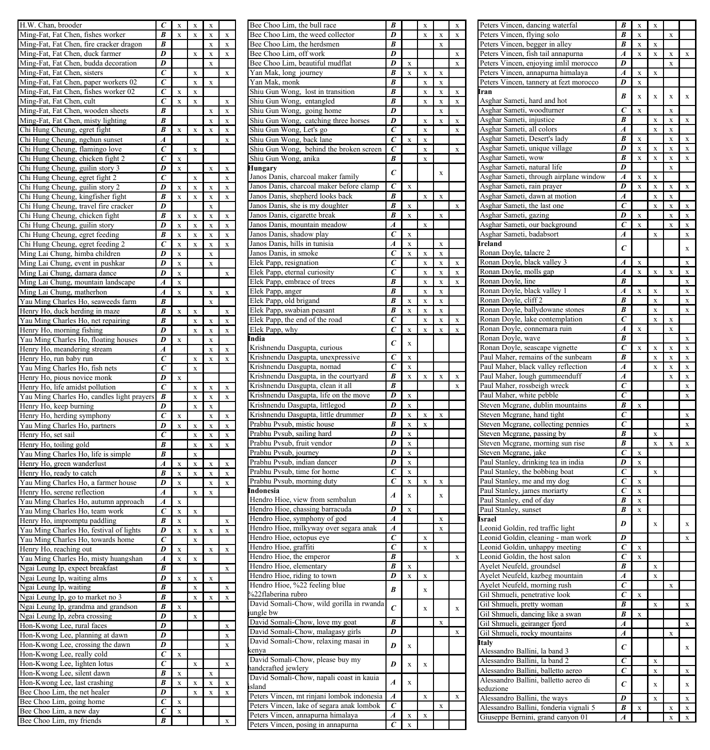| H.W. Chan, brooder                                  | $\epsilon$              | X        | X |   |           |
|-----------------------------------------------------|-------------------------|----------|---|---|-----------|
|                                                     | R                       |          |   |   |           |
| Ming-Fat, Fat Chen, fishes worker                   |                         | X        | X | X | X         |
| Ming-Fat, Fat Chen, fire cracker dragon             | $\overline{B}$          |          |   | X | X         |
| Ming-Fat, Fat Chen, duck farmer                     | $\overline{\mathit{D}}$ |          |   |   |           |
|                                                     |                         |          | X | X | X         |
| Ming-Fat, Fat Chen, budda decoration                | D                       |          |   | X |           |
|                                                     | $\epsilon$              |          | X |   | X         |
| Ming-Fat, Fat Chen, sisters                         |                         |          |   |   |           |
| Ming-Fat, Fat Chen, paper workers 02                | Ć                       |          | X | X |           |
|                                                     | $\epsilon$              |          |   |   |           |
| Ming-Fat, Fat Chen, fishes worker 02                |                         | X        | X |   |           |
| Ming-Fat, Fat Chen, cult                            | $\epsilon$              | X        | X |   | X         |
|                                                     | $\overline{B}$          |          |   |   |           |
| Ming-Fat, Fat Chen, wooden sheets                   |                         |          |   | X | X         |
| Ming-Fat, Fat Chen, misty lighting                  | B                       |          |   | X | X         |
|                                                     |                         |          |   |   |           |
| Chi Hung Cheung, egret fight                        | B                       | X        | X | X | X         |
| Chi Hung Cheung, ngchun sunset                      | A                       |          |   |   | X         |
|                                                     |                         |          |   |   |           |
| Chi Hung Cheung, flamingo love                      | $\epsilon$              |          | x |   |           |
| Chi Hung Cheung, chicken fight 2                    | $\epsilon$              | $\bf{x}$ |   |   |           |
|                                                     |                         |          |   |   |           |
| Chi Hung Cheung, guilin story 3                     | D                       | X        |   | X | X         |
| Chi Hung Cheung, egret fight 2                      | C                       |          | X |   | X         |
|                                                     |                         |          |   |   |           |
| Chi Hung Cheung, guilin story 2                     | D                       | X        | x | x | X         |
| Chi Hung Cheung, kingfisher fight                   | B                       | X        | X | X | X         |
|                                                     |                         |          |   |   |           |
| Chi Hung Cheung, travel fire cracker                | D                       |          |   | X |           |
| Chi Hung Cheung, chicken fight                      | B                       | x        | x | x | x         |
|                                                     |                         |          |   |   |           |
| Chi Hung Cheung, guilin story                       | D                       | X        | X | X | X         |
|                                                     | B                       |          |   |   |           |
| Chi Hung Cheung, egret feeding                      |                         | X        | X | X | X         |
| Chi Hung Cheung, egret feeding 2                    | C                       | X        | x | X | X         |
|                                                     |                         |          |   |   |           |
| Ming Lai Chung, himba children                      | D                       | x        |   | x |           |
| Ming Lai Chung, event in pushkar                    | D                       | x        |   | x |           |
|                                                     | D                       |          |   |   |           |
| Ming Lai Chung, damara dance                        |                         | x        |   |   | x         |
| Ming Lai Chung, mountain landscape                  | $\overline{A}$          | x        |   |   |           |
|                                                     |                         |          |   |   |           |
| Ming Lai Chung, matherhon                           | A                       | x        |   | x | x         |
| Yau Ming Charles Ho, seaweeds farm                  | B                       |          |   | x |           |
|                                                     | B                       |          |   |   |           |
| Henry Ho, duck herding in maze                      |                         | x        | x |   | x         |
| Yau Ming Charles Ho, net repairing                  | B                       |          | X | x | x         |
|                                                     |                         |          |   |   |           |
| Henry Ho, morning fishing                           | D                       |          | X | X | x         |
| Yau Ming Charles Ho, floating houses                | D                       | x        |   | X |           |
|                                                     |                         |          |   |   |           |
| Henry Ho, meandering stream                         | $\overline{A}$          |          |   | x | $\bar{x}$ |
| Henry Ho, run baby run                              | $\epsilon$              |          | x | x | x         |
|                                                     |                         |          |   |   |           |
| Yau Ming Charles Ho, fish nets                      | $\overline{c}$          |          | x |   |           |
| Henry Ho, pious novice monk                         | D                       | x        |   |   |           |
|                                                     |                         |          |   |   |           |
| Henry Ho, life amidst pollution                     | $\overline{c}$          |          | x | x | x         |
| Yau Ming Charles Ho, candles light prayers          | $\overline{B}$          |          | X | X | X         |
|                                                     |                         |          |   |   |           |
| Henry Ho, keep burning                              | $\overline{\mathit{D}}$ |          | X | x |           |
| Henry Ho, herding symphony                          | $\overline{c}$          | x        |   | x | $\bar{x}$ |
|                                                     |                         |          |   |   |           |
| Yau Ming Charles Ho, partners                       | $\overline{D}$          | x        | x |   | X         |
| Henry Ho, set sail                                  | $\overline{c}$          |          | X | x | X         |
|                                                     |                         |          |   |   |           |
|                                                     | B                       |          | X | x | x         |
|                                                     | $\overline{B}$          |          | x |   |           |
| Henry Ho, toiling gold                              |                         |          |   |   |           |
| Yau Ming Charles Ho, life is simple                 |                         |          |   |   |           |
|                                                     | A                       |          | X |   |           |
| Henry Ho, green wanderlust                          |                         | x        |   | x | X         |
| Henry Ho, ready to catch                            | B                       | X        |   | X | X         |
|                                                     | D                       | X        |   | X | X         |
| Yau Ming Charles Ho, a farmer house                 |                         |          |   |   |           |
| Henry Ho, serene reflection                         | $\boldsymbol{A}$        |          | X | x |           |
| Yau Ming Charles Ho, autumn approach                | $\boldsymbol{A}$        | x        |   |   |           |
|                                                     |                         |          |   |   |           |
| Yau Ming Charles Ho, team work                      | $\overline{c}$          | X        | X |   |           |
| Henry Ho, impromptu paddling                        | $\overline{B}$          | X        |   |   | X         |
|                                                     |                         |          |   |   |           |
| Yau Ming Charles Ho, festival of lights             | D                       | X        | x | x | x         |
| Yau Ming Charles Ho, towards home                   | $\epsilon$              |          | X |   |           |
|                                                     |                         |          |   |   |           |
| Henry Ho, reaching out                              | D                       | x        |   | x | x         |
|                                                     | A                       | X        | X |   |           |
| Yau Ming Charles Ho, misty huangshan                |                         |          |   |   |           |
| Ngai Leung Ip, expect breakfast                     | B                       |          |   |   | x         |
| Ngai Leung Ip, waiting alms                         | D                       | X        | X | x |           |
|                                                     | B                       |          | X |   |           |
| Ngai Leung Ip, waiting                              |                         |          |   |   | x         |
| Ngai Leung Ip, go to market no 3                    | B                       |          | x | x | x         |
|                                                     | B                       | x        |   |   |           |
| Ngai Leung Ip, grandma and grandson                 |                         |          |   |   |           |
| Ngai Leung Ip, zebra crossing                       | D                       |          | x |   |           |
|                                                     |                         |          |   |   | x         |
| Hon-Kwong Lee, rural faces                          | D                       |          |   |   |           |
| Hon-Kwong Lee, planning at dawn                     | D                       |          |   |   | x         |
|                                                     |                         |          |   |   |           |
| Hon-Kwong Lee, crossing the dawn                    | D                       |          |   |   | X         |
| Hon-Kwong Lee, really cold                          | c                       | X        |   |   |           |
|                                                     |                         |          |   |   |           |
| Hon-Kwong Lee, lighten lotus                        | C                       |          | X |   | x         |
|                                                     | B                       | X        |   | х |           |
| Hon-Kwong Lee, silent dawn                          |                         |          |   |   |           |
| Hon-Kwong Lee, last crashing                        | B                       | X        | X | X | X         |
|                                                     | D                       |          | X | X | X         |
| Bee Choo Lim, the net healer                        |                         |          |   |   |           |
| Bee Choo Lim, going home                            | $\overline{\mathbf{c}}$ | X        |   |   |           |
|                                                     | Ć                       | X        |   |   |           |
| Bee Choo Lim, a new day<br>Bee Choo Lim, my friends | B                       |          |   |   | x         |

| Bee Choo Lim, the bull race                                                                                                                                                                                                                    | B                     |             | X         |   | X |
|------------------------------------------------------------------------------------------------------------------------------------------------------------------------------------------------------------------------------------------------|-----------------------|-------------|-----------|---|---|
| Bee Choo Lim, the weed collector                                                                                                                                                                                                               | D                     |             |           | X | x |
| Bee Choo Lim, the herdsmen                                                                                                                                                                                                                     | B                     |             |           | X |   |
|                                                                                                                                                                                                                                                | D                     |             |           |   | X |
| Bee Choo Lim, off work<br>Bee Choo Lim, beautiful mudflat                                                                                                                                                                                      | D                     |             |           |   |   |
|                                                                                                                                                                                                                                                |                       | X           |           |   | X |
| Yan Mak, long journey                                                                                                                                                                                                                          | B                     | X           | x         | x |   |
| Tan Mak, monk<br>Yan Mak, monk<br>Shiu Gun Wong, entargled<br>Shiu Gun Wong, entargled<br>Shiu Gun Wong, going home<br>Shiu Gun Wong, gaching three horses<br>Shiu Gun Wong, Let's go<br>Shiu Gun Wong, back lane<br>Shiu Gun Wong, bekind the | B                     |             | X         | X |   |
|                                                                                                                                                                                                                                                | B                     |             | X         | X | X |
|                                                                                                                                                                                                                                                | B                     |             | x         | X | X |
|                                                                                                                                                                                                                                                | D                     |             |           | X |   |
|                                                                                                                                                                                                                                                | D                     |             | x         | х | x |
|                                                                                                                                                                                                                                                | Ó                     |             | X         |   | X |
|                                                                                                                                                                                                                                                | Ó                     |             |           |   |   |
|                                                                                                                                                                                                                                                |                       | X           | X         |   |   |
| Shiu Gun Wong, behind the broken screen<br>Shiu Gun Wong, anika                                                                                                                                                                                |                       |             | X         |   | x |
|                                                                                                                                                                                                                                                | B                     |             | X         |   |   |
| Hungary                                                                                                                                                                                                                                        | $\epsilon$            |             |           | x |   |
| Janos Danis, charcoal maker family                                                                                                                                                                                                             |                       |             |           |   |   |
| Janos Danis, charcoal maker before clamp                                                                                                                                                                                                       | $\overline{\epsilon}$ | X           |           |   |   |
| Janos Danis, shepherd looks back                                                                                                                                                                                                               | B                     |             | x         | x |   |
|                                                                                                                                                                                                                                                | B                     | x           |           |   | x |
| Janos Danis, she is my doughter                                                                                                                                                                                                                | B                     |             |           |   |   |
| Janos Danis, cigarette break                                                                                                                                                                                                                   |                       | X           |           | X |   |
| Janos Danis, mountain meadow                                                                                                                                                                                                                   | A                     |             | X         |   |   |
| Janos Danis, shadow play                                                                                                                                                                                                                       | $\epsilon$            | x           |           |   |   |
| Janos Danis, hills in tunisia                                                                                                                                                                                                                  | 4                     | x           |           | x |   |
| Janos Danis, in smoke                                                                                                                                                                                                                          | $\epsilon$            |             | x         | X |   |
| Elek Papp, resignation                                                                                                                                                                                                                         | Ó                     |             | X         | X | x |
|                                                                                                                                                                                                                                                | Ó                     |             | X         | X | X |
| Elek Papp, eternal curiosity                                                                                                                                                                                                                   | B                     |             |           |   |   |
| Elek Papp, embrace of trees                                                                                                                                                                                                                    |                       |             | x         | X | x |
| Elek Papp, anger                                                                                                                                                                                                                               | B                     |             | x         | X |   |
| Elek Papp, old brigand                                                                                                                                                                                                                         | B                     | X           | X         | x |   |
| Elek Papp, swabian peasant                                                                                                                                                                                                                     | B                     | X           | X         | X |   |
| Elek Papp, the end of the road                                                                                                                                                                                                                 | C                     |             | x         | X | X |
| Elek Papp, why                                                                                                                                                                                                                                 | $\epsilon$            | X           | х         | X | х |
| India                                                                                                                                                                                                                                          |                       |             |           |   |   |
| Krishnendu Dasgupta, curious                                                                                                                                                                                                                   | C                     | $\mathbf x$ |           |   |   |
|                                                                                                                                                                                                                                                | $\epsilon$            |             |           |   |   |
| Krishnendu Dasgupta, unexpressive                                                                                                                                                                                                              |                       | X           |           |   |   |
| Krishnendu Dasgupta, nomad                                                                                                                                                                                                                     | Ċ                     | X           |           |   |   |
| Krishnendu Dasgupta, in the courtyard                                                                                                                                                                                                          | $\overline{B}$        | X           | X         | x | x |
| Krishnendu Dasgupta, clean it all                                                                                                                                                                                                              | B                     |             |           |   | X |
| Krishnendu Dasgupta, life on the move                                                                                                                                                                                                          | D                     | X           |           |   |   |
| Krishnendu Dasgupta, littlegod                                                                                                                                                                                                                 | D                     | X           |           |   |   |
| Krishnendu Dasgupta, little drummer                                                                                                                                                                                                            | D                     | x           |           | x |   |
|                                                                                                                                                                                                                                                | B                     |             |           |   |   |
| Prabhu Pvsub, mistic house                                                                                                                                                                                                                     |                       | X           |           |   |   |
| Prabhu Pvsub, sailing hard                                                                                                                                                                                                                     | D                     | X           |           |   |   |
| Prabhu Pvsub, fruit vendor                                                                                                                                                                                                                     | D                     | x           |           |   |   |
| Prabhu Pvsub, journey                                                                                                                                                                                                                          | D                     | x           |           |   |   |
| Prabhu Pvsub, indian dancer                                                                                                                                                                                                                    | D                     | x           |           |   |   |
| Prabhu Pvsub, time for home                                                                                                                                                                                                                    | Ó                     | X           |           |   |   |
| Prabhu Pvsub, morning duty                                                                                                                                                                                                                     | $\epsilon$            | x           | X         | x |   |
|                                                                                                                                                                                                                                                |                       |             |           |   |   |
| Indonesia                                                                                                                                                                                                                                      | $\boldsymbol{A}$      | $\bar{x}$   |           | x |   |
| Hendro Hioe, view from sembalun                                                                                                                                                                                                                |                       |             |           |   |   |
| Hendro Hioe, chassing barracuda                                                                                                                                                                                                                | $\overline{D}$        | $\bar{x}$   |           |   |   |
| Hendro Hioe, symphony of god                                                                                                                                                                                                                   | $\overline{A}$        |             |           | x |   |
| Hendro Hioe, milkyway over segara anak                                                                                                                                                                                                         | 4                     |             |           |   |   |
| Hendro Hioe, octopus eye                                                                                                                                                                                                                       | ċ                     |             | x         |   |   |
| Hendro Hioe, graffiti                                                                                                                                                                                                                          | ċ                     |             | x         |   |   |
| Hendro Hioe, the emperor                                                                                                                                                                                                                       | B                     |             |           |   | x |
|                                                                                                                                                                                                                                                |                       |             |           |   |   |
| Hendro Hioe, elementary                                                                                                                                                                                                                        | B                     | X           |           |   |   |
| Hendro Hioe, riding to town                                                                                                                                                                                                                    | D                     |             | x         |   |   |
| Hendro Hioe, %22 feeling blue                                                                                                                                                                                                                  | $\overline{R}$        |             | x         |   |   |
| %22flaberina rubro                                                                                                                                                                                                                             |                       |             |           |   |   |
| David Somali-Chow, wild gorilla in rwanda                                                                                                                                                                                                      | $\epsilon$            |             |           |   |   |
| ungle bw                                                                                                                                                                                                                                       |                       |             | $\bar{x}$ |   | x |
| David Somali-Chow, love my goat                                                                                                                                                                                                                | B                     |             |           | x |   |
| David Somali-Chow, malagasy girls                                                                                                                                                                                                              | D                     |             |           |   | x |
|                                                                                                                                                                                                                                                |                       |             |           |   |   |
| David Somali-Chow, relaxing masai in                                                                                                                                                                                                           | D                     | $\bar{x}$   |           |   |   |
| kenya                                                                                                                                                                                                                                          |                       |             |           |   |   |
| David Somali-Chow, please buy my                                                                                                                                                                                                               | D                     | X           | $\bar{x}$ |   |   |
| handcrafted jewlery                                                                                                                                                                                                                            |                       |             |           |   |   |
| David Somali-Chow, napali coast in kauia                                                                                                                                                                                                       |                       | $\bar{x}$   |           |   |   |
| sland                                                                                                                                                                                                                                          |                       |             |           |   |   |
|                                                                                                                                                                                                                                                | $\overline{A}$        |             |           |   |   |
|                                                                                                                                                                                                                                                | $\overline{A}$        |             | X         |   |   |
| Peters Vincen, mt rinjani lombok indonesia                                                                                                                                                                                                     | Ć                     |             |           |   | X |
| Peters Vincen, lake of segara anak lombok                                                                                                                                                                                                      |                       |             |           | X |   |
| Peters Vincen, annapurna himalaya<br>Peters Vincen, posing in annapurna                                                                                                                                                                        | A<br>$\epsilon$       | X<br>X      | x         |   |   |

|                                                                                                            | B                     | X                       | X                       |             |           |
|------------------------------------------------------------------------------------------------------------|-----------------------|-------------------------|-------------------------|-------------|-----------|
| Peters Vincen, dancing waterfal<br>Peters Vincen, flying solo                                              | B                     | X                       |                         | X           |           |
|                                                                                                            |                       |                         |                         |             |           |
|                                                                                                            | B                     | X                       | x                       |             |           |
| Peters Vincen, begger in alley<br>Peters Vincen, fish tail annapurna                                       | A                     | X                       | X                       | X           | X         |
| Peters Vincen, enjoying imlil morocco                                                                      | D                     |                         |                         | X           |           |
| Peters Vincen, annapurna himalaya                                                                          | $\overline{A}$        | X                       | $\mathbf x$             |             |           |
| Peters Vincen, tannery at fezt morocco                                                                     | D                     |                         |                         |             |           |
|                                                                                                            |                       | X                       |                         |             |           |
| Iran                                                                                                       | B                     | x                       | $\mathbf x$             | $\mathbf x$ | $\bar{x}$ |
| Asghar Sameti, hard and hot                                                                                |                       |                         |                         |             |           |
| Asghar Sameti, woodturner                                                                                  | $\overline{c}$        | x                       |                         | x           |           |
| Asghar Sameti, injustice                                                                                   | B                     |                         | x                       | x           | x         |
| Asghar Sameti, all colors                                                                                  | A                     |                         | X                       | X           |           |
|                                                                                                            |                       |                         |                         |             |           |
| Asghar Sameti, Desert's lady                                                                               | B                     | X                       |                         | X           | X         |
| Asghar Sameti, unique village                                                                              | D                     | X                       | X                       | X           | X         |
| Asghar Sameti, wow                                                                                         | B                     | X                       | X                       | X           | X         |
| Asghar Sameti, natural life                                                                                | D                     |                         |                         | X           |           |
| Asghar Sameti, through airplane window                                                                     | A                     | X                       | X                       |             |           |
|                                                                                                            |                       |                         |                         |             |           |
| Asghar Sameti, rain prayer                                                                                 | D                     | X                       | X                       | X           | X         |
| Asghar Sameti, dawn at motion                                                                              | $\boldsymbol{A}$      |                         | X                       | X           |           |
| Asghar Sameti, the last one                                                                                | $\epsilon$            |                         | X                       | X           | X         |
| Asghar Sameti, gazing                                                                                      | D                     | X                       |                         | X           | X         |
|                                                                                                            | c                     |                         |                         | x           |           |
| Asghar Sameti, our background                                                                              |                       | X                       |                         |             | X         |
| Asghar Sameti, badabsort                                                                                   | A                     |                         | $\bar{x}$               |             | x         |
| Ireland                                                                                                    |                       |                         |                         |             |           |
| Ronan Doyle, talacre 2                                                                                     | $\epsilon$            |                         |                         |             | $\bar{x}$ |
| Ronan Doyle, black valley 3                                                                                | $\overline{A}$        | x                       |                         |             | x         |
|                                                                                                            |                       |                         |                         |             |           |
| Ronan Doyle, molls gap                                                                                     | $\overline{A}$        | $\overline{\mathbf{x}}$ | $\bf{x}$                | $\bf x$     | x         |
| Ronan Doyle, line                                                                                          | R                     |                         |                         |             | x         |
| Ronan Doyle, black valley 1                                                                                | A                     | x                       | x                       |             | x         |
| Ronan Doyle, cliff 2                                                                                       | B                     |                         | x                       |             | x         |
|                                                                                                            | B                     |                         |                         |             |           |
| Ronan Doyle, ballydowane stones                                                                            |                       |                         | x                       |             | x         |
| Ronan Doyle, lake contemplation                                                                            | $\tilde{c}$           |                         | X                       | X           |           |
| Ronan Doyle, connemara ruin                                                                                | A                     | X                       |                         | X           |           |
| Ronan Doyle, wave                                                                                          | $\boldsymbol{B}$      |                         |                         |             | X         |
|                                                                                                            | $\overline{c}$        | x                       | x                       | x           | x         |
| Ronan Doyle, seascape vignette                                                                             |                       |                         |                         |             |           |
|                                                                                                            | B                     |                         | x                       | x           | x         |
|                                                                                                            | 4                     |                         | x                       | X           | X         |
| Paul Maher, remains of the sunbeam<br>Paul Maher, black valley reflection<br>Paul Maher, lough gummeenduff | A                     |                         |                         | X           | X         |
| Paul Maher, rossbeigh wreck                                                                                | c                     |                         |                         |             | x         |
|                                                                                                            | c                     |                         |                         |             | X         |
| Paul Maher, white pebble                                                                                   |                       |                         |                         |             |           |
| Steven Mcgrane, dublin mountains                                                                           | B                     | X                       |                         |             |           |
| Steven Mcgrane, hand tight                                                                                 | $\epsilon$            |                         |                         |             | X         |
|                                                                                                            | $\overline{\epsilon}$ |                         |                         |             | X         |
|                                                                                                            |                       |                         | X                       |             |           |
| Steven Mcgrane, collecting pennies                                                                         | $\overline{B}$        |                         |                         |             |           |
| Steven Mcgrane, passing by                                                                                 |                       |                         |                         |             |           |
| Steven Mcgrane, morning sun rise                                                                           | B                     |                         | X                       | X           | X         |
| Steven Mcgrane, jake                                                                                       | $\epsilon$            | $\bf{x}$                |                         |             |           |
| Paul Stanley, drinking tea in india                                                                        | D                     | X                       |                         |             |           |
|                                                                                                            | $\epsilon$            |                         | $\mathbf x$             |             |           |
| Paul Stanley, the bobbing boat                                                                             |                       |                         |                         |             |           |
| Paul Stanley, me and my dog                                                                                | $\epsilon$            | x                       |                         |             |           |
| Paul Stanley, james moriarty                                                                               | $\epsilon$            | x                       |                         |             |           |
| Paul Stanley, end of day                                                                                   | B                     | x                       |                         |             |           |
| Paul Stanley, sunset                                                                                       | B                     | $\bar{x}$               |                         |             |           |
| Israel                                                                                                     |                       |                         |                         |             |           |
|                                                                                                            | D                     |                         | $\bar{x}$               |             | $\bar{x}$ |
| Leonid Goldin, red traffic light                                                                           |                       |                         |                         |             |           |
| Leonid Goldin, cleaning - man work                                                                         | $\overline{D}$        |                         |                         |             | x         |
| Leonid Goldin, unhappy meeting                                                                             | Ċ                     | $\bar{x}$               |                         |             |           |
| Leonid Goldin, the host salon                                                                              | $\overline{c}$        | x                       |                         |             |           |
| Ayelet Neufeld, groundsel                                                                                  | B                     |                         | x                       |             |           |
|                                                                                                            |                       |                         |                         |             |           |
| Ayelet Neufeld, kazbeg mountain                                                                            | $\overline{A}$        |                         | $\overline{\mathbf{x}}$ |             |           |
| Ayelet Neufeld, morning rush                                                                               | Ċ                     |                         |                         | $\bf{x}$    |           |
| Gil Shmueli, penetrative look                                                                              | $\bar{c}$             | X                       |                         |             |           |
| Gil Shmueli, pretty woman                                                                                  | B                     |                         | X                       |             | X         |
| Gil Shmueli, dancing like a swan                                                                           | B                     | X                       |                         |             |           |
|                                                                                                            |                       |                         |                         |             | X         |
| Gil Shmueli, geiranger fjord                                                                               | A                     |                         |                         |             |           |
| Gil Shmueli, rocky mountains                                                                               | A                     |                         |                         | X           |           |
| Italy                                                                                                      |                       |                         |                         |             | x         |
| Alessandro Ballini, la band 3                                                                              | $\epsilon$            |                         |                         |             |           |
|                                                                                                            | $\epsilon$            |                         | X                       |             |           |
| Alessandro Ballini, la band 2                                                                              |                       |                         |                         |             |           |
| Alessandro Ballini, balletto aereo                                                                         | $\overline{c}$        |                         | X                       |             | X         |
| Alessandro Ballini, balletto aereo di                                                                      | $\epsilon$            |                         | $\bar{x}$               |             | x         |
| seduzione                                                                                                  |                       |                         |                         |             |           |
| Alessandro Ballini, the ways                                                                               | D                     |                         | X                       |             | X         |
| Alessandro Ballini, fonderia vignali 5<br>Giuseppe Bernini, grand canyon 01                                | B<br>4                | X                       |                         | X<br>X      | X<br>X    |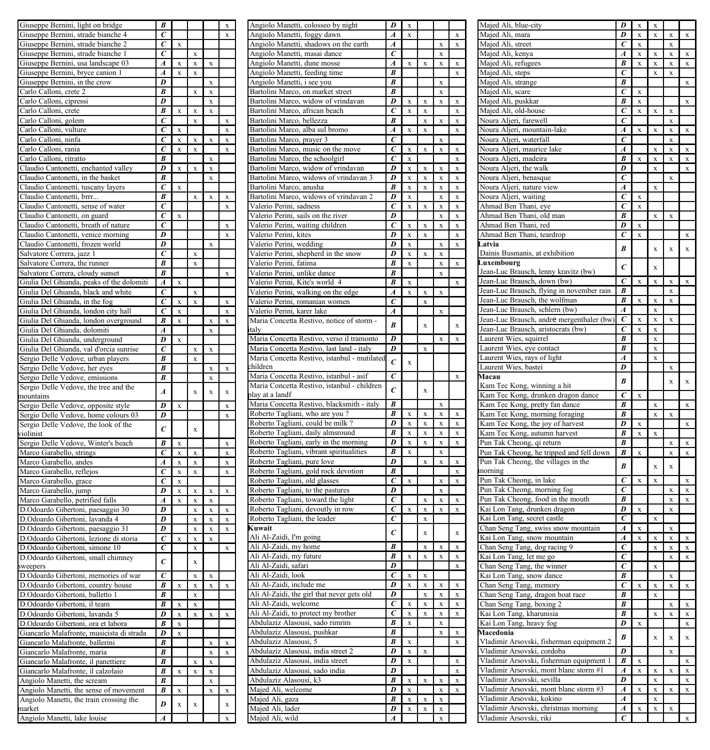| Giuseppe Bernini, light on bridge                                                 | B                                |              |              |                            | X                       | Angiolo Manetti, colosseo by night                                            | D                           | $\mathbf x$                |                            |                             |                                          |
|-----------------------------------------------------------------------------------|----------------------------------|--------------|--------------|----------------------------|-------------------------|-------------------------------------------------------------------------------|-----------------------------|----------------------------|----------------------------|-----------------------------|------------------------------------------|
| Giuseppe Bernini, strade bianche 4                                                | $\epsilon$                       |              |              |                            | $\mathbf X$             | Angiolo Manetti, foggy dawn                                                   | $\boldsymbol{A}$            | $\mathbf x$                |                            |                             | $\mathbf X$                              |
| Giuseppe Bernini, strade bianche 2                                                | $\overline{c}$                   | $\mathbf x$  |              |                            |                         | Angiolo Manetti, shadows on the earth                                         | A                           |                            |                            | $\bar{x}$                   | $\mathbf x$                              |
| Giuseppe Bernini, strade bianche 1                                                | $\epsilon$                       |              | $\mathbf x$  |                            |                         | Angiolo Manetti, masai dance                                                  | $\epsilon$                  |                            |                            | $\mathbf{x}$                |                                          |
| Giuseppe Bernini, usa landscape 03                                                | $\boldsymbol{A}$                 | $\mathbf x$  | $\mathbf x$  | $\mathbf x$                |                         | Angiolo Manetti, dune mosse                                                   | $\boldsymbol{A}$            | $\mathbf x$                | $\mathbf x$                | $\mathbf x$                 | $\mathbf X$                              |
| Giuseppe Bernini, bryce canion 1                                                  | $\overline{A}$                   | $\bf{x}$     | $\mathbf x$  |                            |                         | Angiolo Manetti, feeding time                                                 | $\boldsymbol{B}$            |                            |                            |                             | $\mathbf x$                              |
| Giuseppe Bernini, in the crow                                                     | D                                |              |              | x                          |                         | Angiolo Manetti, i see you                                                    | B                           |                            |                            | $\mathbf x$                 |                                          |
| Carlo Calloni, crete 2                                                            | B                                |              | $\mathbf x$  | $\mathbf x$                |                         | Bartolini Marco, on market street                                             | B                           |                            |                            | $\mathbf x$                 |                                          |
| Carlo Calloni, cipressi                                                           | D                                |              |              | $\mathbf x$                |                         | Bartolini Marco, widow of vrindavan                                           | D                           | X                          | $\bf x$                    | $\mathbf x$                 | $\mathbf x$                              |
| Carlo Calloni, crete                                                              | B                                | $\mathbf x$  | $\mathbf x$  | $\mathbf x$                |                         | Bartolini Marco, african beach                                                | $\overline{c}$              | $\mathbf x$                | $\mathbf x$                |                             | $\mathbf x$                              |
| Carlo Calloni, golem                                                              | $\overline{c}$                   |              | $\mathbf x$  |                            | $\bf x$                 | Bartolini Marco, bellezza                                                     | $\overline{B}$              |                            | $\mathbf x$                | $\mathbf{x}$                | $\mathbf x$                              |
| Carlo Calloni, vulture                                                            | $\overline{c}$                   | $\mathbf x$  |              |                            | $\bf x$                 | Bartolini Marco, alba sul bromo                                               | $\boldsymbol{A}$            | $\mathbf x$                | $\mathbf x$                |                             | $\boldsymbol{\mathsf{x}}$                |
| Carlo Calloni, ninfa                                                              | $\overline{c}$                   | $\mathbf x$  | $\mathbf x$  | $\mathbf x$                | $\bf x$                 | Bartolini Marco, prayer 3                                                     | $\epsilon$                  |                            |                            | $\mathbf x$                 |                                          |
| Carlo Calloni, rania                                                              | $\overline{c}$<br>$\overline{B}$ | $\mathbf x$  | $\mathbf x$  |                            | $\mathbf x$             | Bartolini Marco, music on the move                                            | $\overline{c}$              | $\bf x$                    | $\mathbf x$                | $\bf x$                     | $\bf{x}$                                 |
| Carlo Calloni, ritratto                                                           | D                                |              | $\mathbf x$  | $\mathbf x$                |                         | Bartolini Marco, the schoolgirl                                               | $\overline{c}$<br>D         | $\mathbf x$                |                            |                             | $\bf{X}$                                 |
| Claudio Cantonetti, enchanted valley<br>Claudio Cantonetti, in the basket         | B                                | $\mathbf x$  |              | $\mathbf x$<br>$\mathbf x$ |                         | Bartolini Marco, widow of vrindavan<br>Bartolini Marco, widows of vrindavan 3 | D                           | $\mathbf x$<br>$\mathbf x$ | $\mathbf x$                | $\mathbf x$                 | $\mathbf x$<br>$\mathbf x$               |
| Claudio Cantonetti, tuscany layers                                                | $\overline{c}$                   | $\mathbf x$  |              |                            |                         | Bartolini Marco, anusha                                                       | $\overline{B}$              | $\mathbf x$                | $\mathbf x$<br>$\mathbf x$ | X<br>$\mathbf x$            |                                          |
| Claudio Cantonetti, brrr                                                          | B                                |              | $\mathbf x$  | $\mathbf x$                | $\mathbf x$             | Bartolini Marco, widows of vrindavan 2                                        | D                           | $\mathbf x$                |                            | $\mathbf x$                 | $\bf{X}$                                 |
| Claudio Cantonetti, sense of water                                                | $\overline{c}$                   |              |              |                            | $\mathbf x$             | Valerio Perini, sadness                                                       | $\epsilon$                  | $\mathbf x$                | $\mathbf x$                | $\mathbf x$                 | $\boldsymbol{\mathrm{x}}$<br>$\mathbf x$ |
| Claudio Cantonetti, on guard                                                      | $\overline{c}$                   | $\mathbf x$  |              |                            |                         | Valerio Perini, sails on the river                                            | $\overline{D}$              |                            |                            | $\mathbf{x}$                | $\boldsymbol{\mathsf{x}}$                |
| Claudio Cantonetti, breath of nature                                              | $\overline{c}$                   |              |              |                            | $\mathbf x$             | Valerio Perini, waiting children                                              | $\overline{c}$              | $\mathbf x$                | $\mathbf x$                | $\mathbf x$                 | $\boldsymbol{\mathbf{x}}$                |
| Claudio Cantonetti, venice morning                                                | D                                |              |              |                            | $\mathbf x$             | Valerio Perini, kites                                                         | D                           | $\mathbf x$                | $\mathbf x$                |                             | $\mathbf x$                              |
| Claudio Cantonetti, frozen world                                                  | $\overline{D}$                   |              |              | $\mathbf x$                |                         | Valerio Perini, wedding                                                       | $\overline{D}$              | $\mathbf x$                |                            | $\mathbf x$                 | $\mathbf x$                              |
| Salvatore Correra, jazz 1                                                         | $\overline{c}$                   |              | $\mathbf x$  |                            |                         | Valerio Perini, shepherd in the snow                                          | $\overline{D}$              | $\mathbf x$                | $\mathbf x$                | $\mathbf x$                 |                                          |
| Salvatore Correra, the runner                                                     | $\overline{B}$                   |              | $\mathbf x$  |                            |                         | Valerio Perini, fatima                                                        | В                           | $\mathbf x$                |                            | $\mathbf x$                 | $\mathbf x$                              |
| Salvatore Correra, cloudy sunset                                                  | B                                |              |              |                            | $\mathbf x$             | Valerio Perini, unlike dance                                                  | В                           |                            |                            | $\mathbf x$                 |                                          |
| Giulia Del Ghianda, peaks of the dolomiti                                         | $\overline{A}$                   | $\mathbf x$  |              |                            |                         | Valerio Perini, Kite's world 4                                                | $\overline{B}$              | $\mathbf x$                |                            |                             | $\overline{\mathbf{x}}$                  |
| Giulia Del Ghianda, black and white                                               | $\overline{c}$                   |              | $\mathbf x$  |                            |                         | Valerio Perini, walking on the edge                                           | $\boldsymbol{A}$            | $\mathbf x$                | $\mathbf x$                | $\mathbf x$                 |                                          |
| Giulia Del Ghianda, in the fog                                                    | $\overline{c}$                   | $\bf x$      | $\mathbf x$  |                            | $\bf x$                 | Valerio Perini, romanian women                                                | $\overline{c}$              |                            | $\mathbf x$                |                             |                                          |
| Giulia Del Ghianda, london city hall                                              | $\overline{c}$                   | $\bf x$      |              |                            | $\mathbf x$             | Valerio Perini, karer lake                                                    | $\boldsymbol{A}$            |                            |                            | $\mathbf x$                 |                                          |
| Giulia Del Ghianda, london overground                                             | $\overline{B}$                   | $\mathbf x$  |              | $\mathbf x$                | $\mathbf{x}$            | Maria Concetta Restivo, notice of storm -                                     |                             |                            |                            |                             |                                          |
| Giulia Del Ghianda, dolomiti                                                      | $\boldsymbol{A}$                 |              |              | $\mathbf x$                |                         |                                                                               | $\boldsymbol{B}$            |                            | $\mathbf x$                |                             | $\bf x$                                  |
| Giulia Del Ghianda, underground                                                   | D                                | $\mathbf x$  |              |                            |                         | Maria Concetta Restivo, verso il tramonto                                     | D                           |                            |                            | $\mathbf x$                 | $\bar{\mathbf{x}}$                       |
| Giulia Del Ghianda, val d'orcia sunrise                                           | $\epsilon$                       |              | $\mathbf x$  | $\mathbf{x}$               |                         | Maria Concetta Restivo, last land - italy                                     | D                           |                            | $\mathbf x$                |                             |                                          |
| Sergio Delle Vedove, urban players                                                | $\overline{B}$                   |              | $\mathbf{x}$ |                            |                         | Maria Concetta Restivo, istanbul - mutilated                                  | $\epsilon$                  |                            |                            |                             |                                          |
| Sergio Delle Vedove, her eyes                                                     | $\overline{B}$                   |              |              | $\mathbf x$                | $\mathbf x$             | children                                                                      |                             | $\mathbf x$                |                            |                             |                                          |
| Sergio Delle Vedove, emissions                                                    | $\overline{B}$                   |              |              | $\mathbf x$                |                         | Maria Concetta Restivo, istanbul - asif                                       | $\overline{c}$              |                            |                            |                             | $\bar{\mathbf{x}}$                       |
| Sergio Delle Vedove, the tree and the                                             |                                  |              |              |                            |                         | Maria Concetta Restivo, istanbul - children                                   | $\overline{c}$              |                            | $\mathbf x$                |                             |                                          |
| mountains                                                                         | $\overline{A}$                   |              | $\bar{x}$    | $\mathbf{x}$               | $\mathbf{x}$            | play at a landf                                                               |                             |                            |                            |                             |                                          |
| Sergio Delle Vedove, opposite style                                               | $\overline{D}$                   | $\mathbf x$  |              |                            | $\overline{\mathbf{x}}$ | Maria Concetta Restivo, blacksmith - italy                                    | $\overline{B}$              |                            |                            | $\mathbf x$                 |                                          |
| Sergio Delle Vedove, home colours 03                                              | $\overline{D}$                   |              |              |                            | $\mathbf x$             | Roberto Tagliani, who are you?                                                | $\overline{B}$              | $\mathbf x$                | $\mathbf x$                | $\mathbf x$                 | $\mathbf X$                              |
| Sergio Delle Vedove, the look of the                                              | $\overline{c}$                   |              | $\mathbf{x}$ |                            |                         | Roberto Tagliani, could be milk?                                              | $\overline{D}$              | $\mathbf x$                | $\mathbf x$                | $\mathbf x$                 | $\bf x$                                  |
| violinist                                                                         |                                  |              |              |                            |                         | Roberto Tagliani, daily almsround                                             | B                           | $\mathbf x$                | $\mathbf x$                | $\mathbf x$                 | $\bf x$                                  |
| Sergio Delle Vedove, Winter's beach                                               | $\overline{B}$                   | $\mathbf x$  |              |                            | $\mathbf x$             | Roberto Tagliani, early in the morning                                        | D                           | $\mathbf x$                | $\mathbf x$                | $\mathbf x$                 | $\mathbf x$                              |
| Marco Garabello, strings                                                          | $\overline{c}$                   | $\mathbf{x}$ | $\mathbf x$  |                            | $\mathbf x$             | Roberto Tagliani, vibrant spiritualities                                      | $\overline{B}$              | $\mathbf x$                |                            | $\mathbf x$                 |                                          |
| Marco Garabello, andes                                                            | $\overline{A}$                   | $\mathbf x$  | $\mathbf x$  |                            | $\mathbf x$             | Roberto Tagliani, pure love                                                   | $\overline{D}$              |                            | $\mathbf x$                | $\mathbf{x}$                | $\bf x$                                  |
| Marco Garabello, reflejos                                                         | $\overline{c}$                   | $\mathbf x$  | $\mathbf x$  |                            | $\bar{\mathbf{x}}$      | Roberto Tagliani, gold rock devotion                                          | B                           |                            |                            |                             | $\mathbf x$                              |
| Marco Garabello, grace                                                            | $\overline{c}$                   | $\mathbf x$  |              |                            |                         | Roberto Tagliani, old glasses                                                 | $\overline{c}$              | $\mathbf x$                |                            | $\mathbf{x}$                | $\bar{\mathbf{x}}$                       |
| Marco Garabello, jump                                                             | D                                | $\mathbf x$  | $\mathbf x$  | $\mathbf x$                | $\mathbf x$             | Roberto Tagliani, to the pastures                                             | D                           |                            |                            | $\overline{\mathbf{x}}$     |                                          |
| Marco Garabello, petrified falls                                                  | A                                | $\mathbf{x}$ | $\mathbf x$  | $\mathbf x$                |                         | Roberto Tagliani, toward the light                                            | $\overline{c}$              |                            | $\mathbf x$                | $\mathbf x$                 | $\mathbf X$                              |
| D.Odoardo Gibertoni, paesaggio 30                                                 | $\overline{D}$                   |              | $\mathbf x$  | $\mathbf x$                | $\mathbf x$             | Roberto Tagliani, devoutly in row                                             | $\overline{c}$              | $\mathbf x$                | $\bar{\textbf{x}}$         | $\mathbf x$                 | $\mathbf X$                              |
| D.Odoardo Gibertoni, lavanda 4                                                    | $\overline{D}$                   |              | $\mathbf x$  | $\mathbf x$                | $\mathbf x$             | Roberto Tagliani, the leader                                                  | $\overline{c}$              |                            | $\bar{\mathbf{x}}$         |                             |                                          |
| D.Odoardo Gibertoni, paesaggio 31                                                 | D                                |              | $\mathbf x$  | $\mathbf x$                | $\mathbf x$             | Kuwait                                                                        | $\epsilon$                  |                            | $\mathbf{x}$               |                             | $\bf{x}$                                 |
| D.Odoardo Gibertoni, lezione di storia                                            | $\overline{c}$                   | $\mathbf x$  | $\mathbf x$  | $\mathbf{x}$               |                         | Ali Al-Zaidi, I'm going                                                       |                             |                            |                            |                             |                                          |
| D.Odoardo Gibertoni, simone 10                                                    | $\overline{c}$                   |              | $\mathbf x$  |                            | $\overline{\mathbf{x}}$ | Ali Al-Zaidi, my home                                                         | $\overline{B}$              |                            | $\mathbf x$                | $\mathbf x$                 | $\mathbf X$                              |
| D.Odoardo Gibertoni, small chimney                                                | $\epsilon$                       |              | $\mathbf x$  |                            |                         | Ali Al-Zaidi, my future                                                       | B                           | $\mathbf x$                | $\mathbf x$                | $\mathbf x$                 | $\mathbf X$                              |
| sweepers                                                                          |                                  |              |              |                            |                         | Ali Al-Zaidi, safari                                                          | D                           |                            |                            |                             | $\bar{\mathbf{x}}$                       |
| D.Odoardo Gibertoni, memories of war                                              | $\overline{c}$                   |              | $\mathbf x$  | $\mathbf x$                |                         | Ali Al-Zaidi, look                                                            | $\overline{c}$              | $\overline{\mathbf{x}}$    | $\bf x$                    |                             |                                          |
| D.Odoardo Gibertoni, country house                                                | $\overline{B}$                   | $\mathbf x$  | $\mathbf x$  | $\mathbf x$                | $\mathbf x$             | Ali Al-Zaidi, include me                                                      | D                           | $\mathbf x$                | $\mathbf x$                | $\mathbf{x}$                | $\mathbf x$                              |
| D.Odoardo Gibertoni, balletto 1                                                   | $\boldsymbol{B}$                 |              | $\mathbf x$  |                            |                         | Ali Al-Zaidi, the girl that never gets old                                    | D                           |                            | $\mathbf x$                | $\mathbf x$                 | $\mathbf x$                              |
| D.Odoardo Gibertoni, il team                                                      | B                                | $\mathbf x$  | $\mathbf x$  |                            |                         | Ali Al-Zaidi, welcome                                                         | $\overline{c}$              | $\mathbf x$                | $\rm x$                    | X                           | $\mathbf x$                              |
| D.Odoardo Gibertoni, lavanda 5                                                    | D                                | $\mathbf x$  | $\mathbf x$  | $\mathbf x$                | $\mathbf x$             | Ali Al-Zaidi, to protect my brother                                           | $\overline{c}$<br>$\pmb{B}$ | $\mathbf x$                | $\mathbf x$                | $\mathbf x$                 | $\mathbf X$                              |
| D.Odoardo Gibertoni, ora et labora                                                | B                                | $\mathbf x$  |              |                            |                         | Abdulaziz Alasousi, sado rimrim                                               | $\boldsymbol{B}$            | $\mathbf x$                |                            | $\mathbf x$                 |                                          |
| Giancarlo Malafronte, musicista di strada                                         | $\overline{D}$                   | $\mathbf x$  |              |                            |                         | Abdulaziz Alasousi, pushkar                                                   |                             |                            |                            | $\mathbf x$                 | $\mathbf x$                              |
| Giancarlo Malafronte, ballerini                                                   | $\overline{B}$                   |              |              | $\mathbf x$                | $\bf x$                 | Abdulaziz Alasousi, 5                                                         | $\overline{B}$              | $\mathbf x$                |                            |                             | $\bf x$                                  |
| Giancarlo Malafronte, maria                                                       | $\overline{B}$                   |              |              | $\mathbf x$                | $\mathbf X$             | Abdulaziz Alasousi, india street 2<br>Abdulaziz Alasousi, india street        | D<br>D                      | $\mathbf x$                | $\mathbf x$                |                             |                                          |
| Giancarlo Malafronte, il panettiere                                               | $\overline{B}$                   |              | $\mathbf x$  | $\mathbf x$                |                         |                                                                               | D                           | $\mathbf x$                |                            |                             | $\bf x$<br>$\mathbf x$                   |
| Giancarlo Malafronte, il calzolaio                                                | $\overline{B}$                   | $\mathbf x$  | $\mathbf x$  | $\mathbf x$                |                         | Abdulaziz Alasousi, sado india                                                | В                           |                            |                            |                             |                                          |
| Angiolo Manetti, the scream                                                       | B<br>B                           |              |              | $\mathbf x$                |                         | Abdulaziz Alasousi, k3                                                        | D                           | $\mathbf x$                | $\mathbf x$                | $\mathbf x$                 | $\mathbf X$                              |
| Angiolo Manetti, the sense of movement<br>Angiolo Manetti, the train crossing the |                                  | $\mathbf x$  |              | $\mathbf x$                | $\mathbf x$             | Majed Ali, welcome<br>Majed Ali, gaza                                         | B                           | $\mathbf x$<br>$\mathbf x$ | $\mathbf x$                | $\mathbf x$<br>$\mathbf{x}$ | $\mathbf x$                              |
| market                                                                            | $\boldsymbol{D}$                 | $\mathbf x$  | $\mathbf x$  |                            | $\mathbf x$             | Majed Ali, lader                                                              | D                           | $\mathbf x$                | $\mathbf x$                | $\overline{\mathbf{x}}$     |                                          |
| Angiolo Manetti, lake louise                                                      | $\overline{A}$                   |              |              |                            | $\bf x$                 | Majed Ali, wild                                                               | $\overline{A}$              |                            |                            | $\mathbf x$                 |                                          |
|                                                                                   |                                  |              |              |                            |                         |                                                                               |                             |                            |                            |                             |                                          |

|                                                                                                       | D                     | X         |             |           |           |
|-------------------------------------------------------------------------------------------------------|-----------------------|-----------|-------------|-----------|-----------|
| Majed Ali, blue-city<br>Majed Ali, mara                                                               | $\overline{D}$        | X         | X<br>X      | X         | X         |
|                                                                                                       |                       |           |             |           |           |
| Majed Ali, street<br>Majed Ali, kenya                                                                 | $\overline{\epsilon}$ | X         |             | X         |           |
|                                                                                                       | A                     | X         | x           | X         | x         |
| Majed Ali, refugees                                                                                   | B                     | X         | X           | X         | X         |
| Majed Ali, steps                                                                                      | $\epsilon$            |           | X           | X         |           |
|                                                                                                       |                       |           |             |           |           |
| Majed Ali, strange                                                                                    | B                     |           |             |           | x         |
| Majed Ali, scare                                                                                      | $\epsilon$            | X         |             |           |           |
| Majed Ali, puskkar                                                                                    | B                     | X         |             |           | X         |
|                                                                                                       | $\overline{\epsilon}$ |           |             |           |           |
| Majed Ali, old-house                                                                                  |                       | X         | X           | X         |           |
| Noura Aljeri, farewell                                                                                | $\overline{c}$        |           |             | X         |           |
| Noura Aljeri, mountain-lake                                                                           | $\boldsymbol{A}$      | X         | X           | X         | X         |
|                                                                                                       | $\epsilon$            |           |             |           |           |
| Noura Aljeri, waterfall                                                                               |                       |           |             | X         |           |
| Noura Aljeri, maurice lake                                                                            | $\overline{A}$        |           | X           | x         | X         |
| Noura Aljeri, madeira                                                                                 | B                     | X         | X           | X         | X         |
|                                                                                                       | D                     |           |             |           |           |
| Noura Aljeri, the walk                                                                                |                       |           | X           |           | X         |
| Noura Aljeri, benasque                                                                                | C                     |           |             | X         |           |
| Noura Aljeri, nature view                                                                             | A                     |           | $\bar{x}$   |           |           |
|                                                                                                       | C                     | $\bar{x}$ |             |           |           |
| Noura Aljeri, waiting                                                                                 |                       |           |             |           |           |
| Ahmad Ben Thani, eye                                                                                  | C                     | $\bar{x}$ |             |           |           |
| Ahmad Ben Thani, old man                                                                              | B                     |           | x           | X         |           |
|                                                                                                       | D                     |           |             |           |           |
| Ahmad Ben Thani, red                                                                                  |                       | X         |             |           |           |
| Ahmad Ben Thani, teardrop                                                                             | $\epsilon$            | X         |             |           | X         |
| Latvia                                                                                                |                       |           |             |           |           |
|                                                                                                       | $\overline{R}$        |           | X           | $\bar{x}$ | $\bar{x}$ |
| Dainis Busmanis, at exhibition                                                                        |                       |           |             |           |           |
| Luxembourg                                                                                            | $\epsilon$            |           | $\bar{x}$   |           |           |
| Jean-Luc Brausch, lenny kravitz (bw)                                                                  |                       |           |             |           |           |
| Jean-Luc Brausch, down (bw)                                                                           | $\overline{c}$        | x         | x           | x         | x         |
|                                                                                                       |                       |           |             |           |           |
| Jean-Luc Brausch, flying in november rain                                                             | B                     |           |             | x         |           |
| Jean-Luc Brausch, the wolfman                                                                         | B                     | x         | $\bar{x}$   | x         |           |
|                                                                                                       | A                     |           |             |           |           |
| Jean-Luc Brausch, schlern (bw)                                                                        |                       |           | x           |           |           |
| Jean-Luc Brausch, andre mergenthaler (bw)                                                             | $\epsilon$            | X         | X           | x         |           |
| Jean-Luc Brausch, aristocrats (bw)                                                                    | $\epsilon$            | X         | X           |           |           |
|                                                                                                       | R                     |           |             |           |           |
| Laurent Wies, squirrel                                                                                |                       |           | X           |           |           |
| Laurent Wies, eye contact                                                                             | R                     |           | x           |           |           |
| Laurent Wies, rays of light                                                                           | $\overline{A}$        |           | X           |           |           |
|                                                                                                       | D                     |           |             |           |           |
| Laurent Wies, bastei                                                                                  |                       |           |             | X         |           |
| Macau                                                                                                 | B                     |           |             | $\bf{x}$  | $\bf x$   |
| Kam Tec Kong, winning a hit                                                                           |                       |           |             |           |           |
|                                                                                                       | $\overline{c}$        | $\bar{x}$ |             |           |           |
| Kam Tec Kong, drunken dragon dance                                                                    |                       |           |             |           |           |
| Kam Tec Kong, pretty fan dance                                                                        | B                     |           | X           |           | X         |
|                                                                                                       | B                     |           | X           | X         |           |
|                                                                                                       |                       |           |             |           |           |
| Kam Tec Kong, morning foraging                                                                        |                       |           |             |           |           |
|                                                                                                       | D                     | X         |             |           | X         |
| Kam Tec Kong, the joy of harvest                                                                      | B                     | X         | X           |           |           |
|                                                                                                       |                       |           |             |           |           |
|                                                                                                       | B                     |           |             | X         |           |
| Kam Tec Kong, autumn harvest<br>Pun Tak Cheong, qi return<br>Pun Tak Cheong, he tripped and fell down | $\boldsymbol{B}$      | X         |             | X         | X         |
|                                                                                                       |                       |           |             |           |           |
| Pun Tak Cheong, the villages in the                                                                   | B                     |           | X           | X         |           |
| norning                                                                                               |                       |           |             |           |           |
| Pun Tak Cheong, in lake                                                                               | $\overline{c}$        | X         | X           |           | X         |
|                                                                                                       | C                     |           |             | X         | X         |
| Pun Tak Cheong, morning fog                                                                           |                       |           |             |           |           |
|                                                                                                       | B                     |           |             | X         | X         |
| Pun Tak Cheong, food in the mouth<br>Kai Lon Tang, drunken dragon                                     | D                     | X         |             | X         |           |
|                                                                                                       | $\epsilon$            |           | $\mathbf x$ |           |           |
| Kai Lon Tang, secret castle                                                                           |                       |           |             |           |           |
|                                                                                                       | $\overline{A}$        | x         |             | x         |           |
| Chan Seng Tang, swiss snow mountain<br>Kai Lon Tang, snow mountain                                    | $\overline{A}$        | $\bar{x}$ | x           | x         | x         |
|                                                                                                       | Ĉ                     |           | x           | x         | x         |
| Chan Seng Tang, dog racing 9                                                                          |                       |           |             |           |           |
|                                                                                                       | ē                     |           |             | x         | x         |
| Kai Lon Tang, let me go<br>Chan Seng Tang, the winner                                                 | $\bar{c}$             |           | $\bar{x}$   |           |           |
|                                                                                                       | B                     |           |             |           |           |
| Kai Lon Tang, snow dance                                                                              |                       |           |             |           |           |
|                                                                                                       | $\overline{c}$        | X         | X           | x         | X         |
| Chan Seng Tang, dragon boat race                                                                      | B                     |           | X           |           |           |
|                                                                                                       | $\boldsymbol{B}$      |           |             | X         | X         |
|                                                                                                       |                       |           |             |           |           |
| Kai Lon Tang, kharunisia                                                                              | B                     |           | X           | x         | X         |
|                                                                                                       | D                     | X         |             |           | X         |
| Chan Seng Tang, memory<br>Chan Seng Tang, boxing 2<br>Kai Lon Tang, heavy fog<br>Macedonia            |                       |           |             |           |           |
|                                                                                                       | B                     |           | $\bar{x}$   | x         | $\bar{x}$ |
| Vladimir Arsovski, fisherman equipment 2                                                              |                       |           |             |           |           |
|                                                                                                       | $\overline{D}$        |           |             | x         |           |
| Vladimir Arsovski, cordoba                                                                            | B                     | X         |             |           | X         |
| Vladimir Arsovski, fisherman equipment 1                                                              |                       |           |             |           |           |
| Vladimir Arsovski, mont blanc storm #1                                                                | $\overline{A}$        | X         | X           | x         | X         |
| Vladimir Arsovski, sevilla                                                                            | D                     |           | x           |           | X         |
|                                                                                                       | A                     |           | x           |           |           |
| Vladimir Arsovski, mont blanc storm #3                                                                |                       | X         |             | X         | X         |
| Vladimir Arsovski, kokino                                                                             | $\boldsymbol{A}$      |           | X           |           | X         |
| Vladimir Arsovski, christmas morning<br>Vladimir Arsovski, riki                                       | $\overline{A}$<br>Ċ   | X         | X           | X         | X         |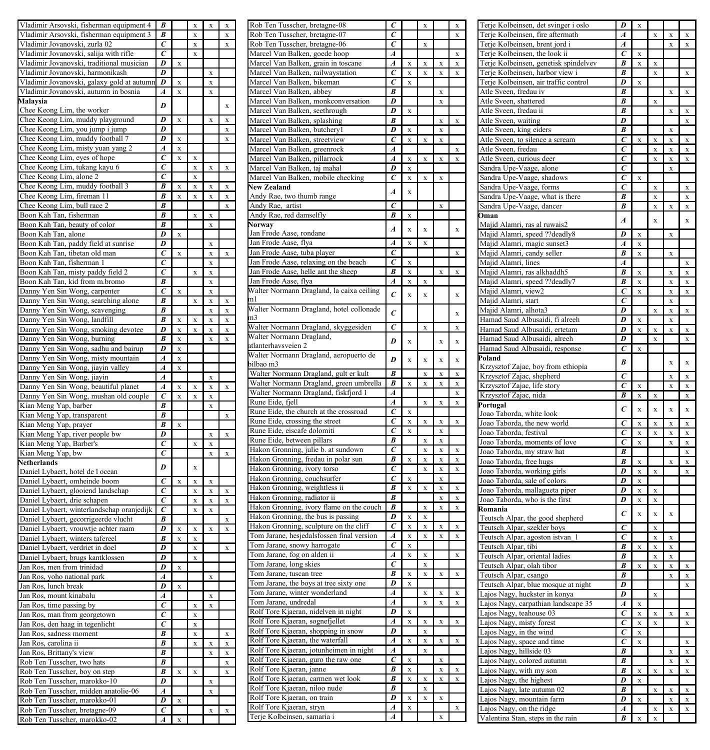| Vladimir Arsovski, fisherman equipment 4                                            | B                                |                              | X                   | X         |             | Rob Ten Tusscher, bretagne                                 |
|-------------------------------------------------------------------------------------|----------------------------------|------------------------------|---------------------|-----------|-------------|------------------------------------------------------------|
| Vladimir Arsovski, fisherman equipment 3                                            | $\overline{B}$                   |                              | X                   |           | X           | Rob Ten Tusscher, bretagne                                 |
| Vladimir Jovanovski, zurla 02                                                       | $\overline{c}$                   |                              | $\bf{x}$            |           | X           | Rob Ten Tusscher, bretagne                                 |
| Vladimir Jovanovski, salija with rifle<br>Vladimir Jovanovski, traditional musician | $\overline{c}$<br>D              | X                            | X                   |           |             | Marcel Van Balken, goede<br>Marcel Van Balken, grain i     |
| Vladimir Jovanovski, harmonikash                                                    | $\overline{\mathit{D}}$          |                              |                     | X         |             | Marcel Van Balken, railway                                 |
| Vladimir Jovanovski, galaxy gold at autumn                                          | D                                | $\bar{x}$                    |                     | x         |             | Marcel Van Balken, bikema                                  |
| Vladimir Jovanovski, autumn in bosnia                                               | A                                | X                            |                     | x         |             | Marcel Van Balken, abbey                                   |
| Malaysia                                                                            | D                                |                              |                     |           |             | Marcel Van Balken, monkc                                   |
| Chee Keong Lim, the worker                                                          |                                  |                              |                     |           | $\mathbf x$ | Marcel Van Balken, seethro                                 |
| Chee Keong Lim, muddy playground                                                    | $\overline{\bm{D}}$              | X                            |                     | X         | X           | Marcel Van Balken, splashi                                 |
| Chee Keong Lim, you jump i jump                                                     | $\overline{D}$                   |                              |                     |           | X           | Marcel Van Balken, butche                                  |
| Chee Keong Lim, muddy football 7                                                    | D                                | X                            |                     |           | X           | Marcel Van Balken, streetv                                 |
| Chee Keong Lim, misty yuan yang 2                                                   | A<br>$\overline{c}$              | X                            |                     |           |             | Marcel Van Balken, greenre                                 |
| Chee Keong Lim, eyes of hope<br>Chee Keong Lim, tukang kayu 6                       | $\epsilon$                       | $\bar{x}$                    | $\bar{\mathbf{x}}$  | x         | $\bf{x}$    | Marcel Van Balken, pillarro                                |
| Chee Keong Lim, alone 2                                                             | $\epsilon$                       |                              | $\bf{x}$<br>$\bf x$ |           |             | Marcel Van Balken, taj mal<br>Marcel Van Balken, mobile    |
| Chee Keong Lim, muddy football 3                                                    | $\overline{B}$                   | x                            | x                   | x         | $\mathbf x$ | <b>New Zealand</b>                                         |
| Chee Keong Lim, fireman 11                                                          | B                                | X                            | X                   | X         | X           | Andy Rae, two thumb range                                  |
| Chee Keong Lim, bull race 2                                                         | B                                |                              |                     |           | X           | Andy Rae, artist                                           |
| Boon Kah Tan, fisherman                                                             | B                                |                              | $\mathbf x$         | X         |             | Andy Rae, red damselfly                                    |
| Boon Kah Tan, beauty of color                                                       | B                                |                              |                     | x         |             | <b>Norway</b>                                              |
| Boon Kah Tan, alone                                                                 | D                                | x                            |                     |           |             | Jan Frode Aase, rondane                                    |
| Boon Kah Tan, paddy field at sunrise                                                | D                                |                              |                     | x         |             | Jan Frode Aase, flya                                       |
| Boon Kah Tan, tibetan old man                                                       | $\epsilon$                       | x                            |                     | x         | $\mathbf x$ | Jan Frode Aase, tuba player                                |
| Boon Kah Tan, fisherman 1                                                           | $\overline{c}$                   |                              |                     | x         |             | Jan Frode Aase, relaxing or                                |
| Boon Kah Tan, misty paddy field 2<br>Boon Kah Tan, kid from m.bromo                 | $\overline{c}$<br>B              |                              | x                   | x<br>x    |             | Jan Frode Aase, helle ant th<br>Jan Frode Aase, flya       |
| Danny Yen Sin Wong, carpenter                                                       | $\overline{c}$                   | $\bar{x}$                    |                     | x         |             | Walter Normann Dragland,                                   |
| Danny Yen Sin Wong, searching alone                                                 | $\overline{B}$                   |                              | $\bar{x}$           | $\bar{x}$ | x           | m l                                                        |
| Danny Yen Sin Wong, scavenging                                                      | B                                |                              |                     | $\bar{x}$ | $\bar{x}$   | Walter Normann Dragland,                                   |
| Danny Yen Sin Wong, landfill                                                        | B                                | $\overline{\mathbf{x}}$      | x                   | x         | $\bar{x}$   | m3                                                         |
| Danny Yen Sin Wong, smoking devotee                                                 | D                                | X                            |                     | X         | X           | Walter Normann Dragland,                                   |
| Danny Yen Sin Wong, burning                                                         | $\overline{\mathcal{B}}$         | x                            |                     | x         | x           | Walter Normann Dragland,                                   |
| Danny Yen Sin Wong, sadhu and bairup                                                | D                                | x                            |                     |           |             | atlanterhavsveien 2                                        |
| Danny Yen Sin Wong, misty mountain                                                  | $\overline{A}$                   | x                            |                     |           |             | Walter Normann Dragland,<br>bilbao m3                      |
| Danny Yen Sin Wong, jiayin valley                                                   | A                                | x                            |                     |           |             | Walter Normann Dragland,                                   |
| Danny Yen Sin Wong, jiayin                                                          | A                                |                              |                     | x         |             | Walter Normann Dragland,                                   |
| Danny Yen Sin Wong, beautiful planet<br>Danny Yen Sin Wong, mushan old couple       | A<br>$\overline{c}$              | x<br>$\overline{\mathbf{x}}$ | x<br>Ÿ              | x<br>X    | x           | Walter Normann Dragland,                                   |
| Kian Meng Yap, barber                                                               | $\overline{B}$                   |                              |                     | X         |             | Rune Eide, fjell                                           |
| Kian Meng Yap, transparent                                                          | B                                |                              |                     |           | x           | Rune Eide, the church at the                               |
| Kian Meng Yap, prayer                                                               | B                                | $\bar{x}$                    |                     |           |             | Rune Eide, crossing the stre                               |
| Kian Meng Yap, river people bw                                                      | $\overline{D}$                   |                              |                     | X         | $\bf{x}$    | Rune Eide, eiscafe dolomiti                                |
| Kian Meng Yap, Barber's                                                             | $\overline{c}$                   |                              | x                   | x         |             | Rune Eide, between pillars                                 |
| Kian Meng Yap, bw                                                                   | $\overline{c}$                   |                              |                     | x         | x           | Hakon Gronning, julie b. at<br>Hakon Gronning, fredau in   |
| <b>Netherlands</b>                                                                  | D                                |                              | x                   |           |             | Hakon Gronning, ivory tors                                 |
| Daniel Lybaert, hotel de l ocean                                                    |                                  |                              |                     |           |             | Hakon Gronning, couchsurf                                  |
| Daniel Lybaert, omheinde boom                                                       | $\overline{c}$<br>$\overline{c}$ |                              | X                   | X         |             | Hakon Gronning, weightles                                  |
| Daniel Lybaert, glooiend landschap<br>Daniel Lybaert, drie schapen                  | $\overline{c}$                   |                              | X<br>X              | X<br>X    | X<br>X      | Hakon Gronning, radiator ii                                |
| Daniel Lybaert, winterlandschap oranjedijk                                          | $\overline{c}$                   |                              | $\bar{x}$           | $\bf{x}$  |             | Hakon Gronning, ivory flan                                 |
| Daniel Lybaert, gecorrigeerde vlucht                                                | B                                |                              |                     |           | x           | Hakon Gronning, the bus is                                 |
| Daniel Lybaert, vrouwtje achter raam                                                | D                                | x                            | x                   | $\bar{x}$ | x           | Hakon Gronning, sculpture                                  |
| Daniel Lybaert, winters tafereel                                                    | B                                | x                            | $\mathbf x$         |           |             | Tom Jarane, hesjedalsfosser                                |
| Daniel Lybaert, verdriet in doel                                                    | $\overline{\mathit{D}}$          |                              | x                   |           | x           | Tom Jarane, snowy harroga                                  |
| Daniel Lybaert, brugs kantklossen                                                   | D                                |                              | x                   |           |             | Tom Jarane, fog on alden ii                                |
| Jan Ros, men from trinidad                                                          | D                                | x                            |                     |           |             | Tom Jarane, long skies                                     |
| Jan Ros, yoho national park                                                         | A                                |                              |                     | x         |             | Tom Jarane, tuscan tree<br>Tom Jarane, the boys at tree    |
| Jan Ros, lunch break                                                                | D                                | $\bar{x}$                    |                     |           |             | Tom Jarane, winter wonder                                  |
| Jan Ros, mount kinabalu                                                             | A<br>$\boldsymbol{c}$            |                              |                     | x         |             | Tom Jarane, undredal                                       |
| Jan Ros, time passing by<br>Jan Ros, man from georgetown                            | $\overline{c}$                   |                              | x<br>$\mathbf x$    | x         |             | Rolf Tore Kjaeran, nidelver                                |
| Jan Ros, den haag in tegenlicht                                                     | $\overline{c}$                   |                              | X                   |           |             | Rolf Tore Kjaeran, sognefje                                |
| Jan Ros, sadness moment                                                             | B                                |                              | X                   |           | X           | Rolf Tore Kjaeran, shoppin                                 |
| Jan Ros, carolina ii                                                                | B                                |                              | X                   | x         | X           | Rolf Tore Kjaeran, the wate                                |
| Jan Ros, Brittany's view                                                            | B                                |                              |                     | x         | x           | Rolf Tore Kjaeran, jotunhei                                |
| Rob Ten Tusscher, two hats                                                          | $\overline{B}$                   |                              |                     |           | X           | Rolf Tore Kjaeran, guro the                                |
| Rob Ten Tusscher, boy on step                                                       | $\overline{B}$                   | $\bar{x}$                    | $\bf x$             |           | X           | Rolf Tore Kjaeran, janne                                   |
| Rob Ten Tusscher, marokko-10                                                        | $\overline{\mathit{D}}$          |                              |                     | X         |             | Rolf Tore Kjaeran, carmen                                  |
| Rob Ten Tusscher, midden anatolie-06                                                | A                                |                              |                     | X         |             | Rolf Tore Kjaeran, niloo nu<br>Rolf Tore Kjaeran, on train |
| Rob Ten Tusscher, marokko-01                                                        | D                                | X                            |                     |           |             | Rolf Tore Kjaeran, stryn                                   |
| Rob Ten Tusscher, bretagne-09                                                       | $\epsilon$                       |                              |                     | x         | x           | Terje Kolbeinsen, samaria i                                |
| Rob Ten Tusscher, marokko-02                                                        | $\overline{A}$                   | x                            |                     |           |             |                                                            |

| Rob Ten Tusscher, bretagne-08                                                  | $\epsilon$               |           |           |              |          |
|--------------------------------------------------------------------------------|--------------------------|-----------|-----------|--------------|----------|
| Rob Ten Tusscher, bretagne-07                                                  | $\epsilon$               |           |           |              | X        |
| Tusscher, bretagne-06<br>Rob Ten                                               | $\epsilon$               |           | X         |              |          |
|                                                                                |                          |           |           |              |          |
| Marcel Van Balken, goede hoop                                                  | A                        |           |           |              | x        |
| Marcel Van Balken, grain in toscane                                            | A                        | X         | X         | X            | X        |
| Marcel Van Balken, railwaystation                                              | $\epsilon$               | X         |           | x            | x        |
|                                                                                |                          |           |           |              |          |
| Marcel Van Balken, bikeman                                                     | $\epsilon$               | x         |           |              |          |
| Marcel Van Balken, abbey                                                       | B                        |           |           | x            |          |
| Marcel Van Balken, monkconversation                                            | D                        |           |           | x            |          |
|                                                                                | D                        |           |           |              |          |
| Marcel Van Balken, seethrough                                                  |                          | X         |           |              |          |
| Marcel Van Balken, splashing                                                   | B                        |           |           | X            | X        |
| Marcel Van Balken, butchery1                                                   | D                        | X         |           | X            |          |
|                                                                                | Ċ                        |           |           |              |          |
| Marcel Van Balken, streetview                                                  |                          | X         | X         | X            |          |
| Marcel Van Balken, greenrock                                                   | $\overline{A}$           |           |           |              | x        |
| Marcel Van Balken, pillarrock                                                  | Ā                        | X         | X         | X            | X        |
|                                                                                | D                        |           |           |              |          |
| Marcel Van Balken, taj mahal                                                   |                          | X         |           |              |          |
| Marcel Van Balken, mobile checking                                             | $\overline{c}$           | X         | X         | X            |          |
| <b>New Zealand</b>                                                             |                          |           |           |              |          |
|                                                                                | $\boldsymbol{A}$         | X         |           |              |          |
| Andy Rae, two thumb range                                                      |                          |           |           |              |          |
| Andy Rae, artist                                                               | $\overline{c}$           |           |           | X            |          |
| Andy Rae, red damselfly                                                        | B                        | X         |           |              |          |
|                                                                                |                          |           |           |              |          |
| Vorway                                                                         | $\boldsymbol{A}$         | X         | $\bar{x}$ |              | X        |
| Jan Frode Aase, rondane                                                        |                          |           |           |              |          |
| Jan Frode Aase, flya                                                           | $\overline{A}$           | X         | x         |              |          |
|                                                                                | $\epsilon$               |           |           |              |          |
| Jan Frode Aase, tuba player                                                    |                          |           |           |              | X        |
| Jan Frode Aase, relaxing on the beach                                          | $\overline{c}$           | X         |           |              |          |
| Jan Frode Aase, helle ant the sheep                                            | B                        | X         |           | x            | x        |
|                                                                                |                          |           |           |              |          |
| Jan Frode Aase, flya                                                           | $\overline{A}$           | x         | X         |              |          |
| Walter Normann Dragland, la caixa ceiling                                      | $\boldsymbol{c}$         |           |           |              |          |
| ml                                                                             |                          | X         | X         |              | X        |
| Walter Normann Dragland, hotel collonade                                       |                          |           |           |              |          |
|                                                                                | $\epsilon$               |           |           |              | x        |
| m3                                                                             |                          |           |           |              |          |
| Walter Normann Dragland, skyggesiden                                           | $\overline{c}$           |           | x         |              | x        |
|                                                                                |                          |           |           |              |          |
| Walter Normann Dragland,                                                       | D                        | $\bar{x}$ |           | x            | $\bf{x}$ |
| atlanterhavsveien 2                                                            |                          |           |           |              |          |
| Walter Normann Dragland, aeropuerto de                                         |                          |           |           |              |          |
| bilbao m3                                                                      | D                        | $\bar{x}$ | $\bar{x}$ | $\bf{x}$     | $\bf{x}$ |
|                                                                                |                          |           |           |              |          |
| Walter Normann Dragland, gult er kult                                          | B                        |           | X         | x            | x        |
|                                                                                |                          |           |           |              |          |
|                                                                                |                          |           |           |              |          |
| Walter Normann Dragland, green umbrella                                        | B                        | X         | X         | X            | X        |
| Walter Normann Dragland, fiskfjord 1                                           | $\overline{A}$           |           |           |              | X        |
|                                                                                | $\overline{A}$           |           | X         | X            | X        |
| Rune Eide, fjell                                                               | $\epsilon$               |           |           |              |          |
| Rune Eide, the church at the crossroad                                         |                          | X         |           |              |          |
| Rune Eide, crossing the street                                                 | $\overline{c}$           | X         | x         | X            | x        |
| Rune Eide, eiscafe dolomiti                                                    | $\epsilon$               | X         |           | X            |          |
|                                                                                |                          |           |           |              |          |
| Rune Eide, between pillars                                                     | B                        |           | X         | X            |          |
| Hakon Gronning, julie b. at sundown                                            | $\overline{\epsilon}$    |           | X         | X            | X        |
|                                                                                | B                        | x         | x         | X            | X        |
| Hakon Gronning, fredau in polar sun                                            |                          |           |           |              |          |
| Hakon Gronning, ivory torso                                                    | $\overline{\epsilon}$    |           | x         | X            | x        |
| Hakon Gronning, couchsurfer                                                    | $\epsilon$               | x         |           | X            |          |
| Hakon Gronning, weightless ii                                                  | B                        | x         | X         | X            | x        |
|                                                                                |                          |           |           |              |          |
| Hakon Gronning, radiator ii                                                    | B                        |           |           | x            | x        |
| Hakon Gronning, ivory flame on the couch                                       | B                        |           | x         | x            | x        |
| Hakon Gronning, the bus is passing                                             | D                        | x         | X         |              |          |
|                                                                                |                          |           |           |              |          |
| Hakon Gronning, sculpture on the cliff                                         | $\overline{c}$           | x         | x         | x            | x        |
| Tom Jarane, hesjedalsfossen final version                                      | $\overline{A}$           | x         | x         | x            | x        |
| Tom Jarane, snowy harrogate                                                    | $\epsilon$               | x         |           |              |          |
|                                                                                |                          |           |           |              |          |
| Tom Jarane, fog on alden ii                                                    | $\overline{A}$           | x         | X         |              | x        |
| Tom Jarane, long skies                                                         | $\overline{c}$           |           | X         |              |          |
| Tom Jarane, tuscan tree                                                        | $\overline{\mathcal{B}}$ | x         | x         | x            | x        |
|                                                                                |                          |           |           |              |          |
| Tom Jarane, the boys at tree sixty one                                         | $\overline{D}$           | x         |           |              |          |
| Tom Jarane, winter wonderland                                                  | A                        |           | x         | X            | X        |
|                                                                                | A                        |           | X         |              |          |
| Tom Jarane, undredal                                                           |                          |           |           |              |          |
| Rolf Tore Kjaeran, nidelven in night                                           | D                        | X         |           |              |          |
| Rolf Tore Kjaeran, sognefjellet                                                | A                        | X         | X         | X            | X        |
|                                                                                | D                        |           | X         |              |          |
| Rolf Tore Kjaeran, shopping in snow                                            |                          |           |           |              |          |
| Rolf Tore Kjaeran, the waterfall                                               | A                        | x         | x         | x            | x        |
|                                                                                | A                        |           | X         |              |          |
|                                                                                | C                        | x         |           | X            |          |
| Rolf Tore Kjaeran, jotunheimen in night<br>Rolf Tore Kjaeran, guro the raw one |                          |           |           |              |          |
| Tore Kjaeran, janne<br>Rolf                                                    | B                        | x         |           | x            | x        |
| Rolf Tore Kjaeran, carmen wet look                                             | B                        | X         | X         | x            | x        |
|                                                                                | B                        |           | X         |              |          |
| Rolf Tore Kjaeran, niloo nude                                                  |                          |           |           |              |          |
| Rolf<br>Tore Kjaeran, on train                                                 | D                        | x         | X         | $\mathbf{x}$ |          |
| Rolf Tore Kjaeran, stryn<br>Terje Kolbeinsen, samaria i                        | 4<br>4                   | X         |           | x            | X        |

|                                                                          | D                       | X                       |                         |                    |           |
|--------------------------------------------------------------------------|-------------------------|-------------------------|-------------------------|--------------------|-----------|
| Terje Kolbeinsen, det svinger i oslo<br>Terje Kolbeinsen, fire aftermath | A                       |                         | X                       | X                  | X         |
|                                                                          |                         |                         |                         |                    |           |
| Terje Kolbeinsen, brent jord i                                           | A                       |                         |                         | x                  | X         |
| Terje Kolbeinsen, the look ii                                            | $\epsilon$              | X                       |                         |                    |           |
| Terje Kolbeinsen, genetisk spindelvev                                    | B                       | X                       | X                       |                    |           |
| Terje Kolbeinsen, harbor view i                                          | B                       |                         | $\mathbf x$             |                    | x         |
| Terje Kolbeinsen, air traffic control                                    | D                       | X                       |                         |                    |           |
|                                                                          | R                       |                         |                         |                    |           |
| Atle Sveen, fredau iv                                                    |                         |                         |                         | x                  | x         |
| Atle Sveen, shattered                                                    | R                       |                         | X                       |                    |           |
| Atle Sveen, fredau ii                                                    | B                       |                         |                         | $\bf{x}$           | X         |
| Atle Sveen, waiting                                                      | D                       |                         |                         |                    | X         |
|                                                                          |                         |                         |                         |                    |           |
| Atle Sveen, king eiders                                                  | B                       |                         |                         | X                  |           |
| Atle Sveen, to silence a scream                                          | Ċ                       | X                       | X                       | X                  | X         |
| Atle Sveen, fredau                                                       | $\epsilon$              |                         | X                       | X                  | $\bar{x}$ |
| Atle Sveen, curious deer                                                 | $\epsilon$              |                         | X                       | X                  | X         |
|                                                                          |                         |                         |                         |                    |           |
| Sandra Upe-Vaage, alone                                                  | $\epsilon$              |                         |                         | X                  |           |
| Sandra Upe-Vaage, shadows                                                | с                       | $\mathbf x$             |                         |                    |           |
| Sandra Upe-Vaage, forms                                                  | Ċ                       |                         | $\bar{x}$               |                    | x         |
| Sandra Upe-Vaage, what is there                                          | B                       |                         | $\bar{x}$               |                    | x         |
|                                                                          |                         |                         |                         |                    |           |
| Sandra Upe-Vaage, dancer                                                 | B                       |                         | $\bar{x}$               | $\bar{\mathbf{x}}$ | x         |
| Oman                                                                     | $\overline{A}$          |                         | x                       |                    | $\bar{x}$ |
| Majid Alamri, ras al ruwais2                                             |                         |                         |                         |                    |           |
| Majid Alamri, speed ??deadly8                                            | $\overline{D}$          | x                       |                         | x                  |           |
|                                                                          |                         |                         |                         |                    |           |
| Majid Alamri, magic sunset3                                              | A                       | x                       |                         |                    |           |
| Majid Alamri, candy seller                                               | R                       | x                       |                         | x                  |           |
| Majid Alamri, lines                                                      | A                       |                         |                         |                    | X         |
| Majid Alamri, ras alkhaddh5                                              | R                       |                         |                         |                    |           |
|                                                                          |                         | X                       |                         | X                  | X         |
| Majid Alamri, speed ??deadly7                                            | R                       | X                       |                         | X                  | X         |
| Majid Alamri, view2                                                      | $\overline{c}$          | X                       |                         | x                  | X         |
| Majid Alamri, start                                                      | $\tilde{c}$             |                         |                         | X                  |           |
|                                                                          | D                       |                         | x                       | x                  | X         |
| Majid Alamri, alhota3                                                    |                         |                         |                         |                    |           |
| Hamad Saud Albusaidi, fi alreeh                                          | D                       | $\bar{x}$               |                         | x                  |           |
| Hamad Saud Albusaidi, ertetam                                            | D                       | X                       | x                       | X                  | X         |
| Hamad Saud Albusaidi, alreeh                                             | D                       |                         | x                       |                    | x         |
|                                                                          | $\epsilon$              |                         |                         |                    |           |
| Hamad Saud Albusaidi, response                                           |                         | x                       |                         |                    |           |
| Poland                                                                   | B                       |                         |                         | $\bar{\mathbf{x}}$ | $\bar{x}$ |
| Krzysztof Zajac, boy from ethiopia                                       |                         |                         |                         |                    |           |
| Krzysztof Zajac, shepherd                                                | $\overline{c}$          |                         |                         | x                  | x         |
|                                                                          | $\epsilon$              |                         |                         |                    |           |
| Krzysztof Zajac, life story                                              |                         | $\bar{x}$               |                         | x                  | x         |
| Krzysztof Zajac, nida                                                    | B                       | X                       | X                       |                    | X         |
| Portugal                                                                 |                         |                         |                         |                    |           |
| Joao Taborda, white look                                                 | C                       | $\bf{x}$                | X                       | $\bf{x}$           | $\bar{x}$ |
|                                                                          | $\overline{c}$          | $\bf{x}$                | $\overline{\mathbf{x}}$ |                    | $\bf{x}$  |
| Joao Taborda, the new world                                              |                         |                         |                         | x                  |           |
| Joao Taborda, festival                                                   | Ċ                       | X                       | X                       | X                  | X         |
| Joao Taborda, moments of love                                            | Ć                       | X                       |                         | X                  | X         |
| Joao Taborda, my straw hat                                               | $\overline{R}$          |                         |                         |                    | X         |
|                                                                          | $\overline{B}$          |                         |                         |                    |           |
| Joao Taborda, free hugs                                                  |                         | X                       |                         | $\bf{X}$           | X         |
| Joao Taborda, working girls                                              | $\overline{D}$          | X                       | X                       |                    | X         |
| Joao Taborda, sale of colors                                             | $\overline{D}$          | X                       |                         |                    |           |
| Joao Taborda, mallagueta piper                                           | $\overline{\mathbf{D}}$ | X                       | X                       |                    |           |
|                                                                          |                         |                         |                         |                    |           |
| Joao Taborda, who is the first                                           | D                       | X                       | X                       |                    |           |
| Romania                                                                  | $\epsilon$              | x                       | $\bf x$                 | $\bar{\mathbf{x}}$ |           |
| Teutsch Alpar, the good shepherd                                         |                         |                         |                         |                    |           |
| Teutsch Alpar, szekler boys                                              | $\overline{c}$          |                         | X                       |                    |           |
|                                                                          |                         |                         |                         |                    |           |
| Teutsch Alpar, agoston istvan 1                                          | $\epsilon$              |                         | X                       | X                  |           |
| Teutsch Alpar, tibi                                                      | B                       | X                       | X                       | X                  |           |
| Teutsch Alpar, oriental ladies                                           | B                       |                         | X                       | X                  |           |
| Teutsch Alpar, olah tibor                                                | B                       | x                       | X                       | X                  | X         |
|                                                                          |                         |                         |                         |                    |           |
| Teutsch Alpar, csango                                                    | B                       |                         |                         | x                  | x         |
| Teutsch Alpar, blue mosque at night                                      | D                       |                         |                         |                    | x         |
| Lajos Nagy, huckster in konya                                            | $\overline{D}$          |                         | $\bar{x}$               |                    |           |
| Lajos Nagy, carpathian landscape 35                                      | $\overline{A}$          | $\bar{x}$               |                         |                    |           |
|                                                                          |                         |                         |                         |                    |           |
| Lajos Nagy, teahouse 03                                                  | $\overline{c}$          | $\overline{\mathbf{x}}$ | X                       | X                  | X         |
| Lajos Nagy, misty forest                                                 | $\overline{c}$          | $\overline{\mathbf{x}}$ | X                       |                    | X         |
| Lajos Nagy, in the wind                                                  | $\overline{c}$          | X                       |                         |                    |           |
|                                                                          | $\overline{c}$          | x                       |                         |                    | X         |
|                                                                          |                         |                         |                         |                    |           |
| Lajos Nagy, space and time<br>Lajos Nagy, hillside 03                    | B                       |                         |                         | X                  | X         |
| Lajos Nagy, colored autumn                                               | B                       |                         |                         | x                  | x         |
| Lajos Nagy, with my son                                                  |                         |                         |                         | x                  | X         |
|                                                                          |                         |                         |                         |                    |           |
|                                                                          | B                       | $\bar{x}$               | X                       |                    |           |
| ajos Nagy, the highest                                                   | D                       | x                       |                         |                    |           |
| Lajos Nagy, late autumn 02                                               | B                       |                         | x                       | x                  | x         |
|                                                                          | D                       |                         |                         | x                  | X         |
| Lajos Nagy, mountain farm                                                |                         | X                       |                         |                    |           |
| Lajos Nagy, on the ridge<br>Valentina Stan, steps in the rain            | A<br>B                  | X                       | X<br>X                  | X                  | X         |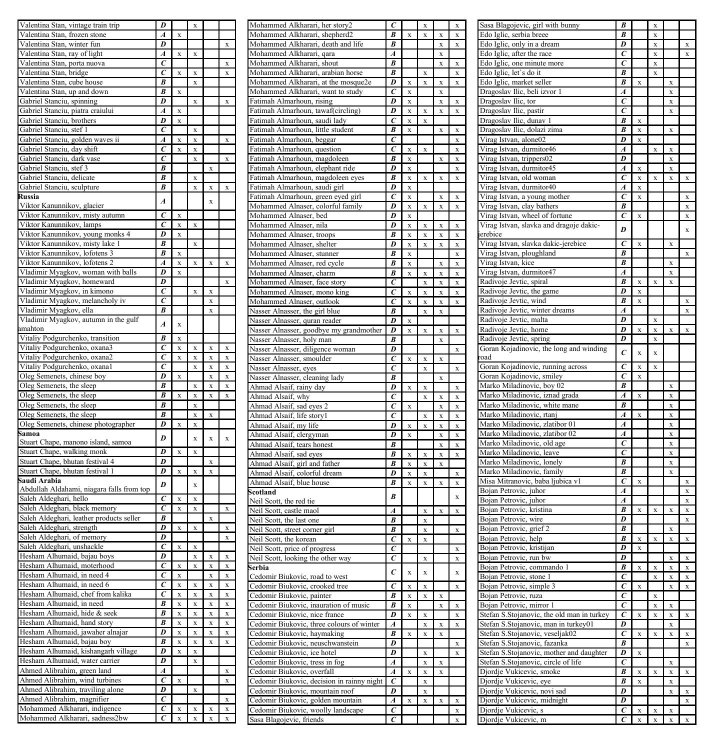| Valentina Stan, vintage train trip                                                                                                                                                                                                                                                                                                                                           | D                                |                                   |                                          |                                                 |             | Mohammed Alkharari, her story2                                 | $\epsilon$                   |                         | X           |                         |                         |
|------------------------------------------------------------------------------------------------------------------------------------------------------------------------------------------------------------------------------------------------------------------------------------------------------------------------------------------------------------------------------|----------------------------------|-----------------------------------|------------------------------------------|-------------------------------------------------|-------------|----------------------------------------------------------------|------------------------------|-------------------------|-------------|-------------------------|-------------------------|
| Valentina Stan, frozen stone                                                                                                                                                                                                                                                                                                                                                 | $\boldsymbol{A}$                 | $\mathbf x$                       |                                          |                                                 |             | Mohammed Alkharari, shepherd2                                  | B                            | $\mathbf x$             | $\mathbf x$ | X                       | $\mathbf x$             |
| Valentina Stan, winter fun                                                                                                                                                                                                                                                                                                                                                   | D                                |                                   |                                          |                                                 | $\mathbf x$ | Mohammed Alkharari, death and life                             | B                            |                         |             | $\mathbf x$             | $\bf x$                 |
| Valentina Stan, ray of light                                                                                                                                                                                                                                                                                                                                                 | $\boldsymbol{A}$                 | $\mathbf x$                       | $\mathbf x$                              |                                                 |             | Mohammed Alkharari, qara                                       | $\boldsymbol{A}$             |                         |             | $\mathbf x$             |                         |
|                                                                                                                                                                                                                                                                                                                                                                              | $\epsilon$                       |                                   |                                          |                                                 |             |                                                                | B                            |                         |             |                         |                         |
| Valentina Stan, porta nuova                                                                                                                                                                                                                                                                                                                                                  |                                  |                                   |                                          |                                                 | $\mathbf x$ | Mohammed Alkharari, shout                                      |                              |                         |             | $\mathbf x$             | $\mathbf x$             |
| Valentina Stan, bridge                                                                                                                                                                                                                                                                                                                                                       | $\overline{c}$                   | $\mathbf x$                       | $\mathbf x$                              |                                                 | $\mathbf x$ | Mohammed Alkharari, arabian horse                              | $\boldsymbol{B}$             |                         | $\mathbf x$ |                         | X                       |
| Valentina Stan, cube house                                                                                                                                                                                                                                                                                                                                                   | $\overline{B}$                   |                                   | $\mathbf x$                              |                                                 |             | Mohammed Alkharari, at the mosque2e                            | D                            | X                       | $\bar{x}$   | $\mathbf x$             | $\overline{\mathbf{x}}$ |
| Valentina Stan, up and down                                                                                                                                                                                                                                                                                                                                                  | B                                | $\mathbf x$                       |                                          |                                                 |             | Mohammed Alkharari, want to study                              | $\epsilon$                   | X                       |             | $\mathbf x$             |                         |
| Gabriel Stanciu, spinning                                                                                                                                                                                                                                                                                                                                                    | D                                |                                   | $\mathbf x$                              |                                                 | $\mathbf x$ | Fatimah Almarhoun, rising                                      | D                            | X                       |             | $\mathbf x$             | X                       |
| Gabriel Stanciu, piatra craiului                                                                                                                                                                                                                                                                                                                                             | $\overline{A}$                   |                                   |                                          |                                                 |             | Fatimah Almarhoun, tawaf(circling)                             | $\overline{D}$               | $\overline{\mathbf{x}}$ |             | $\overline{\mathbf{x}}$ |                         |
|                                                                                                                                                                                                                                                                                                                                                                              |                                  | X                                 |                                          |                                                 |             |                                                                |                              |                         | X           |                         | X                       |
| Gabriel Stanciu, brothers                                                                                                                                                                                                                                                                                                                                                    | $\overline{D}$                   | $\mathbf x$                       |                                          |                                                 |             | Fatimah Almarhoun, saudi lady                                  | $\overline{c}$               | X                       | X           |                         |                         |
| Gabriel Stanciu, stef 1                                                                                                                                                                                                                                                                                                                                                      | C                                |                                   | $\bar{x}$                                |                                                 |             | Fatimah Almarhoun, little student                              | B                            | $\mathbf x$             |             | $\mathbf x$             | x                       |
| Gabriel Stanciu, golden waves ii                                                                                                                                                                                                                                                                                                                                             | $\overline{A}$                   | $\mathbf x$                       | $\mathbf x$                              |                                                 | $\mathbf x$ | Fatimah Almarhoun, beggar                                      | $\epsilon$                   |                         |             |                         | $\bf x$                 |
| Gabriel Stanciu, day shift                                                                                                                                                                                                                                                                                                                                                   | $\overline{c}$                   | $\mathbf x$                       | $\mathbf x$                              |                                                 |             | Fatimah Almarhoun, question                                    | $\overline{c}$               | $\mathbf x$             | $\mathbf x$ |                         | $\bf x$                 |
|                                                                                                                                                                                                                                                                                                                                                                              | $\overline{c}$                   |                                   |                                          |                                                 |             |                                                                | $\overline{B}$               |                         |             |                         |                         |
| Gabriel Stanciu, dark vase                                                                                                                                                                                                                                                                                                                                                   |                                  |                                   | $\mathbf x$                              |                                                 | $\mathbf x$ | Fatimah Almarhoun, magdoleen                                   |                              | $\mathbf x$             |             | $\bf x$                 | $\bf{x}$                |
| Gabriel Stanciu, stef 3                                                                                                                                                                                                                                                                                                                                                      | $\overline{B}$                   |                                   |                                          | $\mathbf x$                                     |             | Fatimah Almarhoun, elephant ride                               | D                            | $\mathbf x$             |             |                         | $\overline{\mathbf{x}}$ |
| Gabriel Stanciu, delicate                                                                                                                                                                                                                                                                                                                                                    | $\overline{B}$                   |                                   | $\mathbf{x}$                             |                                                 |             | Fatimah Almarhoun, magdoleen eyes                              | $\overline{B}$               | $\mathbf x$             | $\mathbf x$ | $\mathbf x$             | $\mathbf x$             |
| Gabriel Stanciu, sculpture                                                                                                                                                                                                                                                                                                                                                   | $\overline{B}$                   |                                   | $\mathbf x$                              | $\mathbf{x}$                                    | $\mathbf x$ | Fatimah Almarhoun, saudi girl                                  | $\overline{D}$               | $\mathbf{x}$            |             |                         |                         |
| Russia                                                                                                                                                                                                                                                                                                                                                                       |                                  |                                   |                                          |                                                 |             |                                                                | $\overline{c}$               |                         |             |                         |                         |
|                                                                                                                                                                                                                                                                                                                                                                              | $\overline{A}$                   |                                   |                                          | $\mathbf x$                                     |             | Fatimah Almarhoun, green eyed girl                             |                              | $\mathbf x$             |             | $\bf x$                 | $\bf{x}$                |
| Viktor Kanunnikov, glacier                                                                                                                                                                                                                                                                                                                                                   |                                  |                                   |                                          |                                                 |             | Mohammed Alnaser, colorful family                              | $\overline{D}$               | $\mathbf x$             | $\mathbf x$ | $\mathbf{x}$            | $\mathbf x$             |
| Viktor Kanunnikov, misty autumn                                                                                                                                                                                                                                                                                                                                              | $\overline{c}$                   | $\bf x$                           |                                          |                                                 |             | Mohammed Alnaser, bed                                          | $\overline{D}$               | $\mathbf x$             |             |                         |                         |
| Viktor Kanunnikov, lamps                                                                                                                                                                                                                                                                                                                                                     | $\overline{c}$                   | $\mathbf x$                       | $\mathbf x$                              |                                                 |             | Mohammed Alnaser, nila                                         | $\overline{D}$               | $\mathbf x$             | $\mathbf x$ | X                       | $\mathbf{x}$            |
| Viktor Kanunnikov, young monks 4                                                                                                                                                                                                                                                                                                                                             | $\overline{D}$                   | $\mathbf x$                       |                                          |                                                 |             | Mohammed Alnaser, troops                                       | B                            | $\mathbf x$             | $\mathbf x$ | $\mathbf x$             | $\mathbf x$             |
|                                                                                                                                                                                                                                                                                                                                                                              | $\overline{B}$                   |                                   |                                          |                                                 |             |                                                                |                              |                         |             |                         |                         |
| Viktor Kanunnikov, misty lake 1                                                                                                                                                                                                                                                                                                                                              |                                  |                                   | $\mathbf x$                              |                                                 |             | Mohammed Alnaser, shelter                                      | D                            | $\mathbf x$             | $\mathbf x$ | $\mathbf x$             | $\mathbf x$             |
| Viktor Kanunnikov, lofotens 3                                                                                                                                                                                                                                                                                                                                                | B                                | $\mathbf x$                       |                                          |                                                 |             | Mohammed Alnaser, stunner                                      | $\overline{B}$               | $\mathbf x$             |             |                         | $\mathbf x$             |
| Viktor Kanunnikov, lofotens 2                                                                                                                                                                                                                                                                                                                                                | $\boldsymbol{A}$                 | $\mathbf x$                       | $\mathbf x$                              | $\mathbf x$                                     | $\mathbf x$ | Mohammed Alnaser, red cycle                                    | B                            | $\mathbf x$             |             | $\bf{x}$                | $\mathbf x$             |
| Vladimir Myagkov, woman with balls                                                                                                                                                                                                                                                                                                                                           | $\overline{D}$                   | $\mathbf x$                       |                                          |                                                 |             | Mohammed Alnaser, charm                                        | B                            | $\mathbf x$             | $\mathbf x$ | $\mathbf x$             | $\mathbf x$             |
|                                                                                                                                                                                                                                                                                                                                                                              | $\overline{D}$                   |                                   |                                          |                                                 |             |                                                                |                              |                         |             |                         |                         |
| Vladimir Myagkov, homeward                                                                                                                                                                                                                                                                                                                                                   |                                  |                                   |                                          |                                                 | $\mathbf x$ | Mohammed Alnaser, face story                                   | $\overline{c}$               |                         | $\mathbf x$ | $\mathbf x$             | $\mathbf x$             |
| Vladimir Myagkov, in kimono                                                                                                                                                                                                                                                                                                                                                  | $\overline{c}$                   |                                   | $\mathbf x$                              | $\mathbf x$                                     |             | Mohammed Alnaser, mono king                                    | $\overline{c}$               | X                       | X           | $\mathbf x$             |                         |
| Vladimir Myagkov, melancholy iv                                                                                                                                                                                                                                                                                                                                              | $\overline{c}$                   |                                   |                                          | $\mathbf x$                                     |             | Mohammed Alnaser, outlook                                      | $\epsilon$                   | $\mathbf x$             | $\mathbf x$ | $\mathbf x$             |                         |
| Vladimir Myagkov, ella                                                                                                                                                                                                                                                                                                                                                       | $\overline{B}$                   |                                   |                                          | $\mathbf x$                                     |             | Nasser Alnasser, the girl blue                                 | B                            |                         | $\mathbf x$ | $\mathbf x$             | $\mathbf x$             |
| Vladimir Myagkov, autumn in the gulf                                                                                                                                                                                                                                                                                                                                         |                                  |                                   |                                          |                                                 |             |                                                                | $\overline{D}$               |                         |             |                         |                         |
|                                                                                                                                                                                                                                                                                                                                                                              | $\overline{A}$                   | $\mathbf x$                       |                                          |                                                 |             | Nasser Alnasser, quran reader                                  |                              | $\mathbf x$             |             |                         |                         |
| imahton                                                                                                                                                                                                                                                                                                                                                                      |                                  |                                   |                                          |                                                 |             | Nasser Alnasser, goodbye my grandmother                        | $\overline{D}$               | $\mathbf x$             | $\bf x$     | X                       | $\bf{x}$                |
| Vitaliy Podgurchenko, transition                                                                                                                                                                                                                                                                                                                                             | $\overline{B}$                   | $\mathbf x$                       |                                          |                                                 |             | Nasser Alnasser, holy man                                      | В                            |                         |             | $\mathbf x$             |                         |
| Vitaliy Podgurchenko, oxana3                                                                                                                                                                                                                                                                                                                                                 | $\overline{c}$                   | $\mathbf x$                       | $\mathbf x$                              | X                                               | $\mathbf X$ | Nasser Alnasser, diligence woman                               | D                            |                         |             |                         |                         |
| Vitaliy Podgurchenko, oxana2                                                                                                                                                                                                                                                                                                                                                 | $\overline{c}$                   | $\mathbf x$                       | $\mathbf x$                              | $\mathbf x$                                     | $\mathbf X$ | Nasser Alnasser, smoulder                                      | $\overline{c}$               | $\mathbf{x}$            |             | $\bar{x}$               | $\bar{\mathbf{x}}$      |
|                                                                                                                                                                                                                                                                                                                                                                              | $\overline{c}$                   |                                   |                                          |                                                 |             |                                                                |                              |                         | $\mathbf x$ |                         |                         |
| Vitaliy Podgurchenko, oxana1                                                                                                                                                                                                                                                                                                                                                 |                                  |                                   | $\mathbf x$                              | $\mathbf x$                                     | $\mathbf X$ | Nasser Alnasser, eyes                                          | $\epsilon$                   |                         | $\bf x$     |                         | $\bf{x}$                |
| Oleg Semenets, chinese boy                                                                                                                                                                                                                                                                                                                                                   | $\overline{D}$                   | $\mathbf x$                       |                                          | $\mathbf x$                                     | $\mathbf X$ | Nasser Alnasser, cleaning lady                                 | B                            |                         |             | $\bf x$                 |                         |
| Oleg Semenets, the sleep                                                                                                                                                                                                                                                                                                                                                     | $\overline{B}$                   |                                   | $\mathbf x$                              | $\mathbf x$                                     | $\mathbf x$ | Ahmad Alsaif, rainy day                                        | D                            | $\mathbf x$             | $\mathbf x$ |                         | $\mathbf x$             |
| Oleg Semenets, the sleep                                                                                                                                                                                                                                                                                                                                                     | $\overline{B}$                   | $\mathbf x$                       | $\mathbf x$                              | $\mathbf x$                                     | $\mathbf x$ | Ahmad Alsaif, why                                              | $\overline{c}$               |                         | $\mathbf x$ | $\mathbf x$             | $\overline{\mathbf{x}}$ |
| Oleg Semenets, the sleep                                                                                                                                                                                                                                                                                                                                                     | $\overline{B}$                   |                                   | $\mathbf x$                              |                                                 |             |                                                                |                              |                         |             |                         | $\overline{\mathbf{x}}$ |
|                                                                                                                                                                                                                                                                                                                                                                              |                                  |                                   |                                          |                                                 |             | Ahmad Alsaif, sad eyes 2                                       | $\overline{c}$               | $\mathbf x$             |             | $\bf{x}$                |                         |
| Oleg Semenets, the sleep                                                                                                                                                                                                                                                                                                                                                     | B                                |                                   | $\mathbf x$                              | $\mathbf x$                                     |             | Ahmad Alsaif, life storyl                                      | $\overline{c}$               |                         | $\bf x$     | $\bf x$                 | $\overline{\mathbf{x}}$ |
| Oleg Semenets, chinese photographer                                                                                                                                                                                                                                                                                                                                          | D                                | $\mathbf x$                       | $\mathbf x$                              |                                                 |             | Ahmad Alsaif, my life                                          | $\overline{D}$               | $\overline{\mathbf{x}}$ | $\mathbf x$ | $\mathbf x$             | $\overline{\mathbf{x}}$ |
| Samoa                                                                                                                                                                                                                                                                                                                                                                        |                                  |                                   |                                          |                                                 |             | Ahmad Alsaif, clergyman                                        | D                            | $\mathbf x$             |             | $\mathbf x$             | $\mathbf x$             |
| Stuart Chape, manono island, samoa                                                                                                                                                                                                                                                                                                                                           | $\boldsymbol{D}$                 |                                   | $\mathbf x$                              | $\mathbf x$                                     | $\bf{x}$    | Ahmad Alsaif, tears honest                                     | B                            |                         |             | $\mathbf x$             | $\mathbf x$             |
| Stuart Chape, walking monk                                                                                                                                                                                                                                                                                                                                                   | $\overline{D}$                   | $\mathbf x$                       | $\mathbf x$                              |                                                 |             |                                                                |                              |                         |             |                         | $\mathbf x$             |
|                                                                                                                                                                                                                                                                                                                                                                              |                                  |                                   |                                          |                                                 |             | Ahmad Alsaif, sad eyes                                         | $\pmb{B}$                    | $\mathbf x$             | $\mathbf x$ | $\mathbf x$             |                         |
| Stuart Chape, bhutan festival 4                                                                                                                                                                                                                                                                                                                                              | $\overline{D}$                   |                                   |                                          | X                                               |             | Ahmad Alsaif, girl and father                                  | B                            | $\mathbf x$             | $\mathbf x$ | $\mathbf x$             |                         |
| Stuart Chape, bhutan festival 1                                                                                                                                                                                                                                                                                                                                              | $\overline{D}$                   | $\mathbf x$                       | $\mathbf X$                              | $\mathbf x$                                     |             | Ahmad Alsaif, colorful dream                                   | D                            | $\mathbf x$             | $\mathbf x$ |                         | $\mathbf x$             |
| Saudi Arabia                                                                                                                                                                                                                                                                                                                                                                 |                                  |                                   |                                          |                                                 |             | Ahmad Alsaif, blue house                                       | B                            | $\mathbf x$             | $\mathbf x$ | $\mathbf{x}$            | $\mathbf x$             |
| Abdullah Aldahami, niagara falls from top                                                                                                                                                                                                                                                                                                                                    | $\boldsymbol{D}$                 |                                   | $\mathbf x$                              |                                                 |             |                                                                |                              |                         |             |                         |                         |
|                                                                                                                                                                                                                                                                                                                                                                              | $\overline{c}$                   |                                   |                                          |                                                 |             | Scotland                                                       | $\boldsymbol{B}$             |                         |             |                         |                         |
| Saleh Aldeghari, hello                                                                                                                                                                                                                                                                                                                                                       |                                  | $\overline{\mathbf{x}}$           | $\mathbf x$                              |                                                 |             | Neil Scott, the red tie                                        |                              |                         |             |                         |                         |
| Saleh Aldeghari, black memory                                                                                                                                                                                                                                                                                                                                                | $\overline{c}$                   | $\mathbf x$                       | $\mathbf x$                              |                                                 | $\mathbf X$ | Neil Scott, castle maol                                        | $\overline{A}$               |                         | $\mathbf x$ | $\mathbf x$             | $\bf x$                 |
| Saleh Aldeghari, leather products seller                                                                                                                                                                                                                                                                                                                                     | B                                |                                   |                                          | $\mathbf x$                                     |             | Neil Scott, the last one                                       | B                            |                         | $\mathbf x$ |                         |                         |
| Saleh Aldeghari, strength                                                                                                                                                                                                                                                                                                                                                    | D                                | $\mathbf x$                       | $\mathbf x$                              |                                                 | $\mathbf x$ | Neil Scott, street corner girl                                 | $\pmb{B}$                    |                         | $\mathbf x$ |                         |                         |
| Saleh Aldeghari, of memory                                                                                                                                                                                                                                                                                                                                                   | $\overline{D}$                   |                                   |                                          |                                                 | $\bf x$     |                                                                |                              |                         |             |                         |                         |
|                                                                                                                                                                                                                                                                                                                                                                              |                                  |                                   |                                          |                                                 |             | Neil Scott, the korean                                         | $\overline{c}$               | $\mathbf x$             | $\mathbf x$ |                         |                         |
| Saleh Aldeghari, unshackle                                                                                                                                                                                                                                                                                                                                                   | $\epsilon$                       | X                                 | $\mathbf x$                              |                                                 |             | Neil Scott, price of progress                                  | $\epsilon$                   |                         |             |                         |                         |
| Hesham Alhumaid, bajau boys                                                                                                                                                                                                                                                                                                                                                  | D                                |                                   | $\mathbf x$                              | x                                               | x           | Neil Scott, looking the other way                              | $\overline{c}$               |                         | $\mathbf x$ |                         |                         |
| Hesham Alhumaid, moterhood                                                                                                                                                                                                                                                                                                                                                   | $\boldsymbol{c}$                 | X                                 | $\mathbf x$                              | $\mathbf x$                                     | $\bf x$     | Serbia                                                         |                              |                         |             |                         |                         |
| Hesham Alhumaid, in need 4                                                                                                                                                                                                                                                                                                                                                   | $\overline{c}$                   | $\mathbf x$                       |                                          | $\mathbf x$                                     | $\bf x$     |                                                                | $\mathcal{C}_{0}^{2}$        | $\mathbf x$             | $\mathbf x$ |                         |                         |
| Hesham Alhumaid, in need 6                                                                                                                                                                                                                                                                                                                                                   | $\overline{c}$                   | $\mathbf x$                       | $\mathbf x$                              |                                                 | $\bf{x}$    | Cedomir Biukovic, road to west                                 |                              |                         |             |                         |                         |
|                                                                                                                                                                                                                                                                                                                                                                              |                                  |                                   |                                          | $\mathbf{x}$                                    |             | Cedomir Biukovic, crooked tree                                 | $\overline{c}$               | $\mathbf x$             | $\mathbf x$ |                         |                         |
| Hesham Alhumaid, chef from kalika                                                                                                                                                                                                                                                                                                                                            | $\overline{c}$                   | $\mathbf x$                       | $\mathbf x$                              | $\mathbf x$                                     | $\mathbf x$ | Cedomir Biukovic, painter                                      | B                            | $\mathbf x$             | $\mathbf x$ | $\mathbf x$             |                         |
| Hesham Alhumaid, in need                                                                                                                                                                                                                                                                                                                                                     | $\overline{B}$                   | $\mathbf x$                       | $\mathbf x$                              | $\mathbf x$                                     | $\bf x$     | Cedomir Biukovic, inauration of music                          | B                            | $\mathbf x$             |             | $\mathbf x$             |                         |
| Hesham Alhumaid, hide & seek                                                                                                                                                                                                                                                                                                                                                 | B                                | $\mathbf x$                       | $\mathbf x$                              | $\mathbf{x}$                                    | $\bf x$     | Cedomir Biukovic, nice france                                  | D                            | $\mathbf x$             | $\mathbf x$ |                         |                         |
|                                                                                                                                                                                                                                                                                                                                                                              |                                  | $\mathbf{x}$                      | $\mathbf x$                              |                                                 |             |                                                                |                              |                         |             |                         |                         |
|                                                                                                                                                                                                                                                                                                                                                                              |                                  |                                   |                                          | $\mathbf{x}$                                    | $\bf x$     | Cedomir Biukovic, three colours of winter                      | $\boldsymbol{A}$             |                         | X           | $\mathbf x$             |                         |
|                                                                                                                                                                                                                                                                                                                                                                              | B                                |                                   |                                          |                                                 | $\bf x$     | Cedomir Biukovic, haymaking                                    | B                            | $\mathbf{x}$            | X           | $\mathbf x$             |                         |
|                                                                                                                                                                                                                                                                                                                                                                              | D                                | $\mathbf x$                       | $\mathbf x$                              | $\mathbf x$                                     |             | Cedomir Biukovic, neuschwanstein                               |                              |                         |             |                         |                         |
|                                                                                                                                                                                                                                                                                                                                                                              | $\overline{B}$                   |                                   | $\mathbf x$                              | $\mathbf x$                                     | $\bf x$     |                                                                |                              |                         |             |                         |                         |
|                                                                                                                                                                                                                                                                                                                                                                              |                                  | $\mathbf{x}$                      |                                          |                                                 |             |                                                                | D                            |                         |             |                         |                         |
|                                                                                                                                                                                                                                                                                                                                                                              | $\overline{D}$                   | $\mathbf{x}$                      | $\bf x$                                  |                                                 |             | Cedomir Biukovic, ice hotel                                    | $\overline{D}$               |                         | $\bf x$     |                         |                         |
|                                                                                                                                                                                                                                                                                                                                                                              | $\overline{D}$                   |                                   | $\mathbf x$                              |                                                 |             | Cedomir Biukovic, tress in fog                                 | $\boldsymbol{A}$             |                         | $\mathbf X$ | $\bf x$                 |                         |
|                                                                                                                                                                                                                                                                                                                                                                              | $\boldsymbol{A}$                 |                                   |                                          |                                                 | $\mathbf x$ |                                                                | $\boldsymbol{A}$             | $\mathbf x$             | $\mathbf x$ | X                       |                         |
|                                                                                                                                                                                                                                                                                                                                                                              | $\overline{c}$                   | $\mathbf x$                       |                                          |                                                 | $\mathbf x$ | Cedomir Biukovic, overfall                                     | $\overline{c}$               |                         |             |                         |                         |
|                                                                                                                                                                                                                                                                                                                                                                              |                                  |                                   |                                          |                                                 |             | Cedomir Biukovic, decision in rainny night                     |                              |                         | $\mathbf x$ |                         |                         |
|                                                                                                                                                                                                                                                                                                                                                                              | $\overline{D}$                   |                                   | $\mathbf x$                              |                                                 |             | Cedomir Biukovic, mountain roof                                | D                            |                         | $\mathbf x$ |                         |                         |
|                                                                                                                                                                                                                                                                                                                                                                              | $\overline{c}$                   |                                   |                                          |                                                 | $\mathbf x$ | Cedomir Biukovic, golden mountain                              | $\boldsymbol{A}$             | $\mathbf x$             | $\mathbf x$ | $\mathbf x$             |                         |
| Hesham Alhumaid, hand story<br>Hesham Alhumaid, jawaher alnajar<br>Hesham Alhumaid, bajau boy<br>Hesham Alhumaid, kishangarh village<br>Hesham Alhumaid, water carrier<br>Ahmed Alibrahim, green land<br>Ahmed Alibrahim, wind turbines<br>Ahmed Alibrahim, traviling alone<br>Ahmed Alibrahim, magnifier<br>Mohammed Alkharari, indigence<br>Mohammed Alkharari, sadness2bw | $\overline{c}$<br>$\overline{c}$ | $\bar{\mathbf{x}}$<br>$\mathbf x$ | $\boldsymbol{\mathrm{x}}$<br>$\mathbf x$ | $\boldsymbol{\mathrm{x}}$<br>$\bar{\mathbf{x}}$ | $\bf x$     | Cedomir Biukovic, woolly landscape<br>Sasa Blagojevic, friends | $\epsilon$<br>$\overline{c}$ |                         |             |                         |                         |

| Sasa Blagojevic, girl with bunny           | B                       |           | X           |             |             |
|--------------------------------------------|-------------------------|-----------|-------------|-------------|-------------|
| Edo Iglic, serbia breee                    | $\overline{B}$          |           | x           |             |             |
| Edo Iglic, only in a dream                 | D                       |           | X           |             | x           |
| Edo Iglic, after the race                  | C                       |           | X           |             | x           |
| Edo Iglic, one minute more                 | C                       |           | X           |             |             |
| Edo Iglic, let's do it                     | B                       |           | X           |             |             |
| Edo Iglic, market seller                   | R                       | $\bar{x}$ |             | X           |             |
|                                            | A                       |           |             |             |             |
| Dragoslav Ilic, beli izvor 1               |                         |           |             | X           |             |
| Dragoslav Ilic, tor                        | $\epsilon$              |           |             | X           |             |
| Dragoslav Ilic, pastir                     | $\overline{c}$          |           |             | X           |             |
| Dragoslav Ilic, dunav 1                    | $\overline{B}$          | X         |             |             |             |
| Dragoslav Ilic, dolazi zima                | $\overline{R}$          | X         |             | X           |             |
| Virag Istvan, alone02                      | D                       | X         |             |             |             |
| Virag Istvan, durmitor46                   | A                       |           | X           | X           |             |
| Virag Istvan, trippers02                   | D                       |           |             | X           |             |
| Virag Istvan, durmitor45                   | $\boldsymbol{A}$        | x         |             | X           |             |
|                                            |                         |           |             |             |             |
| Virag Istvan, old woman                    | $\epsilon$              | X         | X           | x           | $\mathbf x$ |
| Virag Istvan, durmitor40                   | $\overline{A}$          | x         |             |             |             |
| Virag Istvan, a young mother               | $\epsilon$              | x         |             |             | x           |
| Virag Istvan, clay bathers                 | B                       |           |             |             | x           |
| Virag Istvan, wheel of fortune             | $\epsilon$              | $\bf{x}$  |             |             | x           |
| Virag Istvan, slavka and dragoje dakic-    |                         |           |             |             |             |
| erebice                                    | D                       |           |             |             | $\mathbf x$ |
|                                            | $\overline{c}$          |           |             |             |             |
| Virag Istvan, slavka dakic-jerebice        |                         | x         |             | x           |             |
| Virag Istvan, ploughland                   | B                       |           |             |             | $\bar{x}$   |
| Virag Istvan, kice                         | B                       |           |             | x           |             |
| Virag Istvan, durmitor47                   | A                       |           |             | x           |             |
| Radivoje Jevtic, spiral                    | B                       | X         | X           | X           |             |
| Radivoje Jevtic, the game                  | D                       | $\bar{x}$ |             |             |             |
| Radivoje Jevtic, wind                      | B                       |           |             |             |             |
|                                            |                         | X         |             |             | x           |
| Radivoje Jevtic, winter dreams             | A                       |           |             |             | X           |
| Radivoje Jevtic, malta                     | D                       |           | X           |             |             |
| Radivoje Jevtic, home                      | D                       | x         | x           | x           | x           |
| Radivoje Jevtic, spring                    | D                       |           | x           |             |             |
| Goran Kojadinovic, the long and winding    |                         |           |             |             |             |
| oad                                        | $\epsilon$              | X         | X           |             |             |
|                                            | $\epsilon$              |           |             |             |             |
| Goran Kojadinovic, running across          |                         | X         | X           |             |             |
| Goran Kojadinovic, smiley                  | $\overline{c}$          | X         |             |             |             |
| Marko Miladinovic, boy 02                  | B                       |           |             | X           |             |
| Marko Miladinovic, iznad grada             | A                       | X         |             | X           |             |
| Marko Miladinovic, white mane              | B                       |           |             | X           |             |
| Marko Miladinovic, rtanj                   | A                       | x         |             | x           |             |
|                                            | A                       |           |             |             |             |
| Marko Miladinovic, zlatibor 01             |                         |           |             | X           |             |
| Marko Miladinovic, zlatibor 02             | $\boldsymbol{A}$        |           |             | X           |             |
| Marko Miladinovic, old age                 | $\epsilon$              |           |             | X           |             |
| Marko Miladinovic, leave                   | ē                       |           |             | X           |             |
| Marko Miladinovic, lonely                  | $\overline{B}$          |           |             | X           |             |
| Marko Miladinovic, family                  | $\overline{B}$          |           |             | X           |             |
| Misa Mitranovic, baba ljubica v1           | $\epsilon$              | $\bf{x}$  |             |             | X           |
|                                            |                         |           |             |             |             |
| Bojan Petrovic, juhor                      | A                       |           |             |             | X           |
| Bojan Petrovic, juhor                      | A                       |           |             |             | X           |
| Bojan Petrovic, kristina                   | B                       | x         | X           | $\mathbf x$ | X           |
| Bojan Petrovic, wire                       | D                       |           |             |             | X           |
| Bojan Petrovic, grief 2                    | B                       |           |             | x           |             |
| Bojan Petrovic, help                       | B                       | x         | $\mathbf x$ | x           | $\mathbf x$ |
| Bojan Petrovic, kristijan                  | D                       | x         |             |             |             |
|                                            |                         |           |             |             |             |
| Bojan Petrovic, run bw                     | $\overline{\mathbf{D}}$ |           |             | $\bar{x}$   | x           |
| Bojan Petrovic, commando 1                 | $\overline{R}$          | $\bf{x}$  | x           | X           | x           |
| Bojan Petrovic, stone 1                    | $\epsilon$              |           | x           | x           | x           |
| Bojan Petrovic, simple 3                   | $\overline{c}$          | x         |             | X           | X           |
| Bojan Petrovic, ruza                       | $\overline{c}$          |           | x           |             |             |
| Bojan Petrovic, mirror 1                   | $\bar{c}$               |           | x           | x           |             |
| Stefan S.Stojanovic, the old man in turkey | $\bar{c}$               |           | x           | x           | $\bar{x}$   |
|                                            |                         | X         |             |             |             |
| Stefan S.Stojanovic, man in turkey01       | D                       |           |             | x           |             |
| Stefan S.Stojanovic, veseljak02            | $\overline{c}$          | X         | x           | x           | x           |
| Stefan S.Stojanovic, fazanka               | $\overline{B}$          |           |             |             | X           |
| Stefan S.Stojanovic, mother and daughter   | D                       | x         |             |             |             |
| Stefan S.Stojanovic, circle of life        | $\epsilon$              |           |             | x           |             |
| Djordje Vukicevic, smoke                   | B                       | x         | x           | X           | x           |
|                                            | R                       |           |             |             |             |
| Djordje Vukicevic, eye                     |                         | X         |             | X           |             |
| Djordje Vukicevic, novi sad                | D                       |           |             | X           | x           |
| Djordje Vukicevic, midnight                | D                       |           |             |             | X           |
| Djordje Vukicevic, s                       | $\epsilon$              | X         | X           | X           |             |
|                                            | $\overline{c}$          | X         | X           |             | x           |
| Djordje Vukicevic, m                       |                         |           |             | X           |             |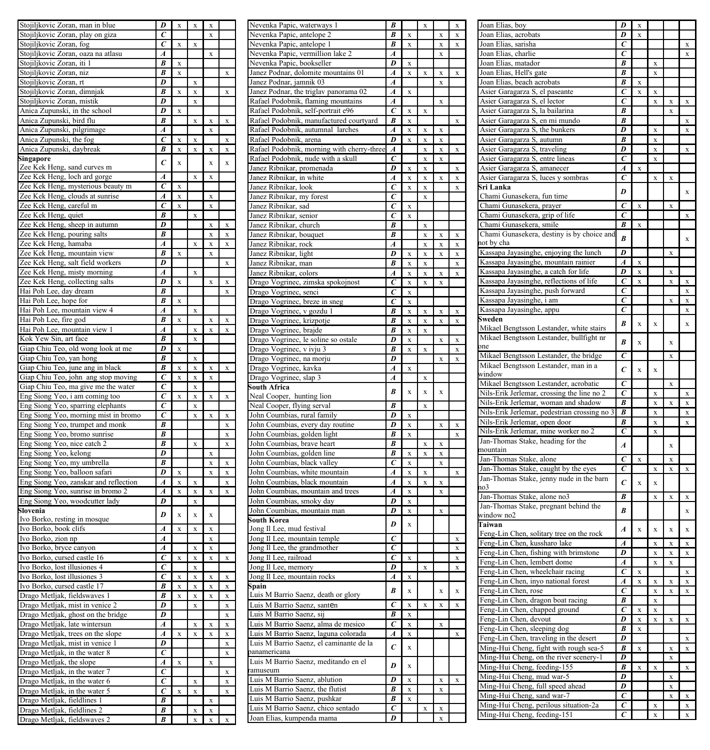| Stojiljkovic Zoran, man in blue                             | D                                | X                       | X         | X             |           | Nevenka Papic,<br>Nevenka Papic,   |
|-------------------------------------------------------------|----------------------------------|-------------------------|-----------|---------------|-----------|------------------------------------|
| Stojiljkovic Zoran, play on giza                            | $\epsilon$                       |                         |           | X             |           |                                    |
| Stojiljkovic Zoran, fog                                     | $\overline{c}$                   | X                       | X         |               |           | Nevenka Papic,                     |
| Stojiljkovic Zoran, oaza na atlasu                          | A                                |                         |           | X             |           | Nevenka Papic,                     |
| Stojiljkovic Zoran, iti 1                                   | $\overline{B}$                   | X                       |           |               |           | Nevenka Papic,                     |
| Stojiljkovic Zoran, niz                                     | $\overline{\mathit{B}}$          | X                       |           |               | X         | Janez Podnar, do                   |
| Stojiljkovic Zoran, rt                                      | D                                |                         | X         |               |           | Janez Podnar, ja                   |
| Stojiljkovic Zoran, dimnjak                                 | B<br>$\overline{D}$              | X                       | X         |               | $\bf{x}$  | Janez Podnar, th                   |
| Stojiljkovic Zoran, mistik<br>Anica Zupunski, in the school | $\overline{D}$                   | $\bar{x}$               | X         |               |           | Rafael Podobnik<br>Rafael Podobnik |
| Anica Zupunski, bird flu                                    | $\overline{B}$                   |                         | x         | X             | x         | Rafael Podobnik                    |
| Anica Zupunski, pilgrimage                                  | A                                |                         |           |               |           | Rafael Podobnik                    |
| Anica Zupunski, the fog                                     | $\epsilon$                       | X                       | X         | X             | X         | Rafael Podobnik                    |
| Anica Zupunski, daybreak                                    | B                                | $\bar{x}$               | x         | X             | $\bf{x}$  | Rafael Podobnik                    |
| Singapore                                                   |                                  |                         |           |               |           | Rafael Podobnik                    |
| Zee Kek Heng, sand curves m                                 | $\epsilon$                       | X                       |           | X             | $\bf{x}$  | Janez Ribnikar,                    |
| Zee Kek Heng, loch ard gorge                                | $\overline{A}$                   |                         | X         | X             |           | Janez Ribnikar,                    |
| Zee Kek Heng, mysterious beauty m                           | $\epsilon$                       | X                       |           |               |           | Janez Ribnikar,                    |
| Zee Kek Heng, clouds at sunrise                             | A                                | X                       |           | $\bf x$       |           | Janez Ribnikar,                    |
| Zee Kek Heng, careful m                                     | $\epsilon$                       | X                       |           | X             |           | Janez Ribnikar,                    |
| Zee Kek Heng, quiet                                         | $\overline{B}$                   |                         | X         |               |           | Janez Ribnikar,                    |
| Zee Kek Heng, sheep in autumn                               | $\overline{\mathit{D}}$          |                         |           | X             | X         | Janez Ribnikar,                    |
| Zee Kek Heng, pouring salts                                 | B                                |                         |           | X             | X         | Janez Ribnikar, I                  |
| Zee Kek Heng, hamaba                                        | A                                |                         | $\bf{x}$  | X             | X         | Janez Ribnikar,                    |
| Zee Kek Heng, mountain view                                 | B                                | $\bar{x}$               |           | X             |           | Janez Ribnikar,                    |
| Zee Kek Heng, salt field workers                            | D                                |                         |           |               | x         | Janez Ribnikar,                    |
| Zee Kek Heng, misty morning                                 | A                                |                         | $\bar{x}$ |               |           | Janez Ribnikar,                    |
| Zee Kek Heng, collecting salts                              | D                                | x                       |           | x             | x         | Drago Vogrinec,                    |
| Hai Poh Lee, day dream                                      | B<br>$\overline{B}$              |                         |           |               | x         | Drago Vogrinec,                    |
| Hai Poh Lee, hope for                                       |                                  | x                       |           |               |           | Drago Vogrinec,                    |
| Hai Poh Lee, mountain view 4                                | A<br>B                           | $\bar{x}$               | x         |               | x         | Drago Vogrinec,                    |
| Hai Poh Lee, fire god<br>Hai Poh Lee, mountain view 1       | $\overline{A}$                   |                         | x         | x<br>x        | $\bar{x}$ | Drago Vogrinec,                    |
| Kok Yew Sin, art face                                       | B                                |                         | $\bar{x}$ |               |           | Drago Vogrinec,<br>Drago Vogrinec, |
| Giap Chiu Teo, old wong look at me                          | D                                | $\overline{\mathbf{x}}$ |           |               |           | Drago Vogrinec,                    |
| Giap Chiu Teo, yan hong                                     | B                                |                         | x         |               |           | Drago Vogrinec,                    |
| Giap Chiu Teo, june ang in black                            | $\overline{B}$                   | X                       | X         | X             | X         | Drago Vogrinec,                    |
| Giap Chiu Teo, john ang stop moving                         | $\overline{c}$                   |                         | x         | X             |           | Drago Vogrinec,                    |
| Giap Chiu Teo, ma give me the water                         | $\epsilon$                       |                         | x         |               |           | South Africa                       |
| Eng Siong Yeo, i am coming too                              | $\overline{c}$                   | $\bar{x}$               | x         | $\bar{x}$     | x         | hu<br>Neal Cooper,                 |
| Eng Siong Yeo, sparring elephants                           | $\overline{c}$                   |                         | x         |               |           | Neal Cooper, fly                   |
| Eng Siong Yeo, morning mist in bromo                        | $\overline{c}$                   |                         | x         | x             | x         | John Coumbias,                     |
| Eng Siong Yeo, trumpet and monk                             | $\overline{B}$                   |                         |           |               | x         | John Coumbias,                     |
| Eng Siong Yeo, bromo sunrise                                | $\overline{B}$                   |                         |           |               | x         | John Coumbias,                     |
| Eng Siong Yeo, nice catch 2                                 | $\overline{B}$                   |                         | X         |               | X         | John Coumbias,                     |
| Eng Siong Yeo, kelong                                       | D                                |                         |           | X             |           | John Coumbias,                     |
| Eng Siong Yeo, my umbrella                                  | B                                |                         |           | X             | X         | John Coumbias,                     |
| Eng Siong Yeo, balloon safari                               | D                                | $\bar{x}$               |           | x             | x         | John Coumbias,                     |
| Eng Siong Yeo, zanskar and reflection                       | A                                | $\bar{x}$               | x         |               | x         | John Coumbias,                     |
| Eng Siong Yeo, sunrise in bromo 2                           | A                                | X                       | x         | X             | x         | John Coumbias,                     |
| Eng Siong Yeo, woodcutter lady<br>Slovenia                  | D                                |                         | х         |               |           | John Coumbias,<br>John Coumbias,   |
| Ivo Borko, resting in mosque                                | D                                | x                       | x         | $\mathbf x$   |           | South Korea                        |
| Ivo Borko, book clifs                                       | $\overline{A}$                   | $\bar{x}$               | X         | X             |           | Jong Il Lee, mud                   |
| Ivo Borko, zion np                                          | A                                |                         |           | X             |           | Jong Il Lee, mou                   |
| Ivo Borko, bryce canyon                                     | $\overline{A}$                   |                         | X         | X             |           | Jong Il Lee, the                   |
| Ivo Borko, cursed castle 16                                 | $\epsilon$                       | $\bar{x}$               | x         | X             | x         | Jong Il Lee, railr                 |
| Ivo Borko, lost illusiones 4                                | C                                |                         | x         |               |           | Jong Il Lee, men                   |
| Ivo Borko, lost illusiones 3                                | C                                | $\bar{x}$               | x         | X             | x         | Jong Il Lee, mou                   |
| Ivo Borko, cursed castle 17                                 | B                                | X                       | х         | X             | x         | Spain                              |
| Drago Metljak, fieldswaves 1                                | B                                | x                       | X         | X             | X         | Luis M Barrio S                    |
| Drago Metljak, mist in venice                               | D                                |                         | X         |               | X         | Luis M Barrio S                    |
| Drago Metljak, ghost on the bridge                          | D                                |                         |           |               | X         | Luis M Barrio S                    |
| Drago Metljak, late wintersun                               | A                                |                         | x         | x             | x         | Luis M Barrio S                    |
| Drago Metljak, trees on the slope                           | A                                | $\bar{x}$               | x         | x             | x         | Luis M Barrio S                    |
| Drago Metljak, mist in venice 1                             | D                                |                         |           |               | x         | Luis M Barrio S                    |
| Drago Metljak, in the water 8                               | Ċ                                |                         |           |               | x         | panamericana                       |
| Drago Metljak, the slope                                    | A                                | X                       |           | X             |           | Luis M Barrio S                    |
| Drago Metljak, in the water 7                               | $\overline{c}$                   |                         |           |               | X         | ramuseum<br>Luis M Barrio S        |
| Drago Metljak, in the water 6                               | $\overline{c}$<br>$\overline{c}$ |                         | X         |               | X         | Luis M Barrio S                    |
| Drago Metljak, in the water 5                               | B                                | X                       | X         |               | X         | Luis M Barrio S                    |
| Drago Metljak, fieldlines 1<br>Drago Metljak, fieldlines 2  | B                                |                         |           | $\bf{X}$<br>X |           | Luis M Barrio S                    |
| Drago Metljak, fieldswaves 2                                | B                                |                         | X<br>X    | X             | x         | Joan Elias, kump                   |
|                                                             |                                  |                         |           |               |           |                                    |

| Nevenka Papic, waterways 1                                                                                                                                                                                                                                                                                                                                                                                                                                                                                                                                                                                                                                                                                                                                                                                                                                                                           | B                       |           | X |          |   |
|------------------------------------------------------------------------------------------------------------------------------------------------------------------------------------------------------------------------------------------------------------------------------------------------------------------------------------------------------------------------------------------------------------------------------------------------------------------------------------------------------------------------------------------------------------------------------------------------------------------------------------------------------------------------------------------------------------------------------------------------------------------------------------------------------------------------------------------------------------------------------------------------------|-------------------------|-----------|---|----------|---|
| Nevenka Papic, antelope 2                                                                                                                                                                                                                                                                                                                                                                                                                                                                                                                                                                                                                                                                                                                                                                                                                                                                            | B                       | X         |   | X        | X |
|                                                                                                                                                                                                                                                                                                                                                                                                                                                                                                                                                                                                                                                                                                                                                                                                                                                                                                      | B                       | X         |   | X        | X |
| Nevenka Papic, antelope 1                                                                                                                                                                                                                                                                                                                                                                                                                                                                                                                                                                                                                                                                                                                                                                                                                                                                            |                         |           |   |          |   |
| Nevenka Papic, vermillion lake 2                                                                                                                                                                                                                                                                                                                                                                                                                                                                                                                                                                                                                                                                                                                                                                                                                                                                     | A                       |           |   | X        |   |
| Nevenka Papic, bookseller                                                                                                                                                                                                                                                                                                                                                                                                                                                                                                                                                                                                                                                                                                                                                                                                                                                                            | D                       | X         |   |          |   |
| Janez Podnar, dolomite mountains 01                                                                                                                                                                                                                                                                                                                                                                                                                                                                                                                                                                                                                                                                                                                                                                                                                                                                  | A                       | X         | x | X        | X |
| Janez Podnar, jamnik 03                                                                                                                                                                                                                                                                                                                                                                                                                                                                                                                                                                                                                                                                                                                                                                                                                                                                              | A                       |           |   | x        |   |
| Janez Podnar, the triglav panorama 02                                                                                                                                                                                                                                                                                                                                                                                                                                                                                                                                                                                                                                                                                                                                                                                                                                                                | $\overline{A}$          | X         |   |          |   |
| Rafael Podobnik, flaming mountains                                                                                                                                                                                                                                                                                                                                                                                                                                                                                                                                                                                                                                                                                                                                                                                                                                                                   | $\boldsymbol{A}$        |           |   | x        |   |
| Rafael Podobnik, self-portrait e96                                                                                                                                                                                                                                                                                                                                                                                                                                                                                                                                                                                                                                                                                                                                                                                                                                                                   | $\epsilon$              | X         | X |          |   |
| Rafael Podobnik, manufactured courtyard                                                                                                                                                                                                                                                                                                                                                                                                                                                                                                                                                                                                                                                                                                                                                                                                                                                              | B                       | X         |   |          | X |
| Rafael Podobnik, autumnal larches                                                                                                                                                                                                                                                                                                                                                                                                                                                                                                                                                                                                                                                                                                                                                                                                                                                                    | $\boldsymbol{A}$        | X         | X | X        |   |
| Rafael Podobnik, arena                                                                                                                                                                                                                                                                                                                                                                                                                                                                                                                                                                                                                                                                                                                                                                                                                                                                               | D                       | X         | X | X        |   |
| Rafael Podobnik, morning with cherry-three                                                                                                                                                                                                                                                                                                                                                                                                                                                                                                                                                                                                                                                                                                                                                                                                                                                           | $\boldsymbol{A}$        |           |   |          | X |
| Rafael Podobnik, nude with a skull                                                                                                                                                                                                                                                                                                                                                                                                                                                                                                                                                                                                                                                                                                                                                                                                                                                                   | $\epsilon$              |           | X | X        |   |
|                                                                                                                                                                                                                                                                                                                                                                                                                                                                                                                                                                                                                                                                                                                                                                                                                                                                                                      |                         |           | X | X        |   |
| Janez Ribnikar, promenada                                                                                                                                                                                                                                                                                                                                                                                                                                                                                                                                                                                                                                                                                                                                                                                                                                                                            | D                       | X         | X |          | X |
| Janez Ribnikar, in white                                                                                                                                                                                                                                                                                                                                                                                                                                                                                                                                                                                                                                                                                                                                                                                                                                                                             | A                       | X         | x | $\bf x$  | x |
| Janez Ribnikar, look                                                                                                                                                                                                                                                                                                                                                                                                                                                                                                                                                                                                                                                                                                                                                                                                                                                                                 | $\overline{c}$          | x         | X |          | X |
| Janez Ribnikar, my forest                                                                                                                                                                                                                                                                                                                                                                                                                                                                                                                                                                                                                                                                                                                                                                                                                                                                            | $\epsilon$              |           | x |          |   |
| Janez Ribnikar, sad                                                                                                                                                                                                                                                                                                                                                                                                                                                                                                                                                                                                                                                                                                                                                                                                                                                                                  | $\epsilon$              | x         |   |          |   |
| Janez Ribnikar, senior                                                                                                                                                                                                                                                                                                                                                                                                                                                                                                                                                                                                                                                                                                                                                                                                                                                                               | $\overline{c}$          | x         |   |          |   |
| Janez Ribnikar, church                                                                                                                                                                                                                                                                                                                                                                                                                                                                                                                                                                                                                                                                                                                                                                                                                                                                               | B                       |           | x |          |   |
| Janez Ribnikar, bouquet                                                                                                                                                                                                                                                                                                                                                                                                                                                                                                                                                                                                                                                                                                                                                                                                                                                                              | B                       |           | x | x        | x |
| Janez Ribnikar, rock                                                                                                                                                                                                                                                                                                                                                                                                                                                                                                                                                                                                                                                                                                                                                                                                                                                                                 | $\overline{A}$          |           | x | x        | x |
|                                                                                                                                                                                                                                                                                                                                                                                                                                                                                                                                                                                                                                                                                                                                                                                                                                                                                                      | D                       |           |   |          |   |
| Janez Ribnikar, light                                                                                                                                                                                                                                                                                                                                                                                                                                                                                                                                                                                                                                                                                                                                                                                                                                                                                |                         | x         | x | X        | x |
| Janez Ribnikar, man                                                                                                                                                                                                                                                                                                                                                                                                                                                                                                                                                                                                                                                                                                                                                                                                                                                                                  | B                       | X         | X |          | X |
| Janez Ribnikar, colors                                                                                                                                                                                                                                                                                                                                                                                                                                                                                                                                                                                                                                                                                                                                                                                                                                                                               | A                       | X         | X | X        | X |
| Drago Vogrinec, zimska spokojnost                                                                                                                                                                                                                                                                                                                                                                                                                                                                                                                                                                                                                                                                                                                                                                                                                                                                    | $\tilde{c}$             | X         | X | x        |   |
|                                                                                                                                                                                                                                                                                                                                                                                                                                                                                                                                                                                                                                                                                                                                                                                                                                                                                                      | $\tilde{c}$             | x         |   |          |   |
| Drago Vogrinec, zimska spoke<br>Drago Vogrinec, breze in sneg<br>Drago Vogrinec, breze in sneg<br>Drago Vogrinec, brago in Drago Vogrinec, krizpotje<br>Drago Vogrinec, brajte e politike sneg                                                                                                                                                                                                                                                                                                                                                                                                                                                                                                                                                                                                                                                                                                       | $\epsilon$              | x         |   |          |   |
|                                                                                                                                                                                                                                                                                                                                                                                                                                                                                                                                                                                                                                                                                                                                                                                                                                                                                                      | B                       | X         | X | X        | X |
|                                                                                                                                                                                                                                                                                                                                                                                                                                                                                                                                                                                                                                                                                                                                                                                                                                                                                                      | B                       | X         | X | X        | X |
|                                                                                                                                                                                                                                                                                                                                                                                                                                                                                                                                                                                                                                                                                                                                                                                                                                                                                                      | B                       | x         | X |          |   |
| Drago Vogrinec, le soline so ostale                                                                                                                                                                                                                                                                                                                                                                                                                                                                                                                                                                                                                                                                                                                                                                                                                                                                  | D                       | x         |   | x        | x |
|                                                                                                                                                                                                                                                                                                                                                                                                                                                                                                                                                                                                                                                                                                                                                                                                                                                                                                      | B                       |           |   |          |   |
| Drago Vogrinec, v ivju 3                                                                                                                                                                                                                                                                                                                                                                                                                                                                                                                                                                                                                                                                                                                                                                                                                                                                             |                         | X         | X |          | X |
| Drago Vogrinec, na morju                                                                                                                                                                                                                                                                                                                                                                                                                                                                                                                                                                                                                                                                                                                                                                                                                                                                             | D                       |           |   | X        | X |
| Drago Vogrinec, kavka                                                                                                                                                                                                                                                                                                                                                                                                                                                                                                                                                                                                                                                                                                                                                                                                                                                                                | $\boldsymbol{A}$        | X         |   |          |   |
| Drago Vogrinec, slap 3                                                                                                                                                                                                                                                                                                                                                                                                                                                                                                                                                                                                                                                                                                                                                                                                                                                                               | $\boldsymbol{A}$        |           | X |          |   |
|                                                                                                                                                                                                                                                                                                                                                                                                                                                                                                                                                                                                                                                                                                                                                                                                                                                                                                      |                         |           |   |          |   |
| South Africa                                                                                                                                                                                                                                                                                                                                                                                                                                                                                                                                                                                                                                                                                                                                                                                                                                                                                         |                         |           |   |          |   |
| Neal Cooper, hunting lion                                                                                                                                                                                                                                                                                                                                                                                                                                                                                                                                                                                                                                                                                                                                                                                                                                                                            | B                       | X         | X | X        |   |
|                                                                                                                                                                                                                                                                                                                                                                                                                                                                                                                                                                                                                                                                                                                                                                                                                                                                                                      | B                       |           | X |          |   |
|                                                                                                                                                                                                                                                                                                                                                                                                                                                                                                                                                                                                                                                                                                                                                                                                                                                                                                      | D                       | X         |   |          |   |
|                                                                                                                                                                                                                                                                                                                                                                                                                                                                                                                                                                                                                                                                                                                                                                                                                                                                                                      | D                       | X         |   | X        | X |
|                                                                                                                                                                                                                                                                                                                                                                                                                                                                                                                                                                                                                                                                                                                                                                                                                                                                                                      | $\overline{B}$          |           |   |          | X |
|                                                                                                                                                                                                                                                                                                                                                                                                                                                                                                                                                                                                                                                                                                                                                                                                                                                                                                      |                         | X         |   |          |   |
|                                                                                                                                                                                                                                                                                                                                                                                                                                                                                                                                                                                                                                                                                                                                                                                                                                                                                                      | B                       |           | X | $\bf{x}$ |   |
|                                                                                                                                                                                                                                                                                                                                                                                                                                                                                                                                                                                                                                                                                                                                                                                                                                                                                                      | B                       | X         | X | X        |   |
|                                                                                                                                                                                                                                                                                                                                                                                                                                                                                                                                                                                                                                                                                                                                                                                                                                                                                                      | C                       | X         |   | X        |   |
|                                                                                                                                                                                                                                                                                                                                                                                                                                                                                                                                                                                                                                                                                                                                                                                                                                                                                                      | $\boldsymbol{A}$        | X         | X |          | X |
|                                                                                                                                                                                                                                                                                                                                                                                                                                                                                                                                                                                                                                                                                                                                                                                                                                                                                                      | $\boldsymbol{A}$        | X         | X | X        |   |
|                                                                                                                                                                                                                                                                                                                                                                                                                                                                                                                                                                                                                                                                                                                                                                                                                                                                                                      | $\boldsymbol{A}$        | X         |   | X        |   |
|                                                                                                                                                                                                                                                                                                                                                                                                                                                                                                                                                                                                                                                                                                                                                                                                                                                                                                      | D                       | x         |   |          |   |
|                                                                                                                                                                                                                                                                                                                                                                                                                                                                                                                                                                                                                                                                                                                                                                                                                                                                                                      | $\overline{\mathit{D}}$ | x         |   | x        |   |
|                                                                                                                                                                                                                                                                                                                                                                                                                                                                                                                                                                                                                                                                                                                                                                                                                                                                                                      |                         |           |   |          |   |
|                                                                                                                                                                                                                                                                                                                                                                                                                                                                                                                                                                                                                                                                                                                                                                                                                                                                                                      | D                       | X         |   |          |   |
|                                                                                                                                                                                                                                                                                                                                                                                                                                                                                                                                                                                                                                                                                                                                                                                                                                                                                                      | $\overline{c}$          |           |   |          | x |
|                                                                                                                                                                                                                                                                                                                                                                                                                                                                                                                                                                                                                                                                                                                                                                                                                                                                                                      | $\overline{c}$          |           |   |          | X |
|                                                                                                                                                                                                                                                                                                                                                                                                                                                                                                                                                                                                                                                                                                                                                                                                                                                                                                      | $\overline{c}$          | x         |   |          | x |
|                                                                                                                                                                                                                                                                                                                                                                                                                                                                                                                                                                                                                                                                                                                                                                                                                                                                                                      |                         |           |   |          |   |
|                                                                                                                                                                                                                                                                                                                                                                                                                                                                                                                                                                                                                                                                                                                                                                                                                                                                                                      | D                       |           | x |          | x |
|                                                                                                                                                                                                                                                                                                                                                                                                                                                                                                                                                                                                                                                                                                                                                                                                                                                                                                      | $\boldsymbol{A}$        | x         |   |          |   |
|                                                                                                                                                                                                                                                                                                                                                                                                                                                                                                                                                                                                                                                                                                                                                                                                                                                                                                      | B                       | $\bar{x}$ |   | x        | x |
|                                                                                                                                                                                                                                                                                                                                                                                                                                                                                                                                                                                                                                                                                                                                                                                                                                                                                                      |                         |           |   |          |   |
|                                                                                                                                                                                                                                                                                                                                                                                                                                                                                                                                                                                                                                                                                                                                                                                                                                                                                                      | $\overline{c}$          | x         | x | x        | x |
|                                                                                                                                                                                                                                                                                                                                                                                                                                                                                                                                                                                                                                                                                                                                                                                                                                                                                                      | $\overline{B}$          | X         |   |          |   |
|                                                                                                                                                                                                                                                                                                                                                                                                                                                                                                                                                                                                                                                                                                                                                                                                                                                                                                      | $\overline{c}$          | X         |   | x        |   |
|                                                                                                                                                                                                                                                                                                                                                                                                                                                                                                                                                                                                                                                                                                                                                                                                                                                                                                      | $\overline{A}$          | X         |   |          | x |
|                                                                                                                                                                                                                                                                                                                                                                                                                                                                                                                                                                                                                                                                                                                                                                                                                                                                                                      |                         |           |   |          |   |
|                                                                                                                                                                                                                                                                                                                                                                                                                                                                                                                                                                                                                                                                                                                                                                                                                                                                                                      | $\boldsymbol{c}$        | X         |   |          |   |
|                                                                                                                                                                                                                                                                                                                                                                                                                                                                                                                                                                                                                                                                                                                                                                                                                                                                                                      |                         |           |   |          |   |
| Neal Cooper, flying serval<br>John Coumbias, rural family<br>John Coumbias, every day routine<br>John Coumbias, golden light<br>John Coumbias, brave heart<br>John Coumbias, golden line<br>John Coumbias, black valley<br>John Coumbias, white mountain<br>John Coumbias, black mountain<br>John Coumbias, mountain and trees<br>John Coumbias, smoky day<br>John Coumbias, mountain man<br><b>South Korea</b><br>Jong Il Lee, mud festival<br>Jong Il Lee, mountain temple<br>Jong Il Lee, the grandmother<br>Jong Il Lee, railroad<br>Jong Il Lee, memory<br>Jong Il Lee, mountain rocks<br>Spain<br>Luis M Barrio Saenz, death or glory<br>Luis M Barrio Saenz, santen<br>Luis M Barrio Saenz, sij<br>Luis M Barrio Saenz, alma de mesico<br>Luis M Barrio Saenz, laguna colorada<br>Luis M Barrio Saenz, el caminante de la<br>panamericana<br>Luis M Barrio Saenz, meditando en el<br>ramuseum | D                       | $\bar{x}$ |   |          |   |
|                                                                                                                                                                                                                                                                                                                                                                                                                                                                                                                                                                                                                                                                                                                                                                                                                                                                                                      | D                       | x         |   | x        | x |
|                                                                                                                                                                                                                                                                                                                                                                                                                                                                                                                                                                                                                                                                                                                                                                                                                                                                                                      | $\overline{B}$          | X         |   | X        |   |
| Luis M Barrio Saenz, ablution<br>Luis M Barrio Saenz, the flutist                                                                                                                                                                                                                                                                                                                                                                                                                                                                                                                                                                                                                                                                                                                                                                                                                                    | B                       | X         |   |          |   |
| Luis M Barrio Saenz, pushkar                                                                                                                                                                                                                                                                                                                                                                                                                                                                                                                                                                                                                                                                                                                                                                                                                                                                         |                         |           |   | X        |   |
| Luis M Barrio Saenz, chico sentado<br>Joan Elias, kumpenda mama                                                                                                                                                                                                                                                                                                                                                                                                                                                                                                                                                                                                                                                                                                                                                                                                                                      | $\epsilon$<br>D         |           |   |          |   |

| Joan Elias, boy                                                                    | D                       | X         |           |                    |             |
|------------------------------------------------------------------------------------|-------------------------|-----------|-----------|--------------------|-------------|
| Joan Elias, acrobats                                                               | $\overline{D}$          |           |           |                    |             |
| Joan Elias, sarisha                                                                | $\overline{\epsilon}$   |           |           |                    | x           |
| Joan Elias, charlie                                                                | $\epsilon$              |           |           |                    | X           |
| Joan Elias, matador                                                                | B                       |           | x         |                    |             |
| Joan Elias, Hell's gate                                                            | R                       |           | x         |                    |             |
| Joan Elias, beach acrobats                                                         | B                       | X         |           |                    |             |
| Asier Garagarza S, el paseante                                                     | Ċ                       | X         | X         |                    |             |
|                                                                                    | Ċ                       |           | X         |                    | X           |
| Asier Garagarza S, el lector                                                       | B                       |           |           | X                  |             |
| Asier Garagarza S, la bailarina                                                    |                         |           |           | X                  |             |
| Asier Garagarza S, en mi mundo                                                     | B                       |           |           |                    | X           |
| Asier Garagarza S, the bunkers                                                     | D                       |           | X         |                    | X           |
| Asier Garagarza S, autumn                                                          | B                       |           | X         |                    |             |
| Asier Garagarza S, traveling                                                       | D                       |           | X         |                    | $\mathbf x$ |
| Asier Garagarza S, entre lineas                                                    | Ċ                       |           | $\bar{x}$ |                    |             |
| Asier Garagarza S, amanecer                                                        | A                       | x         |           |                    |             |
| Asier Garagarza S, luces y sombras                                                 | $\overline{c}$          |           | $\bar{x}$ | x                  |             |
| Sri Lanka                                                                          |                         |           |           |                    |             |
|                                                                                    | D                       |           |           |                    | $\bar{x}$   |
| Chami Gunasekera, fun time                                                         |                         |           |           |                    |             |
| Chami Gunasekera, prayer                                                           | $\overline{c}$          | $\bar{x}$ |           | x                  |             |
| Chami Gunasekera, grip of life                                                     | $\overline{c}$          |           |           |                    | x           |
| Chami Gunasekera, smile                                                            | B                       | x         |           |                    |             |
| Chami Gunasekera, destiny is by choice and                                         |                         |           |           |                    |             |
| not by cha                                                                         | B                       |           |           |                    | $\bar{x}$   |
| Kassapa Jayasinghe, enjoying the lunch                                             | $\overline{\mathit{D}}$ |           |           | x                  |             |
| Kassapa Jayasinghe, mountain rainier                                               | $\overline{A}$          | $\bar{x}$ |           |                    |             |
|                                                                                    |                         |           |           |                    |             |
| Kassapa Jayasinghe, a catch for life                                               | D                       | X         |           | X                  |             |
| Kassapa Jayasinghe, reflections of life                                            | $\overline{\epsilon}$   | X         |           | X                  |             |
| Kassapa Jayasinghe, push forward                                                   | $\overline{c}$          |           |           |                    | X           |
| Kassapa Jayasinghe, i am                                                           | Ĉ                       |           |           | x                  | X           |
| Kassapa Jayasinghe, appu                                                           | $\epsilon$              |           |           |                    | X           |
| sweden                                                                             |                         |           |           |                    |             |
| Mikael Bengtsson Lestander, white stairs                                           | B                       | x         | $\bar{x}$ |                    | $\bar{x}$   |
| Mikael Bengtsson Lestander, bullfight nr                                           |                         |           |           |                    |             |
|                                                                                    | B                       | $\bar{x}$ |           | x                  |             |
| one                                                                                |                         |           |           |                    |             |
| Mikael Bengtsson Lestander, the bridge                                             | $\overline{c}$          |           |           | X                  |             |
| Mikael Bengtsson Lestander, man in a                                               | $\boldsymbol{c}$        | x         | X         |                    |             |
| vindow                                                                             |                         |           |           |                    |             |
| Mikael Bengtsson Lestander, acrobatic                                              | $\overline{c}$          |           |           | X                  |             |
|                                                                                    | $\epsilon$              |           | $\bar{x}$ |                    | X           |
| Nils-Erik Jerlemar, crossing the line no 2<br>Nils-Erik Jerlemar, woman and shadow | $\overline{B}$          |           | X         | x                  | X           |
|                                                                                    | R                       |           |           |                    |             |
| Nils-Erik Jerlemar, pedestrian crossing no 3                                       |                         |           | x         |                    | x           |
| Nils-Erik Jerlemar, open door                                                      | R                       |           | X         |                    | X           |
| Nils-Erik Jerlemar, mine worker no 2                                               | $\epsilon$              |           | X         |                    |             |
| Jan-Thomas Stake, heading for the                                                  | $\overline{A}$          |           |           | $\bar{x}$          |             |
| nountain                                                                           |                         |           |           |                    |             |
| Jan-Thomas Stake, alone                                                            | $\overline{c}$          | X         |           | x                  |             |
| Jan-Thomas Stake, caught by the eyes                                               | $\epsilon$              |           | X         | $\bf{x}$           | X           |
| Jan-Thomas Stake, jenny nude in the barn                                           |                         |           |           |                    |             |
|                                                                                    | $\epsilon$              | $\bf{x}$  | X         |                    |             |
| no3                                                                                |                         |           |           |                    |             |
| Jan-Thomas Stake, alone no3                                                        | B                       |           | X         | X                  | X           |
| Jan-Thomas Stake, pregnant behind the                                              | B                       |           |           |                    | $\bar{x}$   |
| window no2                                                                         |                         |           |           |                    |             |
| Taiwan                                                                             |                         |           |           |                    |             |
| Feng-Lin Chen, solitary tree on the rock                                           | $\boldsymbol{A}$        | $\bf x$   | X         | $\bar{\mathbf{x}}$ | $\bar{x}$   |
| Feng-Lin Chen, kussharo lake                                                       | A                       |           | x         | X                  | $\bar{x}$   |
| Feng-Lin Chen, fishing with brimstone                                              | D                       |           | X         | X                  | X           |
|                                                                                    |                         |           |           |                    |             |
| Feng-Lin Chen, lembert dome                                                        | A                       |           | X         | X                  |             |
| Feng-Lin Chen, wheelchair racing                                                   | $\epsilon$              | X         |           |                    | X           |
| Feng-Lin Chen, inyo national forest                                                | $\boldsymbol{A}$        | X         | X         | X                  | X           |
| Feng-Lin Chen, rose                                                                | $\epsilon$              |           | X         | X                  | X           |
| Feng-Lin Chen, dragon boat racing                                                  | B                       |           | X         |                    |             |
| Feng-Lin Chen, chapped ground                                                      | C                       | X         | X         |                    |             |
| Feng-Lin Chen, devout                                                              | D                       | X         | $\bar{x}$ | x                  | $\bar{x}$   |
| Feng-Lin Chen, sleeping dog                                                        | B                       | $\bar{x}$ |           |                    |             |
|                                                                                    | D                       |           |           |                    | $\bar{x}$   |
| Feng-Lin Chen, traveling in the desert                                             |                         |           |           |                    |             |
| Ming-Hui Cheng, fight with rough sea-5                                             | $\overline{B}$          | $\bar{x}$ |           | x                  | x           |
| Ming-Hui Cheng, on the river scenery-1                                             | $\overline{\mathit{D}}$ |           |           | x                  |             |
| Ming-Hui Cheng, feeding-155                                                        | $\overline{B}$          | x         | X         |                    | X           |
| Ming-Hui Cheng, mud war-5                                                          | D                       |           |           | x                  |             |
| Ming-Hui Cheng, full speed ahead                                                   | $\overline{D}$          |           |           | X                  |             |
| Ming-Hui Cheng, sand war-7                                                         | $\overline{c}$          |           |           | X                  | X           |
| Ming-Hui Cheng, perilous situation-2a                                              | $\overline{c}$          |           | X         |                    | X           |
| Ming-Hui Cheng, feeding-151                                                        | $\epsilon$              |           | X         |                    | X           |
|                                                                                    |                         |           |           |                    |             |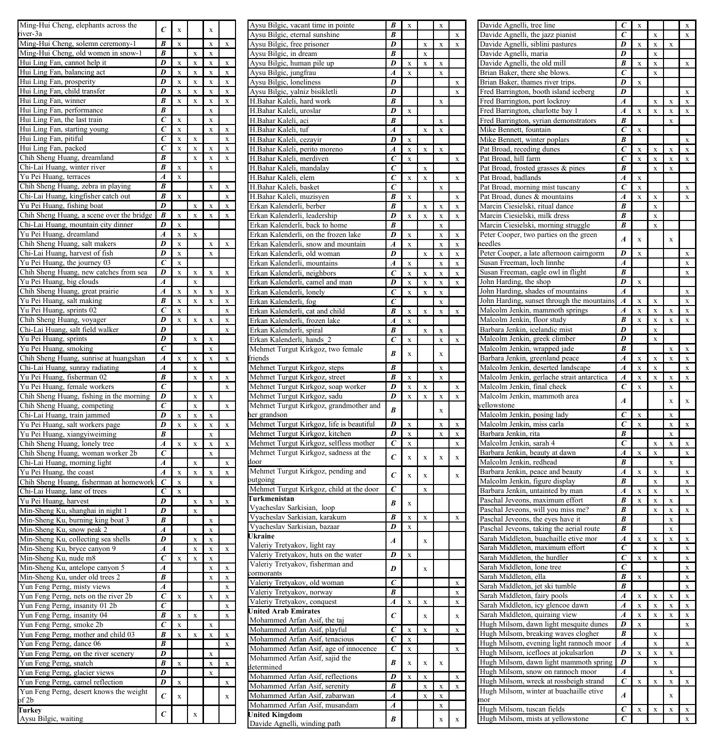| Ming-Hui Cheng, elephants across the                                      | $\epsilon$                       | X              |              | X            |          |  |
|---------------------------------------------------------------------------|----------------------------------|----------------|--------------|--------------|----------|--|
| iver-3a                                                                   | $\overline{B}$                   |                |              |              |          |  |
| Ming-Hui Cheng, solemn ceremony-1<br>Ming-Hui Cheng, old women in snow-1  | $\overline{B}$                   | X              | X            | X<br>X       | X        |  |
| Hui Ling Fan, cannot help it                                              | D                                | X              | X            | X            | X        |  |
| Hui Ling Fan, balancing act                                               | D                                | X              | X            | X            | X        |  |
| Hui Ling Fan, prosperity                                                  | D                                | X              | X            | X            | X        |  |
| Hui Ling Fan, child transfer                                              | D                                | X              | X            | X            | X        |  |
| Hui Ling Fan, winner                                                      | B                                | X              | X            | X            | X        |  |
| Hui Ling Fan, performance                                                 | B                                |                |              | X            |          |  |
| Hui Ling Fan, the last train                                              | $\epsilon$                       | X              |              | X            |          |  |
| Hui Ling Fan, starting young                                              | $\epsilon$                       | X              |              | X            | X        |  |
| Hui Ling Fan, pitiful                                                     | C<br>C                           | X              | X            |              | X        |  |
| Hui Ling Fan, packed<br>Chih Sheng Huang, dreamland                       | B                                | X              | X<br>$\bf x$ | X<br>X       | X<br>X   |  |
| Chi-Lai Huang, winter river                                               | B                                | X              |              | X            |          |  |
| Yu Pei Huang, terraces                                                    | A                                | X              |              |              |          |  |
| Chih Sheng Huang, zebra in playing                                        | $\overline{B}$                   |                |              | X            | X        |  |
| Chi-Lai Huang, kingfisher catch out                                       | B                                | $\bar{x}$      |              |              | x        |  |
| Yu Pei Huang, fishing boat                                                | D                                |                | x            | $\bf x$      | x        |  |
| Chih Sheng Huang, a scene over the bridge                                 | B                                | X              | X            | X            | X        |  |
| Chi-Lai Huang, mountain city dinner                                       | $\overline{D}$                   | X              |              |              |          |  |
| Yu Pei Huang, dreamland                                                   | $\overline{A}$                   | X              | X            |              |          |  |
| Chih Sheng Huang, salt makers<br>Chi-Lai Huang, harvest of fish           | D<br>D                           | $\bar{x}$<br>X |              | x<br>$\bf x$ | X        |  |
| Yu Pei Huang, the journey 03                                              | $\epsilon$                       | X              |              |              |          |  |
| Chih Sheng Huang, new catches from sea                                    | D                                | X              | X            | X            | X        |  |
| Yu Pei Huang, big clouds                                                  | $\overline{A}$                   |                | X            |              |          |  |
| Chih Sheng Huang, great prairie                                           | $\boldsymbol{A}$                 | $\bar{x}$      | x            | $\bf{x}$     | $\bf{x}$ |  |
| Yu Pei Huang, salt making                                                 | B                                | x              | X            | X            | X        |  |
| Yu Pei Huang, sprints 02                                                  | $\epsilon$                       | X              |              |              | X        |  |
| Chih Sheng Huang, voyager                                                 | D                                | X              | X            | X            | X        |  |
| Chi-Lai Huang, salt field walker                                          | D                                |                |              |              | x        |  |
| Yu Pei Huang, sprints                                                     | D                                |                | x            | x            |          |  |
| Yu Pei Huang, smoking                                                     | $\epsilon$<br>$\overline{A}$     |                |              | X<br>x       |          |  |
| Chih Sheng Huang, sunrise at huangshan<br>Chi-Lai Huang, sunray radiating | A                                | X              | X<br>x       |              | X        |  |
| Yu Pei Huang, fisherman 02                                                | B                                |                | x            | x            | x        |  |
| Yu Pei Huang, female workers                                              | $\epsilon$                       |                |              |              | x        |  |
| Chih Sheng Huang, fishing in the morning                                  | D                                |                | x            | x            |          |  |
| Chih Sheng Huang, competing                                               | $\overline{c}$                   |                | x            |              | x        |  |
| Chi-Lai Huang, train jammed                                               | D                                | x              | x            | x            |          |  |
| Yu Pei Huang, salt workers page                                           | D                                | x              | x            | x            | x        |  |
| Yu Pei Huang, xiangyiweiming                                              | B                                |                |              | X            |          |  |
| Chih Sheng Huang, lonely tree                                             | $\overline{A}$                   | x              | x            | X            | x        |  |
| Chih Sheng Huang, woman worker 2b                                         | C                                |                |              | X            |          |  |
| Chi-Lai Huang, morning light                                              | A<br>$\overline{A}$              | x              | x<br>x       | x            | x<br>x   |  |
| Yu Pei Huang, the coast<br>Chih Sheng Huang, fisherman at homework        | $\epsilon$                       | x              |              | x            |          |  |
| Chi-Lai Huang, lane of trees                                              | $\epsilon$                       | x              |              |              |          |  |
| Yu Pei Huang, harvest                                                     | D                                |                | x            | x            | x        |  |
| Min-Sheng Ku, shanghai in night 1                                         | D                                |                | x            |              |          |  |
| Min-Sheng Ku, burning king boat 3                                         | R                                |                |              | x            |          |  |
| Min-Sheng Ku, snow peak 2                                                 | $\overline{A}$                   |                |              | x            |          |  |
| Min-Sheng Ku, collecting sea shells                                       | D                                |                |              | X            |          |  |
| Min-Sheng Ku, bryce canyon 9                                              | A                                |                | X            | x            | x        |  |
| Min-Sheng Ku, nude m8                                                     | Ċ                                | x              | x            | X            |          |  |
| Min-Sheng Ku, antelope canyon 5                                           | $\overline{A}$<br>$\overline{B}$ |                |              | x            | x        |  |
| Min-Sheng Ku, under old trees 2<br>Yun Feng Perng, misty views            | A                                |                |              | X            | X<br>X   |  |
| Yun Feng Perng, nets on the river 2b                                      | Ċ                                | $\bar{x}$      |              | x            | x        |  |
| Yun Feng Perng, insanity 01 2b                                            | $\overline{c}$                   |                |              |              | x        |  |
| Yun Feng Perng, insanity 04                                               | $\overline{B}$                   | x              | x            |              | x        |  |
| Yun Feng Perng, smoke 2b                                                  | ċ                                | X              |              | X            |          |  |
| Yun Feng Perng, mother and child 03                                       | B                                | x              | x            | x            | x        |  |
| Yun Feng Perng, dance 06                                                  | B                                |                |              |              | x        |  |
| Yun Feng Perng, on the river scenery                                      | D                                |                |              | x            |          |  |
| Yun Feng Perng, snatch                                                    | B                                | X              |              | x            | x        |  |
| Yun Feng Perng, glacier views                                             | Ď                                |                |              | X            |          |  |
| Yun Feng Perng, camel reflection                                          | D                                | X              |              |              | X        |  |
| Yun Feng Perng, desert knows the weight<br>of 2b                          | $\epsilon$                       | X              |              |              | $\bf{x}$ |  |
| Turkey                                                                    |                                  |                |              |              |          |  |
| Aysu Bilgic, waiting                                                      | $\epsilon$                       |                | $\bar{x}$    |              |          |  |
|                                                                           |                                  |                |              |              |          |  |

| Aysu Bilgic, vacant time in pointe                    | B                       | X                       |                         | X         |   |
|-------------------------------------------------------|-------------------------|-------------------------|-------------------------|-----------|---|
| Aysu Bilgic, eternal sunshine                         | B                       |                         |                         |           | X |
| Aysu Bilgic, free prisoner                            | D                       |                         | X                       | X         | X |
| Aysu Bilgic, in dream                                 | B                       |                         | X                       |           |   |
| Aysu Bilgic, human pile up                            | D                       | X                       | X                       | X         |   |
| Aysu Bilgic, jungfrau                                 | A                       | X                       |                         | X         |   |
| Aysu Bilgic, loneliness                               | D                       |                         |                         |           | X |
| Aysu Bilgic, yalniz bisikletli                        | D                       |                         |                         |           | X |
| H.Bahar Kaleli, hard work                             | B                       |                         |                         | X         |   |
| H.Bahar Kaleli, uroslar                               | $\overline{D}$          | X                       |                         |           |   |
| H.Bahar Kaleli, aci                                   | B                       |                         |                         | X         |   |
| H.Bahar Kaleli, tuf                                   | A                       |                         | $\mathbf x$             | X         |   |
| H.Bahar Kaleli, cezayir                               | D                       | X                       |                         |           |   |
| H.Bahar Kaleli, perito moreno                         | A                       | X                       | $\bar{x}$               | X         |   |
| H.Bahar Kaleli, merdiven                              | C                       | X                       |                         |           | X |
| H.Bahar Kaleli, mandalay                              | C                       |                         | X                       |           |   |
| H.Bahar Kaleli, elem                                  | C                       | X                       | $\bar{x}$               |           | x |
| H.Bahar Kaleli, basket                                | Ć                       |                         |                         | x         |   |
| H.Bahar Kaleli, muzisyen                              | B                       | x                       |                         |           | x |
| Erkan Kalenderli, berber                              | B                       |                         | $\mathbf x$             | x         | X |
| Erkan Kalenderli, leadership                          | D                       | x                       | $\bar{x}$               | x         | x |
| Erkan Kalenderli, back to home                        | B                       |                         |                         | x         |   |
| Erkan Kalenderli, on the frozen lake                  | D                       | x                       |                         | x         | x |
|                                                       | $\overline{A}$          | x                       |                         |           |   |
| Erkan Kalenderli, snow and mountain                   |                         |                         |                         | x         | x |
| Erkan Kalenderli, old woman                           | D                       |                         | $\bar{x}$               | x         | x |
| Erkan Kalenderli, mountains                           | $\overline{A}$          | x                       |                         | x         | x |
| Erkan Kalenderli, neighbors                           | C                       | x                       | x                       | x         | X |
| Erkan Kalenderli, camel and man                       | n                       | x                       | x                       | x         | x |
| Erkan Kalenderli, lonely                              | $\overline{\epsilon}$   | X                       | X                       | X         |   |
| Erkan Kalenderli, fog                                 | Ć                       |                         |                         | X         |   |
| Erkan Kalenderli, cat and child                       | B                       | $\bar{x}$               | $\bar{x}$               | x         | x |
| Erkan Kalenderli, frozen lake                         | Á                       | x                       |                         |           |   |
| Erkan Kalenderli, spiral                              | B                       |                         | $\mathbf x$             | x         |   |
| Erkan Kalenderli, hands 2                             | Ċ                       | X                       |                         | X         | x |
| Mehmet Turgut Kirkgoz, two female                     | $\overline{B}$          | $\bar{x}$               |                         | x         |   |
| friends                                               |                         |                         |                         |           |   |
| Mehmet Turgut Kirkgoz, steps                          | B                       |                         |                         | X         |   |
| Mehmet Turgut Kirkgoz, street                         | B                       | X                       |                         | X         |   |
| Mehmet Turgut Kirkgoz, soap worker                    | D                       | x                       | X                       |           | x |
| Mehmet Turgut Kirkgoz, sadu                           | D                       | x                       | X                       | x         | x |
| Mehmet Turgut Kirkgoz, grandmother and                |                         |                         |                         |           |   |
| ner grandson                                          | B                       |                         |                         | x         |   |
| Mehmet Turgut Kirkgoz, life is beautiful              | $\overline{\mathit{D}}$ | x                       |                         | x         | x |
| Mehmet Turgut Kirkgoz, kitchen                        | D                       | x                       |                         | x         | x |
| Mehmet Turgut Kirkgoz, selfless mother                | $\overline{c}$          | X                       |                         |           | X |
| Mehmet Turgut Kirkgoz, sadness at the                 |                         |                         |                         |           |   |
| door                                                  | $\epsilon$              | $\bar{x}$               | $\overline{\mathbf{x}}$ | x         | x |
| Mehmet Turgut Kirkgoz, pending and                    |                         |                         |                         |           |   |
| outgoing                                              | $\epsilon$              | $\overline{\mathbf{x}}$ | $\overline{\mathbf{x}}$ |           | x |
| Mehmet Turgut Kirkgoz, child at the door              | C                       |                         | X                       |           |   |
| Turkmenistan                                          |                         |                         |                         |           |   |
| Vyacheslav Sarkisian, loop                            | B                       | $\bar{x}$               |                         |           |   |
| Vyacheslav Sarkisian, karakum                         | B                       | X                       | X                       |           | X |
| Vyacheslav Sarkisian, bazaar                          | D                       | X                       |                         |           |   |
| Ukraine                                               |                         |                         |                         |           |   |
| Valeriy Tretyakov, light ray                          | $\boldsymbol{A}$        |                         | $\bar{x}$               |           |   |
| Valeriy Tretyakov, huts on the water                  | $\overline{D}$          | X                       |                         |           |   |
| Valeriy Tretyakov, fisherman and                      |                         |                         |                         |           |   |
| ormorants                                             | D                       |                         | $\bar{x}$               |           |   |
| Valeriy Tretyakov, old woman                          | $\overline{c}$          |                         |                         |           | X |
| Valeriy Tretyakov, norway                             | $\overline{B}$          |                         |                         |           | X |
| Valeriy Tretyakov, conquest                           |                         |                         |                         |           | X |
| <b>United Arab Emirates</b>                           |                         |                         |                         |           |   |
| Mohammed Arfan Asif, the taj                          | $\overline{A}$          | X                       | X                       |           |   |
|                                                       | $\epsilon$              |                         | $\bar{x}$               |           | x |
|                                                       |                         |                         |                         |           |   |
| Mohammed Arfan Asif, playful                          | Ċ                       | X                       | X                       |           | x |
| Mohammed Arfan Asif, tenacious                        | Ċ                       | X                       |                         |           |   |
| Mohammed Arfan Asif, age of innocence                 | $\overline{c}$          | X                       |                         |           | x |
| Mohammed Arfan Asif, sajid the                        | B                       | $\bar{x}$               | $\bar{x}$               | $\bar{x}$ |   |
| determined                                            |                         |                         |                         |           |   |
| Mohammed Arfan Asif, reflections                      | $\overline{D}$          | $\overline{\mathbf{x}}$ | X                       |           | X |
| Mohammed Arfan Asif, serenity                         | B                       |                         | X                       | X         | X |
| Mohammed Arfan Asif, zabarwan                         | A                       |                         | X                       | X         |   |
| Mohammed Arfan Asif, musandam                         | A                       |                         |                         | X         |   |
| <b>United Kingdom</b><br>Davide Agnelli, winding path | B                       |                         |                         | x         | x |

| Davide Agnelli, tree line                                                                                                                                                                                                                                                                 | $\epsilon$                   | X                       |           |                    | X                                                   |
|-------------------------------------------------------------------------------------------------------------------------------------------------------------------------------------------------------------------------------------------------------------------------------------------|------------------------------|-------------------------|-----------|--------------------|-----------------------------------------------------|
|                                                                                                                                                                                                                                                                                           | $\bar{c}$                    |                         |           |                    |                                                     |
| Davide Agnelli, the jazz pianist                                                                                                                                                                                                                                                          |                              |                         | X         |                    | X                                                   |
| Davide Agnelli, siblini pastures                                                                                                                                                                                                                                                          | D                            | X                       | X         | X                  |                                                     |
|                                                                                                                                                                                                                                                                                           | D                            |                         | X         |                    |                                                     |
| Davide Agnelli, maria                                                                                                                                                                                                                                                                     |                              |                         |           |                    |                                                     |
| Davide Agnelli, the old mill                                                                                                                                                                                                                                                              | B                            | X                       | X         |                    | X                                                   |
| Brian Baker, there she blows.                                                                                                                                                                                                                                                             | C                            |                         | X         |                    |                                                     |
|                                                                                                                                                                                                                                                                                           | D                            |                         |           |                    |                                                     |
| Brian Baker, thames river trips.                                                                                                                                                                                                                                                          |                              | X                       |           |                    |                                                     |
| Fred Barrington, booth island iceberg                                                                                                                                                                                                                                                     | D                            |                         |           |                    | X                                                   |
| Fred Barrington, port lockroy                                                                                                                                                                                                                                                             | $\boldsymbol{A}$             |                         | X         | X                  | X                                                   |
|                                                                                                                                                                                                                                                                                           |                              |                         |           |                    |                                                     |
| Fred Barrington, charlotte bay 1                                                                                                                                                                                                                                                          | Á                            | X                       | X         | X                  | X                                                   |
| Fred Barrington, syrian demonstrators                                                                                                                                                                                                                                                     | B                            |                         |           | X                  |                                                     |
|                                                                                                                                                                                                                                                                                           |                              |                         |           |                    |                                                     |
| Mike Bennett, fountain                                                                                                                                                                                                                                                                    | $\epsilon$                   | X                       |           |                    |                                                     |
| Mike Bennett, winter poplars                                                                                                                                                                                                                                                              | B                            |                         |           |                    | X                                                   |
| Pat Broad, receding dunes                                                                                                                                                                                                                                                                 | $\epsilon$                   | X                       |           |                    |                                                     |
|                                                                                                                                                                                                                                                                                           |                              |                         | X         | X                  | X                                                   |
| Pat Broad, hill farm                                                                                                                                                                                                                                                                      | C                            | X                       | X         | x                  | X                                                   |
| Pat Broad, frosted grasses & pines                                                                                                                                                                                                                                                        | B                            |                         | X         | X                  |                                                     |
|                                                                                                                                                                                                                                                                                           |                              |                         |           |                    |                                                     |
| Pat Broad, badlands                                                                                                                                                                                                                                                                       | $\boldsymbol{A}$             | $\bf{x}$                |           |                    |                                                     |
| Pat Broad, morning mist tuscany                                                                                                                                                                                                                                                           | $\epsilon$                   | $\bar{x}$               |           |                    | x                                                   |
| Pat Broad, dunes & mountains                                                                                                                                                                                                                                                              | A                            | $\bar{x}$               | $\bar{x}$ |                    | x                                                   |
|                                                                                                                                                                                                                                                                                           |                              |                         |           |                    |                                                     |
| Marcin Ciesielski, ritual dance                                                                                                                                                                                                                                                           | R                            |                         | x         |                    |                                                     |
| Marcin Ciesielski, milk dress                                                                                                                                                                                                                                                             | B                            |                         | x         |                    |                                                     |
|                                                                                                                                                                                                                                                                                           |                              |                         |           |                    |                                                     |
| Marcin Ciesielski, morning struggle                                                                                                                                                                                                                                                       | B                            |                         | x         |                    |                                                     |
| Peter Cooper, two parties on the green                                                                                                                                                                                                                                                    |                              |                         |           |                    |                                                     |
|                                                                                                                                                                                                                                                                                           | $\boldsymbol{A}$             | $\bar{x}$               |           | $\bar{\mathbf{x}}$ |                                                     |
| reedles                                                                                                                                                                                                                                                                                   |                              |                         |           |                    |                                                     |
| Peter Cooper, a late afternoon cairngorm                                                                                                                                                                                                                                                  | D                            | $\overline{\mathbf{x}}$ |           |                    | x                                                   |
|                                                                                                                                                                                                                                                                                           |                              |                         |           |                    |                                                     |
| Susan Freeman, loch linnhe                                                                                                                                                                                                                                                                | A                            |                         |           |                    | x                                                   |
| Susan Freeman, eagle owl in flight                                                                                                                                                                                                                                                        | R                            |                         |           |                    | X                                                   |
| John Harding, the shop                                                                                                                                                                                                                                                                    | D                            | X                       |           |                    |                                                     |
|                                                                                                                                                                                                                                                                                           |                              |                         |           |                    |                                                     |
| John Harding, shades of mountains                                                                                                                                                                                                                                                         | A                            |                         |           |                    | X                                                   |
| John Harding, sunset through the mountains                                                                                                                                                                                                                                                | A                            | X                       | X         |                    | X                                                   |
|                                                                                                                                                                                                                                                                                           |                              |                         |           |                    |                                                     |
| Malcolm Jenkin, mammoth springs                                                                                                                                                                                                                                                           | A                            | X                       | X         | X                  | X                                                   |
| Malcolm Jenkin, floor study                                                                                                                                                                                                                                                               | B                            | X                       | X         | X                  | X                                                   |
|                                                                                                                                                                                                                                                                                           |                              |                         |           |                    |                                                     |
| Barbara Jenkin, icelandic mist                                                                                                                                                                                                                                                            | D                            |                         | X         |                    |                                                     |
| Malcolm Jenkin, greek climber                                                                                                                                                                                                                                                             | D                            |                         | X         |                    |                                                     |
|                                                                                                                                                                                                                                                                                           |                              |                         |           |                    |                                                     |
| Malcolm Jenkin, wrapped jade                                                                                                                                                                                                                                                              | B                            |                         |           | X                  | X                                                   |
| Barbara Jenkin, greenland peace                                                                                                                                                                                                                                                           | A                            | X                       | x         | X                  | X                                                   |
|                                                                                                                                                                                                                                                                                           | $\overline{A}$               |                         |           |                    | x                                                   |
| Malcolm Jenkin, deserted landscape                                                                                                                                                                                                                                                        |                              | X                       | X         |                    |                                                     |
| Malcolm Jenkin, gerlache strait antarctica                                                                                                                                                                                                                                                | A                            | X                       | X         | X                  | X                                                   |
| Malcolm Jenkin, final check                                                                                                                                                                                                                                                               | $\epsilon$                   | X                       |           | X                  |                                                     |
|                                                                                                                                                                                                                                                                                           |                              |                         |           |                    |                                                     |
| Malcolm Jenkin, mammoth area                                                                                                                                                                                                                                                              | $\overline{A}$               |                         |           | $\bar{x}$          | $\mathbf x$                                         |
| vellowstone                                                                                                                                                                                                                                                                               |                              |                         |           |                    |                                                     |
|                                                                                                                                                                                                                                                                                           | $\overline{c}$               |                         |           | x                  |                                                     |
| Malcolm Jenkin, posing lady                                                                                                                                                                                                                                                               |                              | X                       |           |                    |                                                     |
| Malcolm Jenkin, miss carla                                                                                                                                                                                                                                                                | Ć                            | X                       |           | X                  | X                                                   |
| Barbara Jenkin, rita                                                                                                                                                                                                                                                                      | B                            |                         |           | X                  |                                                     |
|                                                                                                                                                                                                                                                                                           |                              |                         |           |                    |                                                     |
| Malcolm Jenkin, sarah 4                                                                                                                                                                                                                                                                   | $\epsilon$                   |                         | X         | X                  | X                                                   |
| Barbara Jenkin, beauty at dawn                                                                                                                                                                                                                                                            | $\overline{A}$               | X                       | X         |                    | X                                                   |
|                                                                                                                                                                                                                                                                                           |                              |                         |           |                    |                                                     |
| Malcolm Jenkin, redhead                                                                                                                                                                                                                                                                   | B                            |                         |           | X                  |                                                     |
| Barbara Jenkin, peace and beauty                                                                                                                                                                                                                                                          | $\boldsymbol{A}$             | X                       | X         |                    | X                                                   |
|                                                                                                                                                                                                                                                                                           |                              |                         |           |                    |                                                     |
| Malcolm Jenkin, figure display                                                                                                                                                                                                                                                            | B                            |                         | X         |                    | X                                                   |
|                                                                                                                                                                                                                                                                                           | $\overline{A}$               |                         |           |                    | X                                                   |
|                                                                                                                                                                                                                                                                                           |                              | X                       | X         |                    |                                                     |
| Barbara Jenkin, untainted by man                                                                                                                                                                                                                                                          |                              |                         |           |                    |                                                     |
| Paschal Jeveons, maximum effort                                                                                                                                                                                                                                                           | B                            | X                       | X         | X                  |                                                     |
| Paschal Jeveons, will you miss me?                                                                                                                                                                                                                                                        | B                            |                         | $\bar{x}$ | X                  |                                                     |
|                                                                                                                                                                                                                                                                                           |                              |                         |           |                    |                                                     |
|                                                                                                                                                                                                                                                                                           | B                            |                         |           | x                  |                                                     |
|                                                                                                                                                                                                                                                                                           | B                            |                         |           | x                  |                                                     |
| Sarah Middleton, buachaille etive mor                                                                                                                                                                                                                                                     | $\overline{A}$               | $\bar{x}$               | X         | x                  |                                                     |
|                                                                                                                                                                                                                                                                                           |                              |                         |           |                    |                                                     |
| Sarah Middleton, maximum effort                                                                                                                                                                                                                                                           | $\overline{c}$               |                         | x         |                    |                                                     |
| Sarah Middleton, the hurdler                                                                                                                                                                                                                                                              | $\epsilon$                   | X                       | X         |                    |                                                     |
|                                                                                                                                                                                                                                                                                           |                              |                         |           |                    |                                                     |
| Sarah Middleton, lone tree                                                                                                                                                                                                                                                                | $\epsilon$                   |                         |           |                    |                                                     |
| Sarah Middleton, ella                                                                                                                                                                                                                                                                     | B                            | X                       |           |                    |                                                     |
| Paschal Jeveons, the eyes have it<br>Paschal Jeveons, taking the aerial route                                                                                                                                                                                                             |                              |                         |           |                    |                                                     |
| Sarah Middleton, jet ski tumble                                                                                                                                                                                                                                                           | B                            |                         |           |                    |                                                     |
| Sarah Middleton, fairy pools                                                                                                                                                                                                                                                              | A                            | X                       | X         | X                  |                                                     |
| Sarah Middleton, icy glencoe dawn                                                                                                                                                                                                                                                         | A                            | X                       | X         | X                  |                                                     |
|                                                                                                                                                                                                                                                                                           |                              |                         |           |                    |                                                     |
| Sarah Middleton, quiraing view                                                                                                                                                                                                                                                            | A                            | X                       | X         | X                  |                                                     |
|                                                                                                                                                                                                                                                                                           | D                            | X                       |           |                    |                                                     |
|                                                                                                                                                                                                                                                                                           |                              |                         |           |                    |                                                     |
|                                                                                                                                                                                                                                                                                           | B                            |                         | X         |                    |                                                     |
| Hugh Milsom, evening light rannoch moor                                                                                                                                                                                                                                                   | $\boldsymbol{A}$             |                         | X         |                    |                                                     |
|                                                                                                                                                                                                                                                                                           |                              |                         |           |                    |                                                     |
|                                                                                                                                                                                                                                                                                           | D                            | X                       | X         | X                  |                                                     |
|                                                                                                                                                                                                                                                                                           | D                            |                         | X         |                    |                                                     |
|                                                                                                                                                                                                                                                                                           | A                            |                         |           | X                  | x<br>x<br>X<br>X<br>X<br>X<br>X<br>X<br>X<br>X<br>x |
|                                                                                                                                                                                                                                                                                           |                              |                         |           |                    |                                                     |
|                                                                                                                                                                                                                                                                                           | $\overline{c}$               | X                       | X         | X                  | X                                                   |
| Hugh Milsom, dawn light mesquite dunes<br>Hugh Milsom, breaking waves clogher<br>Hugh Milsom, icefloes at jokulsarlon<br>Hugh Milsom, dawn light mammoth spring<br>Hugh Milsom, snow on rannoch moor<br>Hugh Milsom, wreck at rossbeigh strand<br>Hugh Milsom, winter at buachaille etive |                              |                         |           |                    | X                                                   |
|                                                                                                                                                                                                                                                                                           | $\overline{A}$               |                         |           | x                  |                                                     |
| mor                                                                                                                                                                                                                                                                                       |                              |                         |           |                    |                                                     |
| Hugh Milsom, tuscan fields<br>Hugh Milsom, mists at yellowstone                                                                                                                                                                                                                           | $\overline{c}$<br>$\epsilon$ | X                       | X         | X                  | X<br>X                                              |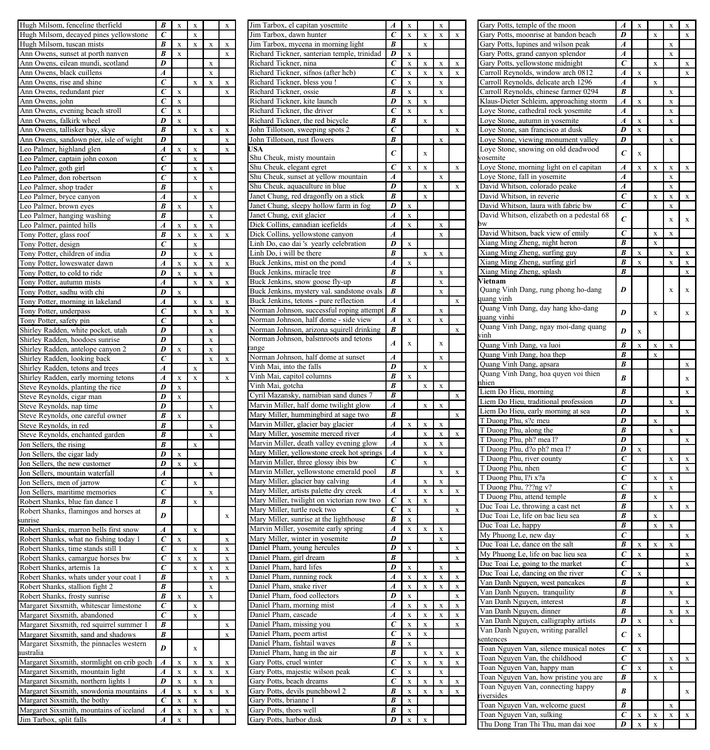| Hugh Milsom, fenceline therfield                                                                   | B                     | X                       |             |                |           |
|----------------------------------------------------------------------------------------------------|-----------------------|-------------------------|-------------|----------------|-----------|
| Hugh Milsom, decayed pines yellowstone                                                             | $\overline{\epsilon}$ |                         | X           |                |           |
| Hugh Milsom, tuscan mists                                                                          | B                     | X                       | X           | X              | X         |
| Ann Owens, sunset at porth nanven                                                                  | B<br>D                | X                       |             |                | X         |
| Ann Owens, eilean mundi, scotland                                                                  | A                     |                         |             | X<br>X         |           |
| Ann Owens, black cuillens<br>Ann Owens, rise and shine                                             | Ć                     |                         | $\bf{x}$    | $\bf{x}$       | x         |
| Ann Owens, redundant pier                                                                          | $\epsilon$            | X                       |             |                | x         |
| Ann Owens, john                                                                                    | Ć                     | X                       |             |                |           |
| Ann Owens, evening beach stroll                                                                    | $\overline{c}$        | X                       |             |                |           |
| Ann Owens, falkirk wheel                                                                           | D                     | X                       |             |                |           |
| Ann Owens, tallisker bay, skye                                                                     | B                     |                         | X           | X              | X         |
| Ann Owens, sandown pier, isle of wight                                                             | D                     |                         |             |                | X         |
| Leo Palmer, highland glen                                                                          | A                     | x                       | x           |                | x         |
| Leo Palmer, captain john coxon                                                                     | Ċ                     |                         | x           |                |           |
| Leo Palmer, goth girl                                                                              | $\epsilon$            |                         | x           | x              |           |
| Leo Palmer, don robertson                                                                          | $\epsilon$            |                         | $\mathbf x$ |                |           |
| Leo Palmer, shop trader                                                                            | $\overline{B}$        |                         |             | x              |           |
| Leo Palmer, bryce canyon                                                                           | A                     |                         | x           |                |           |
| Leo Palmer, brown eyes                                                                             | R<br>B                | $\bar{x}$               |             | x              |           |
| Leo Palmer, hanging washing                                                                        | $\overline{A}$        | $\overline{\mathbf{x}}$ | x           | x<br>$\bar{x}$ |           |
| Leo Palmer, painted hills                                                                          | R                     | x                       | $\bar{x}$   | $\bar{x}$      | $\bar{x}$ |
| Tony Potter, glass roof<br>Tony Potter, design                                                     | $\overline{c}$        |                         | x           |                |           |
| Tony Potter, children of india                                                                     | D                     |                         | X           | X              |           |
| Tony Potter, loweswater dawn                                                                       | Ā                     | $\bar{x}$               | X           | X              | x         |
| Tony Potter, to cold to ride                                                                       | D                     | x                       | x           | x              |           |
| Tony Potter, autumn mists                                                                          | $\overline{A}$        |                         | x           | $\bar{x}$      | $\bar{x}$ |
| Tony Potter, sadhu with chi                                                                        | $\overline{D}$        | $\bar{x}$               |             |                |           |
| Tony Potter, morning in lakeland                                                                   | A                     |                         | x           | x              | $\bar{x}$ |
| Tony Potter, underpass                                                                             | $\overline{c}$        |                         | x           | x              | x         |
| Tony Potter, safety pin                                                                            | $\overline{c}$        |                         |             | x              |           |
| Shirley Radden, white pocket, utah                                                                 | $\overline{D}$        |                         |             | X              |           |
| Shirley Radden, hoodoes sunrise                                                                    | D                     |                         |             | X              |           |
| Shirley Radden, antelope canyon 2                                                                  | D                     | X                       |             | X              |           |
| Shirley Radden, looking back                                                                       | $\bar{c}$             |                         |             |                | x         |
| Shirley Radden, tetons and trees                                                                   | A                     |                         | x           |                |           |
| Shirley Radden, early morning tetons                                                               | A                     | x                       |             |                | x         |
| Steve Reynolds, planting the rice                                                                  | D                     | X                       |             |                |           |
| Steve Reynolds, cigar man                                                                          | D                     | x                       |             |                |           |
| Steve Reynolds, nap time                                                                           | D                     |                         |             | X              |           |
| Steve Reynolds, one careful owner<br>Steve Reynolds, in red                                        | B<br>R                | $\bar{x}$               |             |                |           |
| Steve Reynolds, enchanted garden                                                                   | R                     |                         |             | x<br>X         |           |
| Jon Sellers, the rising                                                                            | R                     |                         | x           |                |           |
| Jon Sellers, the cigar lady                                                                        | D                     | X                       |             |                |           |
| Jon Sellers, the new customer                                                                      | D                     | $\bar{x}$               | x           |                |           |
| Jon Sellers, mountain waterfall                                                                    | A                     |                         |             | x              |           |
| Jon Sellers, men of jarrow                                                                         | C                     |                         | x           |                |           |
| Jon Sellers, maritime memories                                                                     | $\epsilon$            |                         |             | x              |           |
| Robert Shanks, blue fan dance 1                                                                    | B                     |                         | X           |                |           |
| Robert Shanks, flamingos and horses at                                                             | D                     |                         |             |                | x         |
| sunrise                                                                                            |                       |                         |             |                |           |
| Robert Shanks, marron bells first snow                                                             | Ā                     |                         | $\mathbf x$ |                |           |
| Robert Shanks, what no fishing today 1                                                             | C                     | $\bar{x}$               |             |                | x         |
| Robert Shanks, time stands still 1                                                                 | C                     |                         | x           |                | x         |
| Robert Shanks, camargue horses bw                                                                  | C                     | $\bar{x}$               | X           |                | x         |
| Robert Shanks, artemis 1a                                                                          | $\epsilon$<br>B       |                         | x           | x              | X         |
| Robert Shanks, whats under your coat 1                                                             | R                     |                         |             | x              | x         |
| Robert Shanks, stallion fight 2                                                                    | R                     | X                       |             | X              |           |
| Robert Shanks, frosty sunrise<br>Margaret Sixsmith, whitescar limestone                            | $\overline{c}$        |                         | X           | X              |           |
| Margaret Sixsmith, abandoned                                                                       | $\overline{\epsilon}$ |                         | X           |                |           |
| Margaret Sixsmith, red squirrel summer 1                                                           | B                     |                         |             |                | X         |
| Margaret Sixsmith, sand and shadows                                                                | B                     |                         |             |                | X         |
| Margaret Sixsmith, the pinnacles western                                                           |                       |                         |             |                |           |
| australia                                                                                          | D                     |                         | $\bf{x}$    |                |           |
| Margaret Sixsmith, stormlight on crib goch                                                         | $\overline{A}$        | X                       | $\bf x$     | X              | X         |
| Margaret Sixsmith, mountain light                                                                  | $\boldsymbol{A}$      | X                       | X           | X              | X         |
| Margaret Sixsmith, northern lights 1                                                               | D                     | X                       | X           | X              |           |
| Margaret Sixsmith, snowdonia mountains                                                             |                       |                         |             |                |           |
|                                                                                                    | A                     | X                       | X           | X              | X         |
|                                                                                                    | Ċ                     | X                       | X           |                |           |
| Margaret Sixsmith, the bothy<br>Margaret Sixsmith, mountains of iceland<br>Jim Tarbox, split falls | $\overline{A}$<br>Ā   | X<br>X                  | X           | X              | X         |

| Jim Tarbox, el capitan yosemite                   | A                |                         |   |          |   |
|---------------------------------------------------|------------------|-------------------------|---|----------|---|
| Jim Tarbox, dawn hunter                           | $\overline{c}$   | x                       | x | X        |   |
| Jim Tarbox, mycena in morning light               | B                |                         | x |          |   |
|                                                   |                  |                         |   |          |   |
| Richard Tickner, santerian temple, trinidad       | D                | x                       |   |          |   |
| Richard Tickner, nina                             | $\epsilon$       | X                       | x | x        | x |
| Richard Tickner, sifnos (after hcb)               | C                | x                       | x | x        | x |
|                                                   |                  |                         |   |          |   |
| Richard Tickner, bless you !                      | Ċ                |                         |   | X        |   |
| Richard Tickner, ossie                            | B                |                         |   | X        |   |
|                                                   | D                |                         |   |          |   |
| Richard Tickner, kite launch                      |                  | x                       | x |          |   |
| Richard Tickner, the driver                       | $\overline{c}$   | x                       |   | x        |   |
| Richard Tickner, the red bicycle                  | B                |                         |   |          |   |
|                                                   |                  |                         |   |          |   |
| John Tillotson, sweeping spots                    | Ċ                |                         |   |          |   |
| John Tillotson, rust flowers                      | B                |                         |   | X        |   |
| USA                                               |                  |                         |   |          |   |
|                                                   | $\epsilon$       |                         | X |          |   |
| Shu Cheuk, misty mountain                         |                  |                         |   |          |   |
| Shu Cheuk, elegant egret                          | $\overline{c}$   |                         | x |          |   |
| Shu Cheuk, sunset at yellow mountain              | A                |                         |   | X        |   |
|                                                   |                  |                         |   |          |   |
| Shu Cheuk, aquaculture in blue                    | $\overline{D}$   |                         | x |          | x |
| Janet Chung, red dragonfly on a stick             | B                |                         | x |          |   |
|                                                   |                  |                         |   |          |   |
| Chung, sleepy hollow farm in fog<br>Janet C       | D                | X                       |   |          |   |
| Chung, exit glacier<br>Janet C                    | 4                | X                       |   |          |   |
| Dick Collins, canadian icefields                  | A                | X                       |   | x        |   |
|                                                   |                  |                         |   |          |   |
| Dick Collins, yellowstone canyon                  | Á                |                         |   | X        |   |
| Linh Do, cao dai 's yearly celebration            | D                | X                       |   |          |   |
|                                                   | B                |                         |   |          |   |
| Linh Do, i will be there                          |                  |                         | X | X        |   |
| Buck Jenkins, mist on the pond                    | A                | x                       |   |          |   |
| Buck Jenkins, miracle tree                        | B                |                         |   | X        |   |
|                                                   |                  |                         |   |          |   |
| Buck Jenkins, snow goose fly-up                   | B                |                         |   | X        |   |
| Buck Jenkins, mystery val. sandstone ovals        | B                |                         |   | X        |   |
|                                                   | A                |                         |   |          | X |
| Buck Jenkins, tetons - pure reflection            |                  |                         |   |          |   |
| Norman Johnson, successful roping attempt         | B                |                         |   | X        |   |
| Norman Johnson, half dome - side view             | A                | X                       |   | X        |   |
|                                                   |                  |                         |   |          |   |
| Norman Johnson, arizona squirell drinking         | $\boldsymbol{B}$ |                         |   |          | X |
| Norman Johnson, balsmroots and tetons             | $\overline{A}$   | $\bar{x}$               |   | $\bf{x}$ |   |
| range                                             |                  |                         |   |          |   |
|                                                   |                  |                         |   |          |   |
| Norman Johnson, half dome at sunset               | $\overline{A}$   |                         |   | X        |   |
|                                                   | D                |                         | X |          |   |
|                                                   |                  |                         |   |          |   |
| Vinh Mai, into the falls                          |                  |                         |   |          |   |
| Vinh Mai, capitol columns                         | $\overline{B}$   | x                       |   |          |   |
| Vinh Mai, gotcha                                  | B                |                         | X | X        |   |
|                                                   |                  |                         |   |          |   |
| Cyril Mazansky, namibian sand dunes 7             | B                |                         |   |          | X |
| Marvin Miller, half dome twilight glow            | $\boldsymbol{A}$ |                         | X | X        |   |
| Mary Miller, hummingbird at sage two              | B                |                         |   |          | x |
|                                                   |                  |                         |   |          |   |
| Marvin Miller, glacier bay glacier                | $\boldsymbol{A}$ | X                       | X | X        |   |
| Mary Miller, yosemite merced river                | $\boldsymbol{A}$ |                         | X | X        | X |
|                                                   |                  |                         | X |          |   |
| Marvin Miller, death valley evening glow          | $\overline{A}$   |                         |   | X        |   |
| Mary Miller, yellowstone creek hot springs        | A                |                         | X | X        |   |
| Marvin Miller, three glossy ibis bw               | C                |                         | X |          |   |
|                                                   | B                |                         |   |          | x |
| Marvin Miller, yellowstone emerald pool           |                  |                         |   | X        |   |
| Mary Miller, glacier bay calving                  | A                |                         | x | x        |   |
| Mary Miller, artists palette dry creek            | A                |                         | x | x        | x |
|                                                   |                  |                         |   |          |   |
| Mary Miller, twilight on victorian row two        | Ċ                | x                       | x |          |   |
| Mary Miller, turtle rock two                      | $\overline{c}$   | x                       |   |          | x |
|                                                   | B                | x                       |   |          |   |
| Mary Miller, sunrise at the lighthouse            |                  |                         |   |          |   |
| Marvin Miller, yosemite early spring              | $\boldsymbol{A}$ | X                       | X | X        |   |
| Mary Miller, winter in yosemite                   | D                |                         |   | X        |   |
|                                                   | D                | $\overline{\mathbf{x}}$ |   |          | x |
| Daniel Pham, young hercules                       |                  |                         |   |          |   |
| Daniel Pham, girl dream                           | B                |                         |   |          | x |
|                                                   | D                | x                       |   | X        |   |
| Daniel Pham, hard lifes                           |                  |                         |   |          |   |
| Daniel Pham, running rock                         | $\boldsymbol{A}$ | X                       | x | X        | x |
| Daniel Pham, snake river                          | A                | X                       |   |          | x |
|                                                   | D                | X                       |   |          | X |
| Daniel Pham, food collectors                      |                  |                         |   |          |   |
| Daniel Pham, morning mist                         | A                | X                       | X | X        | X |
|                                                   | A                | X                       | X | X        | X |
| Daniel Pham, cascade                              |                  |                         |   |          |   |
| Daniel Pham, missing you                          | Ć                | х                       | X |          | X |
| Daniel Pham, poem artist                          | C                | х                       | X |          |   |
|                                                   | B                | X                       |   |          |   |
| Daniel Pham, fishtail waves                       |                  |                         |   |          |   |
| Daniel Pham, hang in the air                      | B                |                         | x | x        | x |
| Gary Potts, cruel winter                          | c                | x                       | x | X        | X |
|                                                   | c                | X                       |   | X        |   |
| Gary Potts, majestic wilson peak                  |                  |                         |   |          |   |
| Gary Potts, beach dreams                          | C                | x                       | X | X        | X |
| Gary Potts, devils punchbowl 2                    | B                | X                       | X | X        | X |
|                                                   | B                |                         |   |          |   |
| Gary Potts, brianne 1                             |                  | X                       |   |          |   |
| Gary Potts, thors well<br>Gary Potts, harbor dusk | B<br>D           | X<br>X                  | x |          |   |

| Gary Potts, temple of the moon                                             | A                   | X                                        |                                          | X                  | X                       |
|----------------------------------------------------------------------------|---------------------|------------------------------------------|------------------------------------------|--------------------|-------------------------|
| Gary Potts, moonrise at bandon beach                                       | D                   |                                          | X                                        |                    | X                       |
|                                                                            |                     |                                          |                                          |                    |                         |
| Gary Potts, lupines and wilson peak                                        | A                   |                                          |                                          | x                  |                         |
| Gary Potts, grand canyon splendor                                          | $\overline{A}$      |                                          |                                          | X                  |                         |
| Gary Potts, yellowstone midnight                                           | C                   |                                          | X                                        |                    | X                       |
| Carroll Reynolds, window arch 0812                                         | A                   | X                                        |                                          |                    | x                       |
|                                                                            | A                   |                                          | x                                        |                    |                         |
| arroll Reynolds, delicate arch 1296                                        |                     |                                          |                                          |                    |                         |
| arroll Reynolds, chinese farmer 0294                                       | B                   |                                          |                                          | x                  |                         |
| Klaus-Dieter Schleim, approaching storm                                    | A                   | X                                        |                                          | X                  |                         |
| Loye Stone, cathedral rock yosemite                                        | $\boldsymbol{A}$    |                                          |                                          | X                  |                         |
| Loye Stone, autumn in yosemite                                             | A                   | $\bar{x}$                                |                                          | X                  |                         |
| Loye Stone, san francisco at dusk                                          | D                   | X                                        |                                          |                    |                         |
|                                                                            |                     |                                          |                                          |                    |                         |
| Loye Stone, viewing monument valley                                        | D                   |                                          |                                          | X                  |                         |
| Loye Stone, snowing on old deadwood                                        | C                   | $\bf{x}$                                 |                                          |                    |                         |
| vosemite                                                                   |                     |                                          |                                          |                    |                         |
| Loye Stone, morning light on el capitan                                    | A                   | $\bar{x}$                                | X                                        | x                  | $\bar{x}$               |
| Loye Stone, fall in yosemite                                               | A                   |                                          |                                          | x                  |                         |
|                                                                            |                     |                                          |                                          |                    |                         |
| David Whitson, colorado peake                                              | A                   |                                          |                                          | X                  |                         |
| David Whitson, in reverie                                                  | C                   |                                          | X                                        | X                  | X                       |
| David Whitson, laura with fabric bw                                        | $\epsilon$          |                                          |                                          | X                  |                         |
| David Whitson, elizabeth on a pedestal 68                                  |                     |                                          |                                          |                    |                         |
|                                                                            | $\epsilon$          |                                          |                                          | X                  | $\bar{x}$               |
| <sub>)W</sub>                                                              |                     |                                          |                                          |                    |                         |
| David Whitson, back view of emily                                          | $\bar{c}$           |                                          | X                                        | x                  |                         |
| Xiang Ming Zheng, night heron                                              | R                   |                                          | X                                        |                    |                         |
| Xiang Ming Zheng, surfing guy                                              | R                   | X                                        |                                          | x                  | X                       |
|                                                                            |                     |                                          |                                          |                    |                         |
| Xiang Ming Zheng, surfing girl                                             | B                   | X                                        |                                          | X                  | X                       |
| Xiang Ming Zheng, splash                                                   | B                   |                                          |                                          |                    | X                       |
| Vietnam                                                                    |                     |                                          |                                          |                    |                         |
| Quang Vinh Dang, rung phong ho-dang                                        | D                   |                                          |                                          | $\bar{\mathbf{x}}$ | X                       |
| quang vinh                                                                 |                     |                                          |                                          |                    |                         |
|                                                                            |                     |                                          |                                          |                    |                         |
| Quang Vinh Dang, day hang kho-dang                                         | D                   |                                          | X                                        |                    | $\bar{x}$               |
| quang vinhi                                                                |                     |                                          |                                          |                    |                         |
| Quang Vinh Dang, ngay moi-dang quang                                       | D                   | $\bf{x}$                                 |                                          |                    |                         |
| vinh                                                                       |                     |                                          |                                          |                    |                         |
| Quang Vinh Dang, va luoi                                                   | B                   | x                                        | $\bar{x}$                                | $\bf{x}$           |                         |
|                                                                            |                     |                                          |                                          |                    |                         |
| Quang Vinh Dang, hoa thep                                                  | B                   |                                          | x                                        |                    |                         |
| Quang Vinh Dang, apsara                                                    | B                   |                                          |                                          |                    | X                       |
| Quang Vinh Dang, hoa quyen voi thien                                       |                     |                                          |                                          |                    |                         |
| ihien                                                                      | B                   |                                          |                                          |                    | $\bar{x}$               |
| Liem Do Hieu, morning                                                      | $\overline{B}$      |                                          |                                          |                    | $\bar{x}$               |
|                                                                            | $\overline{D}$      |                                          |                                          |                    |                         |
| Liem Do Hieu, traditional profession                                       |                     |                                          |                                          | x                  |                         |
| Liem Do Hieu, early morning at sea                                         | $\overline{D}$      |                                          |                                          |                    | $\bf{x}$                |
| T Duong Phu, s?c meu                                                       | $\overline{D}$      |                                          | X                                        |                    |                         |
| T Duong Phu, along the                                                     | $\overline{B}$      |                                          |                                          | X                  |                         |
| T Duong Phu, ph? mea l?                                                    | D                   |                                          |                                          |                    |                         |
|                                                                            |                     |                                          |                                          |                    | X                       |
| T Duong Phu, d?o ph? mea 1?                                                | D                   | X                                        |                                          |                    |                         |
| T Duong Phu, river county                                                  | ċ                   |                                          |                                          | X                  | X                       |
| T Duong Phu, nhen                                                          | $\overline{c}$      |                                          |                                          |                    | x                       |
|                                                                            | C                   |                                          | X                                        | x                  |                         |
| T Duong Phu, 1?i x?a<br>T Duong Phu, ???ng v?                              |                     |                                          |                                          |                    |                         |
|                                                                            | C                   |                                          |                                          | X                  |                         |
| T Duong Phu, attend temple                                                 | R                   |                                          | x                                        |                    |                         |
| Duc Toai Le, throwing a cast net                                           | R                   |                                          |                                          | x                  | X                       |
| Duc Toai Le, life on bac lieu sea                                          | B                   |                                          | x                                        |                    |                         |
|                                                                            | B                   |                                          | X                                        | x                  |                         |
| Duc Toai Le, happy                                                         |                     |                                          |                                          |                    |                         |
| My Phuong Le, new day                                                      |                     |                                          |                                          |                    | X                       |
| Duc Toai Le, dance on the salt                                             | C                   |                                          |                                          | x                  |                         |
| My Phuong Le, life on bac lieu sea                                         | B                   | X                                        | x                                        |                    |                         |
|                                                                            |                     |                                          |                                          |                    | X                       |
|                                                                            | C                   | X                                        |                                          |                    |                         |
| Duc Toai Le, going to the market                                           | C                   |                                          |                                          |                    | X                       |
| Duc Toai Le, dancing on the river                                          | $\epsilon$          | X                                        |                                          |                    |                         |
| Van Danh Nguyen, west pancakes                                             | B                   |                                          |                                          |                    | X                       |
|                                                                            | B                   |                                          |                                          | X                  |                         |
| Van Danh Nguyen, tranquility                                               | $\overline{B}$      |                                          |                                          |                    |                         |
| Van Danh Nguyen, interest                                                  |                     |                                          |                                          |                    | X                       |
| Van Danh Nguyen, dinner                                                    | B                   |                                          |                                          | X                  | X                       |
| Van Danh Nguyen, calligraphy artists                                       | D                   | $\bf x$                                  |                                          | X                  |                         |
| Van Danh Nguyen, writing parallel                                          |                     |                                          |                                          |                    |                         |
| entences                                                                   | $\epsilon$          | X                                        |                                          |                    |                         |
|                                                                            | $\overline{c}$      |                                          |                                          |                    |                         |
| Toan Nguyen Van, silence musical notes                                     |                     | $\bf{X}$                                 |                                          |                    |                         |
| Toan Nguyen Van, the childhood                                             | $\epsilon$          |                                          |                                          | X                  | X                       |
| Toan Nguyen Van, happy man                                                 | $\epsilon$          | X                                        |                                          | X                  |                         |
|                                                                            | $\overline{B}$      |                                          | $\mathbf x$                              |                    |                         |
| Toan Nguyen Van, how pristine you are<br>Toan Nguyen Van, connecting happy |                     |                                          |                                          |                    |                         |
| iversides                                                                  | B                   |                                          |                                          |                    | $\bar{x}$               |
|                                                                            |                     |                                          |                                          |                    |                         |
| Toan Nguyen Van, welcome guest                                             | B                   |                                          |                                          | X                  |                         |
| Toan Nguyen Van, sulking<br>Thu Dong Tran Thi Thu, man dai xoe             | $\overline{c}$<br>D | $\boldsymbol{\mathsf{x}}$<br>$\mathbf x$ | $\boldsymbol{\mathsf{x}}$<br>$\mathbf x$ | $\bf{x}$           | $\overline{\mathbf{x}}$ |